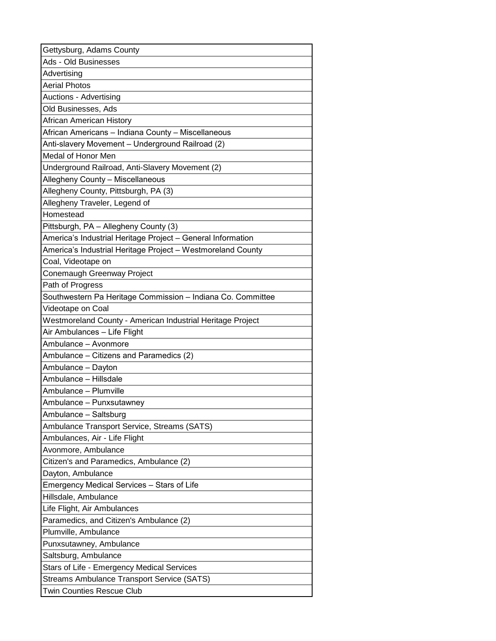| Gettysburg, Adams County                                    |
|-------------------------------------------------------------|
| Ads - Old Businesses                                        |
| Advertising                                                 |
| <b>Aerial Photos</b>                                        |
| Auctions - Advertising                                      |
| Old Businesses, Ads                                         |
| African American History                                    |
| African Americans - Indiana County - Miscellaneous          |
| Anti-slavery Movement - Underground Railroad (2)            |
| Medal of Honor Men                                          |
| Underground Railroad, Anti-Slavery Movement (2)             |
| Allegheny County - Miscellaneous                            |
| Allegheny County, Pittsburgh, PA (3)                        |
| Allegheny Traveler, Legend of                               |
| Homestead                                                   |
| Pittsburgh, PA - Allegheny County (3)                       |
| America's Industrial Heritage Project - General Information |
| America's Industrial Heritage Project - Westmoreland County |
| Coal, Videotape on                                          |
| Conemaugh Greenway Project                                  |
| Path of Progress                                            |
| Southwestern Pa Heritage Commission - Indiana Co. Committee |
| Videotape on Coal                                           |
| Westmoreland County - American Industrial Heritage Project  |
| Air Ambulances - Life Flight                                |
| Ambulance - Avonmore                                        |
| Ambulance - Citizens and Paramedics (2)                     |
| Ambulance - Dayton                                          |
| Ambulance - Hillsdale                                       |
| Ambulance - Plumville                                       |
| Ambulance - Punxsutawney                                    |
| Ambulance - Saltsburg                                       |
| Ambulance Transport Service, Streams (SATS)                 |
| Ambulances, Air - Life Flight                               |
| Avonmore, Ambulance                                         |
| Citizen's and Paramedics, Ambulance (2)                     |
| Dayton, Ambulance                                           |
| Emergency Medical Services - Stars of Life                  |
| Hillsdale, Ambulance                                        |
| Life Flight, Air Ambulances                                 |
| Paramedics, and Citizen's Ambulance (2)                     |
| Plumville, Ambulance                                        |
| Punxsutawney, Ambulance                                     |
| Saltsburg, Ambulance                                        |
| Stars of Life - Emergency Medical Services                  |
| <b>Streams Ambulance Transport Service (SATS)</b>           |
| <b>Twin Counties Rescue Club</b>                            |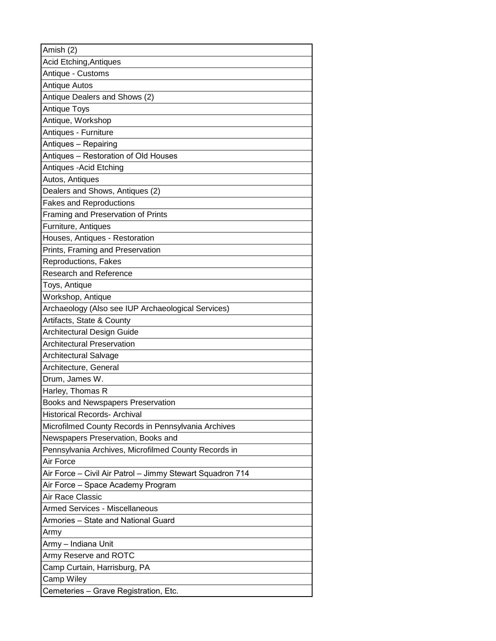| Amish (2)                                                 |
|-----------------------------------------------------------|
| Acid Etching, Antiques                                    |
| Antique - Customs                                         |
| Antique Autos                                             |
| Antique Dealers and Shows (2)                             |
| Antique Toys                                              |
| Antique, Workshop                                         |
| Antiques - Furniture                                      |
| Antiques - Repairing                                      |
| Antiques - Restoration of Old Houses                      |
| Antiques - Acid Etching                                   |
| Autos, Antiques                                           |
| Dealers and Shows, Antiques (2)                           |
| <b>Fakes and Reproductions</b>                            |
| Framing and Preservation of Prints                        |
| Furniture, Antiques                                       |
| Houses, Antiques - Restoration                            |
| Prints, Framing and Preservation                          |
| Reproductions, Fakes                                      |
| <b>Research and Reference</b>                             |
| Toys, Antique                                             |
| Workshop, Antique                                         |
| Archaeology (Also see IUP Archaeological Services)        |
| Artifacts, State & County                                 |
| <b>Architectural Design Guide</b>                         |
| <b>Architectural Preservation</b>                         |
| Architectural Salvage                                     |
| Architecture, General                                     |
| Drum, James W.                                            |
| Harley, Thomas R                                          |
| Books and Newspapers Preservation                         |
| <b>Historical Records- Archival</b>                       |
| Microfilmed County Records in Pennsylvania Archives       |
| Newspapers Preservation, Books and                        |
| Pennsylvania Archives, Microfilmed County Records in      |
| Air Force                                                 |
| Air Force - Civil Air Patrol - Jimmy Stewart Squadron 714 |
| Air Force - Space Academy Program<br>Air Race Classic     |
| <b>Armed Services - Miscellaneous</b>                     |
| Armories – State and National Guard                       |
|                                                           |
| Army<br>Army – Indiana Unit                               |
| Army Reserve and ROTC                                     |
| Camp Curtain, Harrisburg, PA                              |
| Camp Wiley                                                |
| Cemeteries - Grave Registration, Etc.                     |
|                                                           |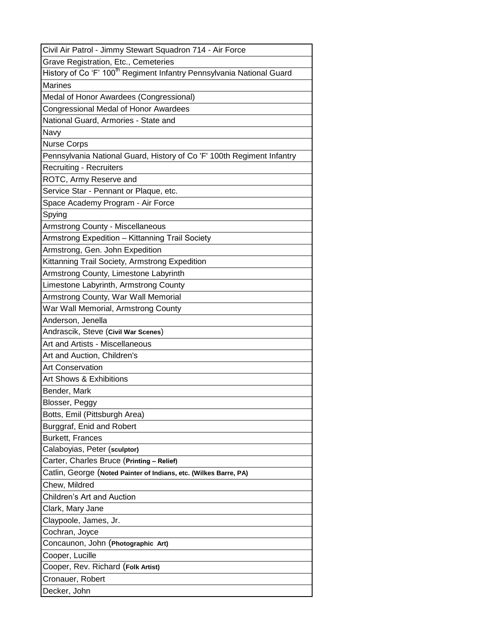| Civil Air Patrol - Jimmy Stewart Squadron 714 - Air Force                         |
|-----------------------------------------------------------------------------------|
| Grave Registration, Etc., Cemeteries                                              |
| History of Co 'F' 100 <sup>th</sup> Regiment Infantry Pennsylvania National Guard |
| <b>Marines</b>                                                                    |
| Medal of Honor Awardees (Congressional)                                           |
| Congressional Medal of Honor Awardees                                             |
| National Guard, Armories - State and                                              |
| Navy                                                                              |
| <b>Nurse Corps</b>                                                                |
| Pennsylvania National Guard, History of Co 'F' 100th Regiment Infantry            |
| <b>Recruiting - Recruiters</b>                                                    |
| ROTC, Army Reserve and                                                            |
| Service Star - Pennant or Plaque, etc.                                            |
| Space Academy Program - Air Force                                                 |
| Spying                                                                            |
| <b>Armstrong County - Miscellaneous</b>                                           |
| Armstrong Expedition - Kittanning Trail Society                                   |
| Armstrong, Gen. John Expedition                                                   |
| Kittanning Trail Society, Armstrong Expedition                                    |
| Armstrong County, Limestone Labyrinth                                             |
| Limestone Labyrinth, Armstrong County                                             |
| Armstrong County, War Wall Memorial                                               |
| War Wall Memorial, Armstrong County                                               |
| Anderson, Jenella                                                                 |
| Andrascik, Steve (Civil War Scenes)                                               |
| Art and Artists - Miscellaneous                                                   |
| Art and Auction, Children's                                                       |
| <b>Art Conservation</b>                                                           |
| Art Shows & Exhibitions                                                           |
| Bender, Mark                                                                      |
| Blosser, Peggy                                                                    |
| Botts, Emil (Pittsburgh Area)                                                     |
| Burggraf, Enid and Robert                                                         |
| <b>Burkett, Frances</b>                                                           |
| Calaboyias, Peter (sculptor)                                                      |
| Carter, Charles Bruce (Printing - Relief)                                         |
| Catlin, George (Noted Painter of Indians, etc. (Wilkes Barre, PA)                 |
| Chew, Mildred                                                                     |
| <b>Children's Art and Auction</b>                                                 |
| Clark, Mary Jane                                                                  |
| Claypoole, James, Jr.                                                             |
| Cochran, Joyce                                                                    |
| Concaunon, John (Photographic Art)                                                |
| Cooper, Lucille                                                                   |
| Cooper, Rev. Richard (Folk Artist)                                                |
| Cronauer, Robert                                                                  |
| Decker, John                                                                      |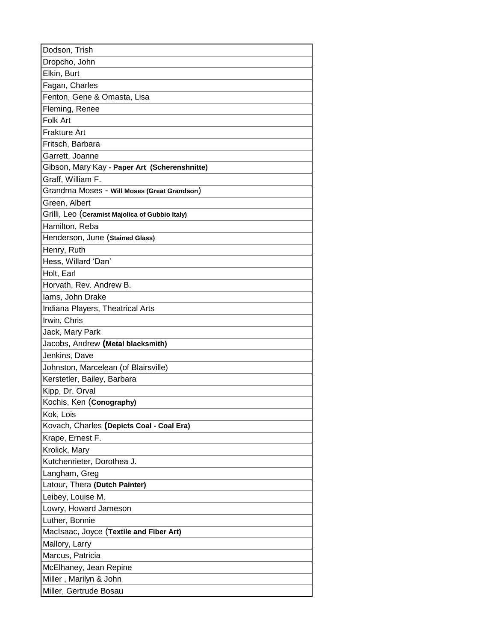| Dodson, Trish                                   |
|-------------------------------------------------|
| Dropcho, John                                   |
| Elkin, Burt                                     |
| Fagan, Charles                                  |
| Fenton, Gene & Omasta, Lisa                     |
| Fleming, Renee                                  |
| Folk Art                                        |
| Frakture Art                                    |
| Fritsch, Barbara                                |
| Garrett, Joanne                                 |
| Gibson, Mary Kay - Paper Art (Scherenshnitte)   |
| Graff, William F.                               |
| Grandma Moses - Will Moses (Great Grandson)     |
| Green, Albert                                   |
| Grilli, Leo (Ceramist Majolica of Gubbio Italy) |
| Hamilton, Reba                                  |
| Henderson, June (Stained Glass)                 |
| Henry, Ruth                                     |
| Hess, Willard 'Dan'                             |
| Holt, Earl                                      |
| Horvath, Rev. Andrew B.                         |
| lams, John Drake                                |
| Indiana Players, Theatrical Arts                |
| Irwin, Chris                                    |
| Jack, Mary Park                                 |
| Jacobs, Andrew (Metal blacksmith)               |
| Jenkins, Dave                                   |
| Johnston, Marcelean (of Blairsville)            |
| Kerstetler, Bailey, Barbara                     |
| Kipp, Dr. Orval                                 |
| Kochis, Ken (Conography)                        |
| Kok, Lois                                       |
| Kovach, Charles (Depicts Coal - Coal Era)       |
| Krape, Ernest F.                                |
| Krolick, Mary                                   |
| Kutchenrieter, Dorothea J.                      |
| Langham, Greg                                   |
| Latour, Thera (Dutch Painter)                   |
| Leibey, Louise M.                               |
| Lowry, Howard Jameson                           |
| Luther, Bonnie                                  |
| MacIsaac, Joyce (Textile and Fiber Art)         |
| Mallory, Larry                                  |
| Marcus, Patricia                                |
| McElhaney, Jean Repine                          |
| Miller, Marilyn & John                          |
| Miller, Gertrude Bosau                          |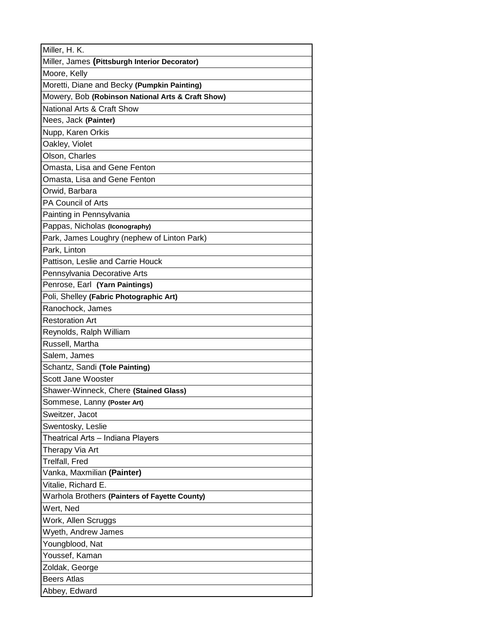| Miller, H. K.                                     |
|---------------------------------------------------|
| Miller, James (Pittsburgh Interior Decorator)     |
| Moore, Kelly                                      |
| Moretti, Diane and Becky (Pumpkin Painting)       |
| Mowery, Bob (Robinson National Arts & Craft Show) |
| National Arts & Craft Show                        |
| Nees, Jack (Painter)                              |
| Nupp, Karen Orkis                                 |
| Oakley, Violet                                    |
| Olson, Charles                                    |
| Omasta, Lisa and Gene Fenton                      |
| Omasta, Lisa and Gene Fenton                      |
| Orwid, Barbara                                    |
| PA Council of Arts                                |
| Painting in Pennsylvania                          |
| Pappas, Nicholas (Iconography)                    |
| Park, James Loughry (nephew of Linton Park)       |
| Park, Linton                                      |
| Pattison, Leslie and Carrie Houck                 |
| Pennsylvania Decorative Arts                      |
| Penrose, Earl (Yarn Paintings)                    |
| Poli, Shelley (Fabric Photographic Art)           |
| Ranochock, James                                  |
| <b>Restoration Art</b>                            |
| Reynolds, Ralph William                           |
| Russell, Martha                                   |
| Salem, James                                      |
| Schantz, Sandi (Tole Painting)                    |
| Scott Jane Wooster                                |
| Shawer-Winneck, Chere (Stained Glass)             |
| Sommese, Lanny (Poster Art)                       |
| Sweitzer, Jacot                                   |
| Swentosky, Leslie                                 |
| Theatrical Arts – Indiana Players                 |
| Therapy Via Art                                   |
| Trelfall, Fred<br>Vanka, Maxmilian (Painter)      |
|                                                   |
| Vitalie, Richard E.                               |
| Warhola Brothers (Painters of Fayette County)     |
| Wert, Ned                                         |
| Work, Allen Scruggs                               |
| Wyeth, Andrew James                               |
| Youngblood, Nat                                   |
| Youssef, Kaman                                    |
| Zoldak, George<br><b>Beers Atlas</b>              |
|                                                   |
| Abbey, Edward                                     |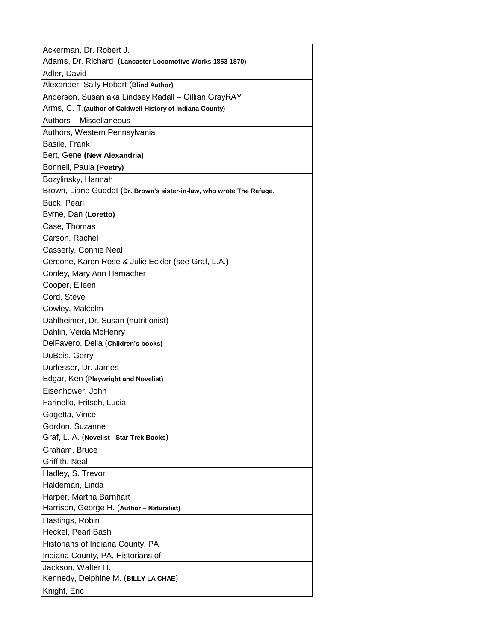| Ackerman, Dr. Robert J.                                               |
|-----------------------------------------------------------------------|
| Adams, Dr. Richard (Lancaster Locomotive Works 1853-1870)             |
| Adler, David                                                          |
| Alexander, Sally Hobart (Blind Author)                                |
| Anderson, Susan aka Lindsey Radall - Gillian GrayRAY                  |
| Arms, C. T. (author of Caldwell History of Indiana County)            |
| Authors - Miscellaneous                                               |
| Authors, Western Pennsylvania                                         |
| Basile, Frank                                                         |
| Bert, Gene (New Alexandria)                                           |
| Bonnell, Paula (Poetry)                                               |
| Bozylinsky, Hannah                                                    |
| Brown, Liane Guddat (Dr. Brown's sister-in-law, who wrote The Refuge. |
| Buck, Pearl                                                           |
| Byrne, Dan (Loretto)                                                  |
| Case, Thomas                                                          |
| Carson, Rachel                                                        |
| Casserly, Connie Neal                                                 |
| Cercone, Karen Rose & Julie Eckler (see Graf, L.A.)                   |
| Conley, Mary Ann Hamacher                                             |
| Cooper, Eileen                                                        |
| Cord, Steve                                                           |
| Cowley, Malcolm                                                       |
| Dahlheimer, Dr. Susan (nutritionist)                                  |
| Dahlin, Veida McHenry                                                 |
| DelFavero, Delia (Children's books)                                   |
| DuBois, Gerry                                                         |
| Durlesser, Dr. James                                                  |
| Edgar, Ken (Playwright and Novelist)                                  |
| Eisenhower, John                                                      |
| Farinello, Fritsch, Lucia                                             |
| Gagetta, Vince                                                        |
| Gordon, Suzanne                                                       |
| Graf, L. A. (Novelist - Star-Trek Books)                              |
| Graham, Bruce                                                         |
| Griffith, Neal                                                        |
| Hadley, S. Trevor                                                     |
| Haldeman, Linda                                                       |
| Harper, Martha Barnhart<br>Harrison, George H. (Author - Naturalist)  |
|                                                                       |
| Hastings, Robin<br>Heckel, Pearl Bash                                 |
|                                                                       |
| Historians of Indiana County, PA                                      |
| Indiana County, PA, Historians of<br>Jackson, Walter H.               |
| Kennedy, Delphine M. (BILLY LA CHAE)                                  |
| Knight, Eric                                                          |
|                                                                       |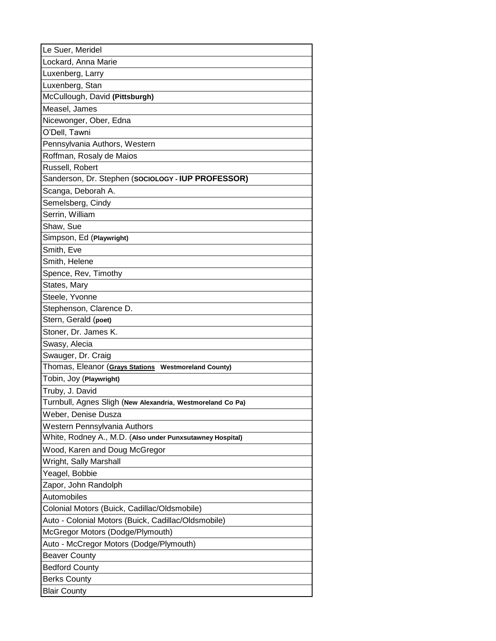| Le Suer, Meridel                                           |
|------------------------------------------------------------|
| Lockard, Anna Marie                                        |
| Luxenberg, Larry                                           |
| Luxenberg, Stan                                            |
| McCullough, David (Pittsburgh)                             |
| Measel, James                                              |
| Nicewonger, Ober, Edna                                     |
| O'Dell, Tawni                                              |
| Pennsylvania Authors, Western                              |
| Roffman, Rosaly de Maios                                   |
| Russell, Robert                                            |
| Sanderson, Dr. Stephen (SOCIOLOGY - IUP PROFESSOR)         |
| Scanga, Deborah A.                                         |
| Semelsberg, Cindy                                          |
| Serrin, William                                            |
| Shaw, Sue                                                  |
| Simpson, Ed (Playwright)                                   |
| Smith, Eve                                                 |
| Smith, Helene                                              |
| Spence, Rev, Timothy                                       |
| States, Mary                                               |
| Steele, Yvonne                                             |
| Stephenson, Clarence D.                                    |
| Stern, Gerald (poet)                                       |
| Stoner, Dr. James K.                                       |
| Swasy, Alecia                                              |
| Swauger, Dr. Craig                                         |
| Thomas, Eleanor (Grays Stations Westmoreland County)       |
| Tobin, Joy (Playwright)                                    |
| Truby, J. David                                            |
| Turnbull, Agnes Sligh (New Alexandria, Westmoreland Co Pa) |
| Weber, Denise Dusza                                        |
| Western Pennsylvania Authors                               |
| White, Rodney A., M.D. (Also under Punxsutawney Hospital)  |
| Wood, Karen and Doug McGregor                              |
| Wright, Sally Marshall                                     |
| Yeagel, Bobbie                                             |
| Zapor, John Randolph                                       |
| Automobiles                                                |
| Colonial Motors (Buick, Cadillac/Oldsmobile)               |
| Auto - Colonial Motors (Buick, Cadillac/Oldsmobile)        |
| McGregor Motors (Dodge/Plymouth)                           |
| Auto - McCregor Motors (Dodge/Plymouth)                    |
| <b>Beaver County</b>                                       |
| <b>Bedford County</b>                                      |
| <b>Berks County</b>                                        |
| <b>Blair County</b>                                        |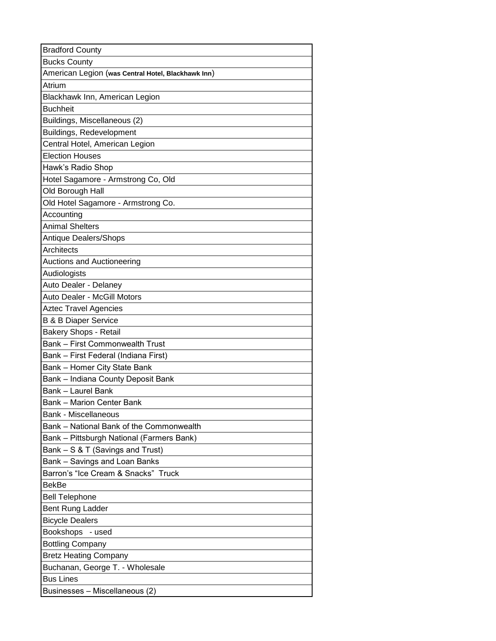| <b>Bradford County</b>                             |
|----------------------------------------------------|
| <b>Bucks County</b>                                |
| American Legion (was Central Hotel, Blackhawk Inn) |
| Atrium                                             |
| Blackhawk Inn, American Legion                     |
| <b>Buchheit</b>                                    |
| Buildings, Miscellaneous (2)                       |
| Buildings, Redevelopment                           |
| Central Hotel, American Legion                     |
| <b>Election Houses</b>                             |
| Hawk's Radio Shop                                  |
| Hotel Sagamore - Armstrong Co, Old                 |
| Old Borough Hall                                   |
| Old Hotel Sagamore - Armstrong Co.                 |
| Accounting                                         |
| <b>Animal Shelters</b>                             |
| Antique Dealers/Shops                              |
| Architects                                         |
| Auctions and Auctioneering                         |
| Audiologists                                       |
| Auto Dealer - Delaney                              |
| Auto Dealer - McGill Motors                        |
| <b>Aztec Travel Agencies</b>                       |
| <b>B &amp; B Diaper Service</b>                    |
| <b>Bakery Shops - Retail</b>                       |
| <b>Bank - First Commonwealth Trust</b>             |
| Bank - First Federal (Indiana First)               |
| Bank - Homer City State Bank                       |
| Bank - Indiana County Deposit Bank                 |
| <b>Bank - Laurel Bank</b>                          |
| <b>Bank - Marion Center Bank</b>                   |
| <b>Bank - Miscellaneous</b>                        |
| Bank - National Bank of the Commonwealth           |
| Bank - Pittsburgh National (Farmers Bank)          |
| Bank - S & T (Savings and Trust)                   |
| Bank - Savings and Loan Banks                      |
| Barron's "Ice Cream & Snacks" Truck                |
| <b>BekBe</b>                                       |
| <b>Bell Telephone</b>                              |
| Bent Rung Ladder                                   |
| <b>Bicycle Dealers</b>                             |
| Bookshops - used                                   |
| <b>Bottling Company</b>                            |
| <b>Bretz Heating Company</b>                       |
| Buchanan, George T. - Wholesale                    |
| <b>Bus Lines</b>                                   |
| Businesses - Miscellaneous (2)                     |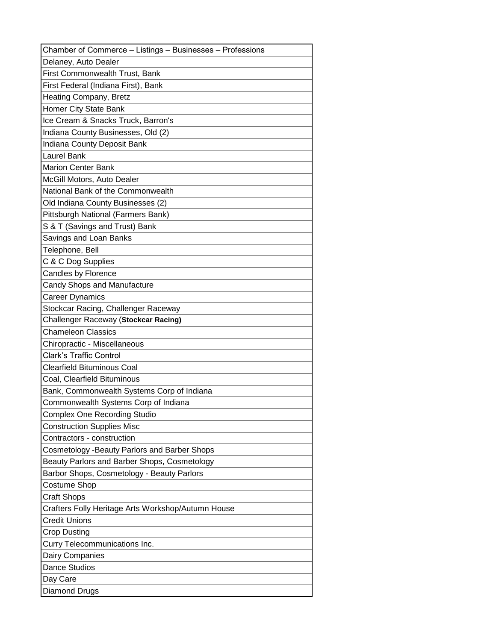| Chamber of Commerce - Listings - Businesses - Professions |
|-----------------------------------------------------------|
| Delaney, Auto Dealer                                      |
| First Commonwealth Trust, Bank                            |
| First Federal (Indiana First), Bank                       |
| Heating Company, Bretz                                    |
| Homer City State Bank                                     |
| Ice Cream & Snacks Truck, Barron's                        |
| Indiana County Businesses, Old (2)                        |
| Indiana County Deposit Bank                               |
| <b>Laurel Bank</b>                                        |
| <b>Marion Center Bank</b>                                 |
| McGill Motors, Auto Dealer                                |
| National Bank of the Commonwealth                         |
| Old Indiana County Businesses (2)                         |
| Pittsburgh National (Farmers Bank)                        |
| S & T (Savings and Trust) Bank                            |
| Savings and Loan Banks                                    |
| Telephone, Bell                                           |
| C & C Dog Supplies                                        |
| Candles by Florence                                       |
| Candy Shops and Manufacture                               |
| Career Dynamics                                           |
| Stockcar Racing, Challenger Raceway                       |
| Challenger Raceway (Stockcar Racing)                      |
| <b>Chameleon Classics</b>                                 |
| Chiropractic - Miscellaneous                              |
| <b>Clark's Traffic Control</b>                            |
| <b>Clearfield Bituminous Coal</b>                         |
| Coal, Clearfield Bituminous                               |
| Bank, Commonwealth Systems Corp of Indiana                |
| Commonwealth Systems Corp of Indiana                      |
| <b>Complex One Recording Studio</b>                       |
| <b>Construction Supplies Misc</b>                         |
| Contractors - construction                                |
| Cosmetology -Beauty Parlors and Barber Shops              |
| Beauty Parlors and Barber Shops, Cosmetology              |
| Barbor Shops, Cosmetology - Beauty Parlors                |
| Costume Shop                                              |
| <b>Craft Shops</b>                                        |
| Crafters Folly Heritage Arts Workshop/Autumn House        |
| <b>Credit Unions</b>                                      |
| <b>Crop Dusting</b>                                       |
| Curry Telecommunications Inc.                             |
| Dairy Companies                                           |
| <b>Dance Studios</b>                                      |
| Day Care                                                  |
| Diamond Drugs                                             |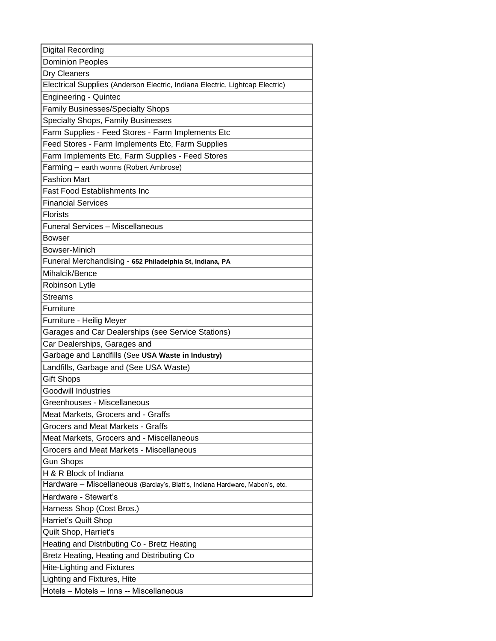| Digital Recording                                                             |
|-------------------------------------------------------------------------------|
| <b>Dominion Peoples</b>                                                       |
| Dry Cleaners                                                                  |
| Electrical Supplies (Anderson Electric, Indiana Electric, Lightcap Electric)  |
| <b>Engineering - Quintec</b>                                                  |
| <b>Family Businesses/Specialty Shops</b>                                      |
| Specialty Shops, Family Businesses                                            |
| Farm Supplies - Feed Stores - Farm Implements Etc                             |
| Feed Stores - Farm Implements Etc, Farm Supplies                              |
| Farm Implements Etc, Farm Supplies - Feed Stores                              |
| Farming - earth worms (Robert Ambrose)                                        |
| <b>Fashion Mart</b>                                                           |
| <b>Fast Food Establishments Inc</b>                                           |
| <b>Financial Services</b>                                                     |
| Florists                                                                      |
| <b>Funeral Services - Miscellaneous</b>                                       |
| <b>Bowser</b>                                                                 |
| Bowser-Minich                                                                 |
| Funeral Merchandising - 652 Philadelphia St, Indiana, PA                      |
| Mihalcik/Bence                                                                |
| Robinson Lytle                                                                |
| Streams                                                                       |
| Furniture                                                                     |
| Furniture - Heilig Meyer                                                      |
| Garages and Car Dealerships (see Service Stations)                            |
| Car Dealerships, Garages and                                                  |
| Garbage and Landfills (See USA Waste in Industry)                             |
| Landfills, Garbage and (See USA Waste)                                        |
| <b>Gift Shops</b>                                                             |
| <b>Goodwill Industries</b>                                                    |
| Greenhouses - Miscellaneous                                                   |
| Meat Markets, Grocers and - Graffs                                            |
| Grocers and Meat Markets - Graffs                                             |
| Meat Markets, Grocers and - Miscellaneous                                     |
| Grocers and Meat Markets - Miscellaneous                                      |
| <b>Gun Shops</b>                                                              |
| H & R Block of Indiana                                                        |
| Hardware - Miscellaneous (Barclay's, Blatt's, Indiana Hardware, Mabon's, etc. |
| Hardware - Stewart's                                                          |
| Harness Shop (Cost Bros.)                                                     |
| Harriet's Quilt Shop                                                          |
| Quilt Shop, Harriet's                                                         |
| Heating and Distributing Co - Bretz Heating                                   |
| Bretz Heating, Heating and Distributing Co                                    |
| <b>Hite-Lighting and Fixtures</b>                                             |
| Lighting and Fixtures, Hite                                                   |
| Hotels - Motels - Inns -- Miscellaneous                                       |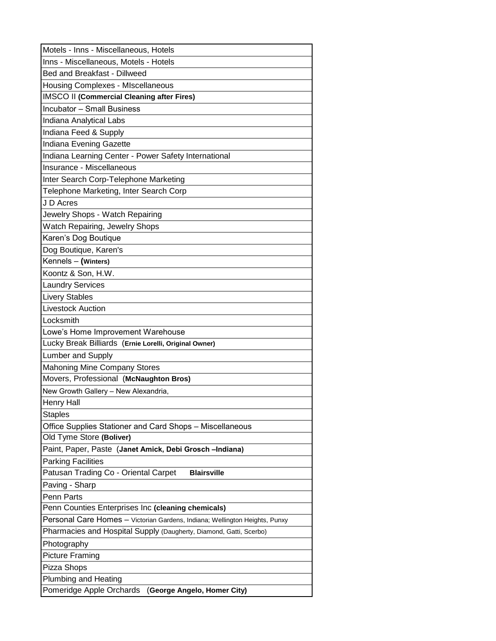| Motels - Inns - Miscellaneous, Hotels                                       |
|-----------------------------------------------------------------------------|
| Inns - Miscellaneous, Motels - Hotels                                       |
| Bed and Breakfast - Dillweed                                                |
| <b>Housing Complexes - MIscellaneous</b>                                    |
| <b>IMSCO II (Commercial Cleaning after Fires)</b>                           |
| <b>Incubator - Small Business</b>                                           |
| Indiana Analytical Labs                                                     |
| Indiana Feed & Supply                                                       |
| Indiana Evening Gazette                                                     |
| Indiana Learning Center - Power Safety International                        |
| Insurance - Miscellaneous                                                   |
| Inter Search Corp-Telephone Marketing                                       |
| Telephone Marketing, Inter Search Corp                                      |
| J D Acres                                                                   |
| Jewelry Shops - Watch Repairing                                             |
| <b>Watch Repairing, Jewelry Shops</b>                                       |
| Karen's Dog Boutique                                                        |
| Dog Boutique, Karen's                                                       |
| Kennels - (Winters)                                                         |
| Koontz & Son, H.W.                                                          |
| <b>Laundry Services</b>                                                     |
| <b>Livery Stables</b>                                                       |
| <b>Livestock Auction</b>                                                    |
| Locksmith                                                                   |
| Lowe's Home Improvement Warehouse                                           |
| Lucky Break Billiards (Ernie Lorelli, Original Owner)                       |
| <b>Lumber and Supply</b>                                                    |
| <b>Mahoning Mine Company Stores</b>                                         |
| Movers, Professional (McNaughton Bros)                                      |
| New Growth Gallery - New Alexandria,                                        |
| <b>Henry Hall</b>                                                           |
| <b>Staples</b>                                                              |
| Office Supplies Stationer and Card Shops - Miscellaneous                    |
| Old Tyme Store (Boliver)                                                    |
| Paint, Paper, Paste (Janet Amick, Debi Grosch-Indiana)                      |
| <b>Parking Facilities</b>                                                   |
| Patusan Trading Co - Oriental Carpet<br><b>Blairsville</b>                  |
| Paving - Sharp                                                              |
| Penn Parts                                                                  |
| Penn Counties Enterprises Inc (cleaning chemicals)                          |
| Personal Care Homes - Victorian Gardens, Indiana; Wellington Heights, Punxy |
| Pharmacies and Hospital Supply (Daugherty, Diamond, Gatti, Scerbo)          |
| Photography                                                                 |
| <b>Picture Framing</b>                                                      |
| Pizza Shops                                                                 |
| Plumbing and Heating                                                        |
| Pomeridge Apple Orchards<br>(George Angelo, Homer City)                     |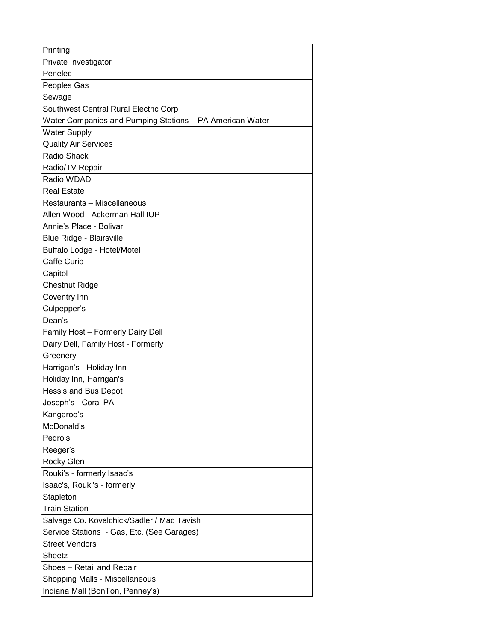| Printing                                                 |
|----------------------------------------------------------|
| Private Investigator                                     |
| Penelec                                                  |
| Peoples Gas                                              |
| Sewage                                                   |
| Southwest Central Rural Electric Corp                    |
| Water Companies and Pumping Stations - PA American Water |
| <b>Water Supply</b>                                      |
| <b>Quality Air Services</b>                              |
| <b>Radio Shack</b>                                       |
| Radio/TV Repair                                          |
| Radio WDAD                                               |
| <b>Real Estate</b>                                       |
| Restaurants - Miscellaneous                              |
| Allen Wood - Ackerman Hall IUP                           |
| Annie's Place - Bolivar                                  |
| Blue Ridge - Blairsville                                 |
| Buffalo Lodge - Hotel/Motel                              |
| Caffe Curio                                              |
| Capitol                                                  |
| <b>Chestnut Ridge</b>                                    |
| Coventry Inn                                             |
| Culpepper's                                              |
| Dean's                                                   |
| Family Host - Formerly Dairy Dell                        |
| Dairy Dell, Family Host - Formerly                       |
| Greenery                                                 |
| Harrigan's - Holiday Inn                                 |
| Holiday Inn, Harrigan's                                  |
| Hess's and Bus Depot                                     |
| Joseph's - Coral PA                                      |
| Kangaroo's                                               |
| McDonald's                                               |
| Pedro's                                                  |
| Reeger's                                                 |
| Rocky Glen                                               |
| Rouki's - formerly Isaac's                               |
| Isaac's, Rouki's - formerly                              |
| Stapleton                                                |
| <b>Train Station</b>                                     |
| Salvage Co. Kovalchick/Sadler / Mac Tavish               |
| Service Stations - Gas, Etc. (See Garages)               |
| <b>Street Vendors</b>                                    |
| Sheetz                                                   |
| Shoes - Retail and Repair                                |
| Shopping Malls - Miscellaneous                           |
| Indiana Mall (BonTon, Penney's)                          |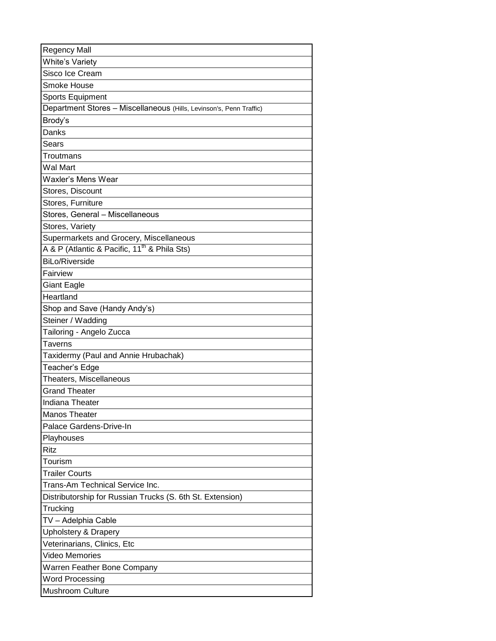| <b>Regency Mall</b>                                                 |
|---------------------------------------------------------------------|
| <b>White's Variety</b>                                              |
| Sisco Ice Cream                                                     |
| Smoke House                                                         |
| Sports Equipment                                                    |
| Department Stores - Miscellaneous (Hills, Levinson's, Penn Traffic) |
| Brody's                                                             |
| Danks                                                               |
| Sears                                                               |
| Troutmans                                                           |
| Wal Mart                                                            |
| Waxler's Mens Wear                                                  |
| Stores, Discount                                                    |
| Stores, Furniture                                                   |
| Stores, General - Miscellaneous                                     |
| Stores, Variety                                                     |
| Supermarkets and Grocery, Miscellaneous                             |
| A & P (Atlantic & Pacific, 11 <sup>th</sup> & Phila Sts)            |
| <b>BiLo/Riverside</b>                                               |
| Fairview                                                            |
| Giant Eagle                                                         |
| Heartland                                                           |
| Shop and Save (Handy Andy's)                                        |
| Steiner / Wadding                                                   |
| Tailoring - Angelo Zucca                                            |
| Taverns                                                             |
| Taxidermy (Paul and Annie Hrubachak)                                |
| Teacher's Edge                                                      |
| Theaters, Miscellaneous                                             |
| <b>Grand Theater</b>                                                |
| <b>Indiana Theater</b>                                              |
| <b>Manos Theater</b>                                                |
| Palace Gardens-Drive-In                                             |
| Playhouses                                                          |
| Ritz                                                                |
| Tourism                                                             |
| <b>Trailer Courts</b>                                               |
| Trans-Am Technical Service Inc.                                     |
| Distributorship for Russian Trucks (S. 6th St. Extension)           |
| Trucking                                                            |
| TV – Adelphia Cable                                                 |
| <b>Upholstery &amp; Drapery</b>                                     |
| Veterinarians, Clinics, Etc                                         |
| Video Memories                                                      |
| Warren Feather Bone Company                                         |
| <b>Word Processing</b>                                              |
| Mushroom Culture                                                    |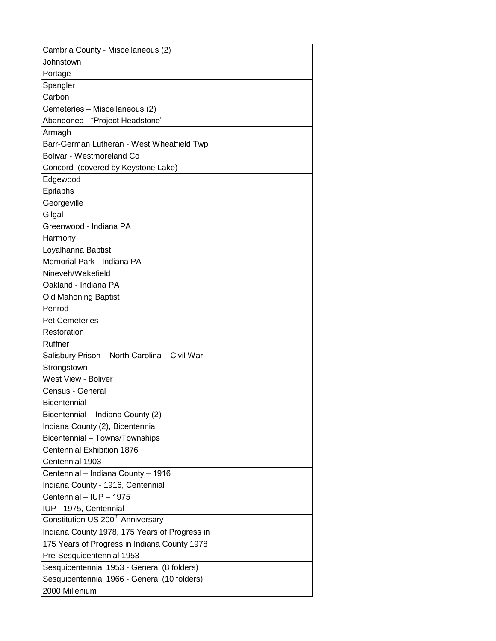| Cambria County - Miscellaneous (2)            |
|-----------------------------------------------|
| Johnstown                                     |
| Portage                                       |
| Spangler                                      |
| Carbon                                        |
| Cemeteries - Miscellaneous (2)                |
| Abandoned - "Project Headstone"               |
| Armagh                                        |
| Barr-German Lutheran - West Wheatfield Twp    |
| <b>Bolivar - Westmoreland Co</b>              |
| Concord (covered by Keystone Lake)            |
| Edgewood                                      |
| Epitaphs                                      |
| Georgeville                                   |
| Gilgal                                        |
| Greenwood - Indiana PA                        |
| Harmony                                       |
| Loyalhanna Baptist                            |
| Memorial Park - Indiana PA                    |
| Nineveh/Wakefield                             |
| Oakland - Indiana PA                          |
| <b>Old Mahoning Baptist</b>                   |
| Penrod                                        |
| <b>Pet Cemeteries</b>                         |
| Restoration                                   |
| Ruffner                                       |
| Salisbury Prison - North Carolina - Civil War |
| Strongstown                                   |
| <b>West View - Boliver</b>                    |
| Census - General                              |
| Bicentennial                                  |
| Bicentennial - Indiana County (2)             |
| Indiana County (2), Bicentennial              |
| Bicentennial - Towns/Townships                |
| Centennial Exhibition 1876                    |
| Centennial 1903                               |
| Centennial - Indiana County - 1916            |
| Indiana County - 1916, Centennial             |
| Centennial - IUP - 1975                       |
| IUP - 1975, Centennial                        |
| Constitution US 200 <sup>th</sup> Anniversary |
| Indiana County 1978, 175 Years of Progress in |
| 175 Years of Progress in Indiana County 1978  |
| Pre-Sesquicentennial 1953                     |
| Sesquicentennial 1953 - General (8 folders)   |
| Sesquicentennial 1966 - General (10 folders)  |
| 2000 Millenium                                |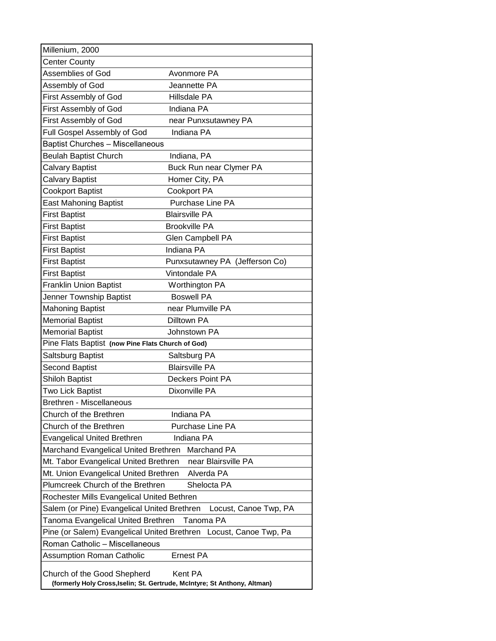| Millenium, 2000                                   |                                                                                      |
|---------------------------------------------------|--------------------------------------------------------------------------------------|
| <b>Center County</b>                              |                                                                                      |
| Assemblies of God                                 | Avonmore PA                                                                          |
| Assembly of God                                   | Jeannette PA                                                                         |
| First Assembly of God                             | Hillsdale PA                                                                         |
| First Assembly of God                             | Indiana PA                                                                           |
| First Assembly of God                             | near Punxsutawney PA                                                                 |
| Full Gospel Assembly of God                       | Indiana PA                                                                           |
| <b>Baptist Churches - Miscellaneous</b>           |                                                                                      |
| <b>Beulah Baptist Church</b>                      | Indiana, PA                                                                          |
| Calvary Baptist                                   | Buck Run near Clymer PA                                                              |
| Calvary Baptist                                   | Homer City, PA                                                                       |
| Cookport Baptist                                  | <b>Cookport PA</b>                                                                   |
| <b>East Mahoning Baptist</b>                      | Purchase Line PA                                                                     |
| <b>First Baptist</b>                              | <b>Blairsville PA</b>                                                                |
| <b>First Baptist</b>                              | <b>Brookville PA</b>                                                                 |
| <b>First Baptist</b>                              | Glen Campbell PA                                                                     |
| <b>First Baptist</b>                              | Indiana PA                                                                           |
| <b>First Baptist</b>                              | Punxsutawney PA (Jefferson Co)                                                       |
| <b>First Baptist</b>                              | Vintondale PA                                                                        |
| <b>Franklin Union Baptist</b>                     | Worthington PA                                                                       |
| Jenner Township Baptist                           | <b>Boswell PA</b>                                                                    |
| <b>Mahoning Baptist</b>                           | near Plumville PA                                                                    |
| <b>Memorial Baptist</b>                           | Dilltown PA                                                                          |
| <b>Memorial Baptist</b>                           | Johnstown PA                                                                         |
| Pine Flats Baptist (now Pine Flats Church of God) |                                                                                      |
| Saltsburg Baptist                                 | Saltsburg PA                                                                         |
| <b>Second Baptist</b>                             | <b>Blairsville PA</b>                                                                |
| <b>Shiloh Baptist</b>                             | Deckers Point PA                                                                     |
| Two Lick Baptist                                  | Dixonville PA                                                                        |
| <b>Brethren - Miscellaneous</b>                   |                                                                                      |
| Church of the Brethren                            | Indiana PA                                                                           |
| Church of the Brethren                            | Purchase Line PA                                                                     |
| <b>Evangelical United Brethren</b>                | Indiana PA                                                                           |
| Marchand Evangelical United Brethren              | Marchand PA                                                                          |
| Mt. Tabor Evangelical United Brethren             | near Blairsville PA                                                                  |
| Mt. Union Evangelical United Brethren             | Alverda PA                                                                           |
| Plumcreek Church of the Brethren                  | Shelocta PA                                                                          |
| Rochester Mills Evangelical United Bethren        |                                                                                      |
| Salem (or Pine) Evangelical United Brethren       | Locust, Canoe Twp, PA                                                                |
| Tanoma Evangelical United Brethren                | Tanoma PA                                                                            |
|                                                   | Pine (or Salem) Evangelical United Brethren Locust, Canoe Twp, Pa                    |
| Roman Catholic - Miscellaneous                    |                                                                                      |
| <b>Assumption Roman Catholic</b>                  | <b>Ernest PA</b>                                                                     |
| Church of the Good Shepherd                       | Kent PA<br>(formerly Holy Cross, Iselin; St. Gertrude, McIntyre; St Anthony, Altman) |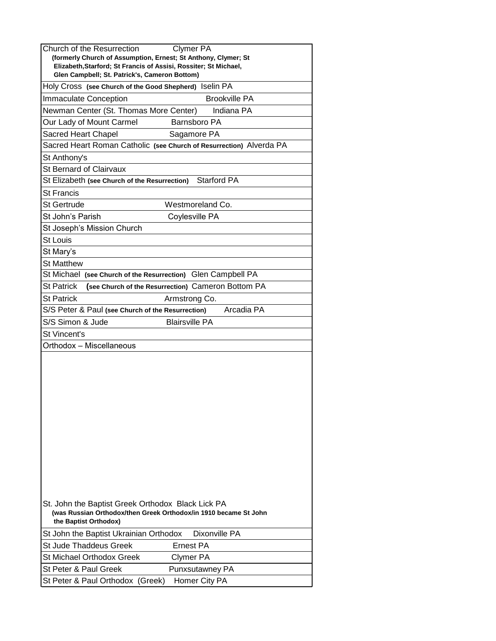|                                                                                           | <b>Clymer PA</b><br>(formerly Church of Assumption, Ernest; St Anthony, Clymer; St |
|-------------------------------------------------------------------------------------------|------------------------------------------------------------------------------------|
| Elizabeth, Starford; St Francis of Assisi, Rossiter; St Michael,                          |                                                                                    |
| Glen Campbell; St. Patrick's, Cameron Bottom)                                             |                                                                                    |
| Holy Cross (see Church of the Good Shepherd) Iselin PA                                    |                                                                                    |
| <b>Immaculate Conception</b>                                                              | <b>Brookville PA</b>                                                               |
| Newman Center (St. Thomas More Center)                                                    | Indiana PA                                                                         |
| Our Lady of Mount Carmel                                                                  | Barnsboro PA                                                                       |
| Sacred Heart Chapel                                                                       | Sagamore PA                                                                        |
| Sacred Heart Roman Catholic (see Church of Resurrection) Alverda PA                       |                                                                                    |
| St Anthony's                                                                              |                                                                                    |
| <b>St Bernard of Clairvaux</b>                                                            |                                                                                    |
| St Elizabeth (see Church of the Resurrection)                                             | <b>Starford PA</b>                                                                 |
| <b>St Francis</b>                                                                         |                                                                                    |
| St Gertrude                                                                               | Westmoreland Co.                                                                   |
| St John's Parish                                                                          | Coylesville PA                                                                     |
| St Joseph's Mission Church                                                                |                                                                                    |
| <b>St Louis</b>                                                                           |                                                                                    |
| St Mary's                                                                                 |                                                                                    |
| <b>St Matthew</b>                                                                         |                                                                                    |
| St Michael (see Church of the Resurrection) Glen Campbell PA                              |                                                                                    |
| <b>St Patrick</b>                                                                         | (see Church of the Resurrection) Cameron Bottom PA                                 |
| <b>St Patrick</b>                                                                         | Armstrong Co.                                                                      |
| S/S Peter & Paul (see Church of the Resurrection)                                         | Arcadia PA                                                                         |
| S/S Simon & Jude                                                                          | <b>Blairsville PA</b>                                                              |
| St Vincent's                                                                              |                                                                                    |
|                                                                                           |                                                                                    |
| Orthodox - Miscellaneous                                                                  |                                                                                    |
|                                                                                           |                                                                                    |
|                                                                                           |                                                                                    |
|                                                                                           |                                                                                    |
|                                                                                           |                                                                                    |
|                                                                                           |                                                                                    |
|                                                                                           |                                                                                    |
|                                                                                           |                                                                                    |
|                                                                                           |                                                                                    |
|                                                                                           |                                                                                    |
|                                                                                           |                                                                                    |
|                                                                                           |                                                                                    |
|                                                                                           |                                                                                    |
|                                                                                           |                                                                                    |
| St. John the Baptist Greek Orthodox Black Lick PA                                         |                                                                                    |
| (was Russian Orthodox/then Greek Orthodox/in 1910 became St John<br>the Baptist Orthodox) |                                                                                    |
| St John the Baptist Ukrainian Orthodox                                                    | Dixonville PA                                                                      |
|                                                                                           | <b>Ernest PA</b>                                                                   |
| St Jude Thaddeus Greek<br><b>St Michael Orthodox Greek</b>                                |                                                                                    |
| St Peter & Paul Greek                                                                     | Clymer PA<br>Punxsutawney PA                                                       |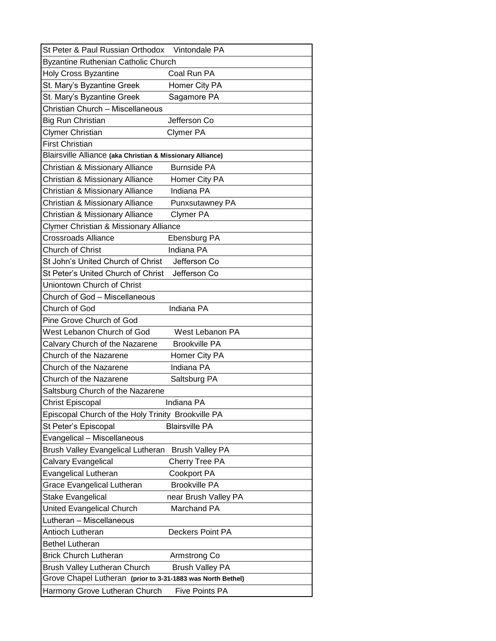| Vintondale PA                                               |
|-------------------------------------------------------------|
|                                                             |
| Coal Run PA                                                 |
| Homer City PA                                               |
| Sagamore PA                                                 |
|                                                             |
| Jefferson Co                                                |
| <b>Clymer PA</b>                                            |
|                                                             |
| Blairsville Alliance (aka Christian & Missionary Alliance)  |
| <b>Burnside PA</b>                                          |
| Homer City PA                                               |
| Indiana PA                                                  |
| Punxsutawney PA                                             |
| <b>Clymer PA</b>                                            |
|                                                             |
| Ebensburg PA                                                |
| Indiana PA                                                  |
| Jefferson Co                                                |
| Jefferson Co                                                |
|                                                             |
|                                                             |
| Indiana PA                                                  |
|                                                             |
| West Lebanon PA                                             |
| <b>Brookville PA</b>                                        |
| Homer City PA                                               |
| Indiana PA                                                  |
| Saltsburg PA                                                |
|                                                             |
| Indiana PA                                                  |
| Episcopal Church of the Holy Trinity Brookville PA          |
| <b>Blairsville PA</b>                                       |
|                                                             |
| <b>Brush Valley PA</b>                                      |
| Cherry Tree PA                                              |
| <b>Cookport PA</b>                                          |
| <b>Brookville PA</b>                                        |
| near Brush Valley PA                                        |
| Marchand PA                                                 |
|                                                             |
| Deckers Point PA                                            |
|                                                             |
| Armstrong Co                                                |
| <b>Brush Valley PA</b>                                      |
| Grove Chapel Lutheran (prior to 3-31-1883 was North Bethel) |
| <b>Five Points PA</b>                                       |
|                                                             |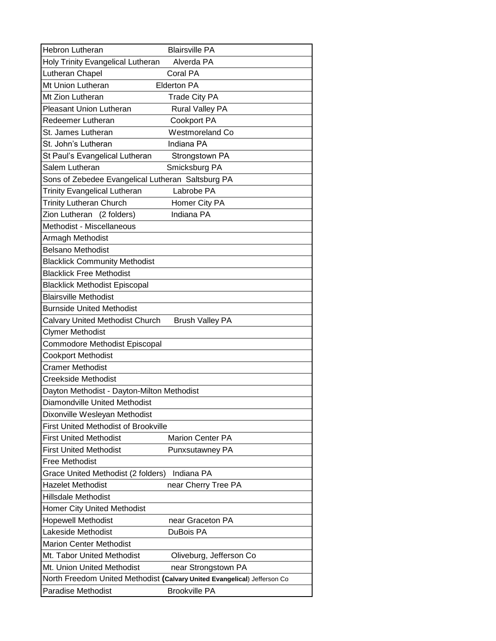| <b>Hebron Lutheran</b>                            | <b>Blairsville PA</b>                                                    |
|---------------------------------------------------|--------------------------------------------------------------------------|
| Holy Trinity Evangelical Lutheran                 | Alverda PA                                                               |
| Lutheran Chapel                                   | Coral PA                                                                 |
| Mt Union Lutheran                                 | <b>Elderton PA</b>                                                       |
| Mt Zion Lutheran                                  | <b>Trade City PA</b>                                                     |
| <b>Pleasant Union Lutheran</b>                    | <b>Rural Valley PA</b>                                                   |
| Redeemer Lutheran                                 | <b>Cookport PA</b>                                                       |
| St. James Lutheran                                | <b>Westmoreland Co</b>                                                   |
| St. John's Lutheran                               | Indiana PA                                                               |
| St Paul's Evangelical Lutheran                    | Strongstown PA                                                           |
| Salem Lutheran                                    | Smicksburg PA                                                            |
| Sons of Zebedee Evangelical Lutheran Saltsburg PA |                                                                          |
| <b>Trinity Evangelical Lutheran</b>               | Labrobe PA                                                               |
| <b>Trinity Lutheran Church</b>                    | Homer City PA                                                            |
| Zion Lutheran (2 folders)                         | Indiana PA                                                               |
| Methodist - Miscellaneous                         |                                                                          |
| Armagh Methodist                                  |                                                                          |
| <b>Belsano Methodist</b>                          |                                                                          |
| <b>Blacklick Community Methodist</b>              |                                                                          |
| <b>Blacklick Free Methodist</b>                   |                                                                          |
| <b>Blacklick Methodist Episcopal</b>              |                                                                          |
| <b>Blairsville Methodist</b>                      |                                                                          |
| <b>Burnside United Methodist</b>                  |                                                                          |
| Calvary United Methodist Church                   | <b>Brush Valley PA</b>                                                   |
| Clymer Methodist                                  |                                                                          |
| Commodore Methodist Episcopal                     |                                                                          |
| <b>Cookport Methodist</b>                         |                                                                          |
| <b>Cramer Methodist</b>                           |                                                                          |
| <b>Creekside Methodist</b>                        |                                                                          |
| Dayton Methodist - Dayton-Milton Methodist        |                                                                          |
| Diamondville United Methodist                     |                                                                          |
| Dixonville Wesleyan Methodist                     |                                                                          |
| <b>First United Methodist of Brookville</b>       |                                                                          |
| <b>First United Methodist</b>                     | <b>Marion Center PA</b>                                                  |
| <b>First United Methodist</b>                     | Punxsutawney PA                                                          |
| <b>Free Methodist</b>                             |                                                                          |
| Grace United Methodist (2 folders)                | Indiana PA                                                               |
| <b>Hazelet Methodist</b>                          | near Cherry Tree PA                                                      |
| <b>Hillsdale Methodist</b>                        |                                                                          |
| <b>Homer City United Methodist</b>                |                                                                          |
| <b>Hopewell Methodist</b>                         | near Graceton PA                                                         |
| Lakeside Methodist                                | DuBois PA                                                                |
| <b>Marion Center Methodist</b>                    |                                                                          |
| Mt. Tabor United Methodist                        | Oliveburg, Jefferson Co                                                  |
| Mt. Union United Methodist                        | near Strongstown PA                                                      |
|                                                   | North Freedom United Methodist (Calvary United Evangelical) Jefferson Co |
| <b>Paradise Methodist</b>                         | <b>Brookville PA</b>                                                     |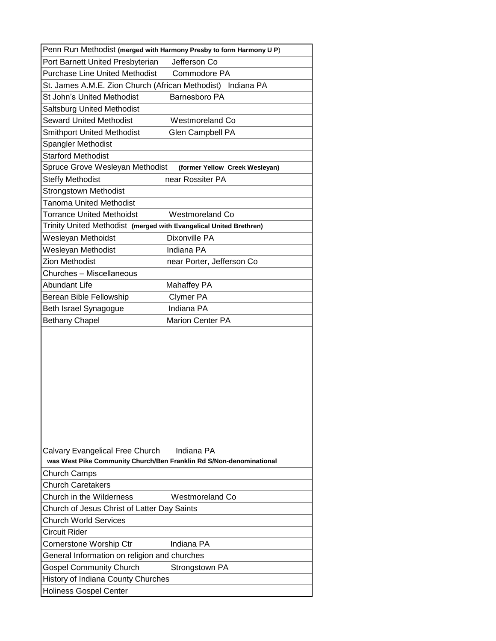| Penn Run Methodist (merged with Harmony Presby to form Harmony U P)                                                  |  |
|----------------------------------------------------------------------------------------------------------------------|--|
| Port Barnett United Presbyterian<br>Jefferson Co                                                                     |  |
| <b>Purchase Line United Methodist</b><br>Commodore PA                                                                |  |
| St. James A.M.E. Zion Church (African Methodist) Indiana PA                                                          |  |
| St John's United Methodist<br>Barnesboro PA                                                                          |  |
| <b>Saltsburg United Methodist</b>                                                                                    |  |
| <b>Seward United Methodist</b><br><b>Westmoreland Co</b>                                                             |  |
| <b>Smithport United Methodist</b><br>Glen Campbell PA                                                                |  |
| Spangler Methodist                                                                                                   |  |
| <b>Starford Methodist</b>                                                                                            |  |
| Spruce Grove Wesleyan Methodist<br>(former Yellow Creek Wesleyan)                                                    |  |
| <b>Steffy Methodist</b><br>near Rossiter PA                                                                          |  |
| <b>Strongstown Methodist</b>                                                                                         |  |
| <b>Tanoma United Methodist</b>                                                                                       |  |
| <b>Torrance United Methoidst</b><br><b>Westmoreland Co</b>                                                           |  |
| Trinity United Methodist (merged with Evangelical United Brethren)                                                   |  |
| Dixonville PA<br>Wesleyan Methoidst                                                                                  |  |
| Wesleyan Methodist<br>Indiana PA                                                                                     |  |
| <b>Zion Methodist</b><br>near Porter, Jefferson Co                                                                   |  |
| Churches - Miscellaneous                                                                                             |  |
| Abundant Life<br>Mahaffey PA                                                                                         |  |
| Berean Bible Fellowship<br><b>Clymer PA</b>                                                                          |  |
| Indiana PA<br>Beth Israel Synagogue                                                                                  |  |
| <b>Bethany Chapel</b><br><b>Marion Center PA</b>                                                                     |  |
| Indiana PA<br>Calvary Evangelical Free Church<br>was West Pike Community Church/Ben Franklin Rd S/Non-denominational |  |
| <b>Church Camps</b>                                                                                                  |  |
| <b>Church Caretakers</b>                                                                                             |  |
| Church in the Wilderness<br>Westmoreland Co.                                                                         |  |
| Church of Jesus Christ of Latter Day Saints                                                                          |  |
|                                                                                                                      |  |
| <b>Church World Services</b>                                                                                         |  |
| <b>Circuit Rider</b>                                                                                                 |  |
| Indiana PA<br>Cornerstone Worship Ctr                                                                                |  |
| General Information on religion and churches                                                                         |  |
| <b>Gospel Community Church</b><br>Strongstown PA                                                                     |  |
| History of Indiana County Churches                                                                                   |  |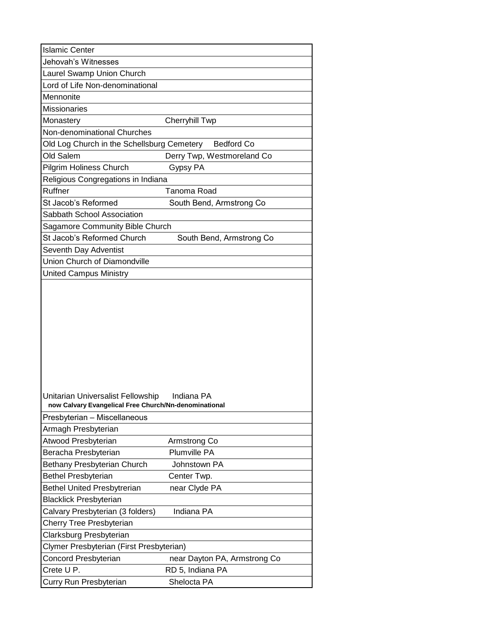| <b>Islamic Center</b>                                 |                              |
|-------------------------------------------------------|------------------------------|
| Jehovah's Witnesses                                   |                              |
| Laurel Swamp Union Church                             |                              |
| Lord of Life Non-denominational                       |                              |
| Mennonite                                             |                              |
| <b>Missionaries</b>                                   |                              |
| Monastery                                             | <b>Cherryhill Twp</b>        |
| Non-denominational Churches                           |                              |
| Old Log Church in the Schellsburg Cemetery Bedford Co |                              |
| Old Salem                                             | Derry Twp, Westmoreland Co   |
| Pilgrim Holiness Church                               | Gypsy PA                     |
| Religious Congregations in Indiana                    |                              |
| Ruffner                                               | Tanoma Road                  |
| St Jacob's Reformed                                   | South Bend, Armstrong Co     |
| Sabbath School Association                            |                              |
| Sagamore Community Bible Church                       |                              |
| St Jacob's Reformed Church                            | South Bend, Armstrong Co     |
| Seventh Day Adventist                                 |                              |
| <b>Union Church of Diamondville</b>                   |                              |
| <b>United Campus Ministry</b>                         |                              |
| Unitarian Universalist Fellowship Indiana PA          |                              |
| now Calvary Evangelical Free Church/Nn-denominational |                              |
| Presbyterian - Miscellaneous                          |                              |
| Armagh Presbyterian                                   |                              |
| Atwood Presbyterian                                   | Armstrong Co                 |
| Beracha Presbyterian                                  | <b>Plumville PA</b>          |
| Bethany Presbyterian Church                           | Johnstown PA                 |
| <b>Bethel Presbyterian</b>                            | Center Twp.                  |
| <b>Bethel United Presbytrerian</b>                    | near Clyde PA                |
| <b>Blacklick Presbyterian</b>                         |                              |
| Calvary Presbyterian (3 folders)                      | Indiana PA                   |
| Cherry Tree Presbyterian                              |                              |
| Clarksburg Presbyterian                               |                              |
| Clymer Presbyterian (First Presbyterian)              |                              |
| Concord Presbyterian                                  | near Dayton PA, Armstrong Co |
| Crete U P.                                            | RD 5, Indiana PA             |
| Curry Run Presbyterian                                | Shelocta PA                  |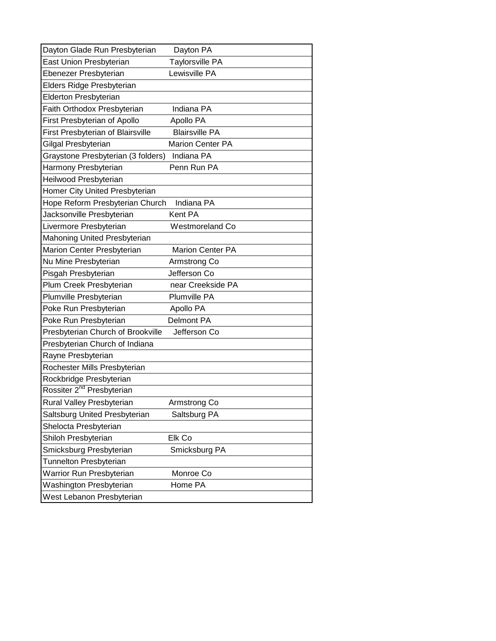| Dayton Glade Run Presbyterian            | Dayton PA               |
|------------------------------------------|-------------------------|
| East Union Presbyterian                  | <b>Taylorsville PA</b>  |
| Ebenezer Presbyterian                    | Lewisville PA           |
| Elders Ridge Presbyterian                |                         |
| <b>Elderton Presbyterian</b>             |                         |
| Faith Orthodox Presbyterian              | Indiana PA              |
| <b>First Presbyterian of Apollo</b>      | Apollo PA               |
| <b>First Presbyterian of Blairsville</b> | <b>Blairsville PA</b>   |
| Gilgal Presbyterian                      | Marion Center PA        |
| Graystone Presbyterian (3 folders)       | Indiana PA              |
| Harmony Presbyterian                     | Penn Run PA             |
| Heilwood Presbyterian                    |                         |
| Homer City United Presbyterian           |                         |
| Hope Reform Presbyterian Church          | Indiana PA              |
| Jacksonville Presbyterian                | Kent PA                 |
| Livermore Presbyterian                   | <b>Westmoreland Co</b>  |
| Mahoning United Presbyterian             |                         |
| Marion Center Presbyterian               | <b>Marion Center PA</b> |
| Nu Mine Presbyterian                     | Armstrong Co            |
| Pisgah Presbyterian                      | Jefferson Co            |
| Plum Creek Presbyterian                  | near Creekside PA       |
| Plumville Presbyterian                   | Plumville PA            |
| Poke Run Presbyterian                    | Apollo PA               |
| Poke Run Presbyterian                    | <b>Delmont PA</b>       |
| Presbyterian Church of Brookville        | Jefferson Co            |
| Presbyterian Church of Indiana           |                         |
| Rayne Presbyterian                       |                         |
| Rochester Mills Presbyterian             |                         |
| Rockbridge Presbyterian                  |                         |
| Rossiter 2 <sup>nd</sup> Presbyterian    |                         |
| Rural Valley Presbyterian                | Armstrong Co            |
| Saltsburg United Presbyterian            | Saltsburg PA            |
| Shelocta Presbyterian                    |                         |
| Shiloh Presbyterian                      | Elk Co                  |
| Smicksburg Presbyterian                  | Smicksburg PA           |
| Tunnelton Presbyterian                   |                         |
| Warrior Run Presbyterian                 | Monroe Co               |
| Washington Presbyterian                  | Home PA                 |
| West Lebanon Presbyterian                |                         |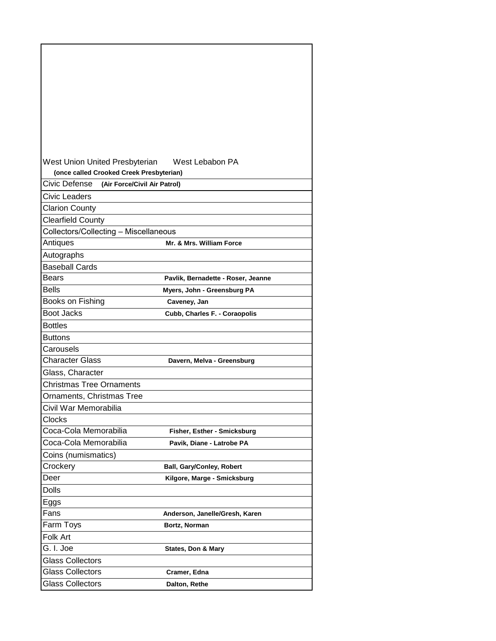| West Union United Presbyterian                | West Lebabon PA                    |
|-----------------------------------------------|------------------------------------|
| (once called Crooked Creek Presbyterian)      |                                    |
| Civic Defense<br>(Air Force/Civil Air Patrol) |                                    |
| Civic Leaders                                 |                                    |
| <b>Clarion County</b>                         |                                    |
| <b>Clearfield County</b>                      |                                    |
| Collectors/Collecting - Miscellaneous         |                                    |
| Antiques                                      | Mr. & Mrs. William Force           |
| Autographs                                    |                                    |
| <b>Baseball Cards</b>                         |                                    |
| Bears                                         | Pavlik, Bernadette - Roser, Jeanne |
| <b>Bells</b>                                  | Myers, John - Greensburg PA        |
| Books on Fishing                              | Caveney, Jan                       |
| Boot Jacks                                    | Cubb, Charles F. - Coraopolis      |
| <b>Bottles</b>                                |                                    |
| Buttons                                       |                                    |
| Carousels                                     |                                    |
| <b>Character Glass</b>                        | Davern, Melva - Greensburg         |
| Glass, Character                              |                                    |
| <b>Christmas Tree Ornaments</b>               |                                    |
| <b>Ornaments, Christmas Tree</b>              |                                    |
| Civil War Memorabilia                         |                                    |
| Clocks                                        |                                    |
| Coca-Cola Memorabilia                         | Fisher, Esther - Smicksburg        |
| Coca-Cola Memorabilia                         | Pavik, Diane - Latrobe PA          |
| Coins (numismatics)                           |                                    |
| Crockery                                      | <b>Ball, Gary/Conley, Robert</b>   |
| Deer                                          | Kilgore, Marge - Smicksburg        |
| <b>Dolls</b>                                  |                                    |
| Eggs                                          |                                    |
| Fans                                          | Anderson, Janelle/Gresh, Karen     |
| Farm Toys                                     | Bortz, Norman                      |
| Folk Art                                      |                                    |
| G. I. Joe                                     | <b>States, Don &amp; Mary</b>      |
| <b>Glass Collectors</b>                       |                                    |
| <b>Glass Collectors</b>                       | Cramer, Edna                       |
| <b>Glass Collectors</b>                       | Dalton, Rethe                      |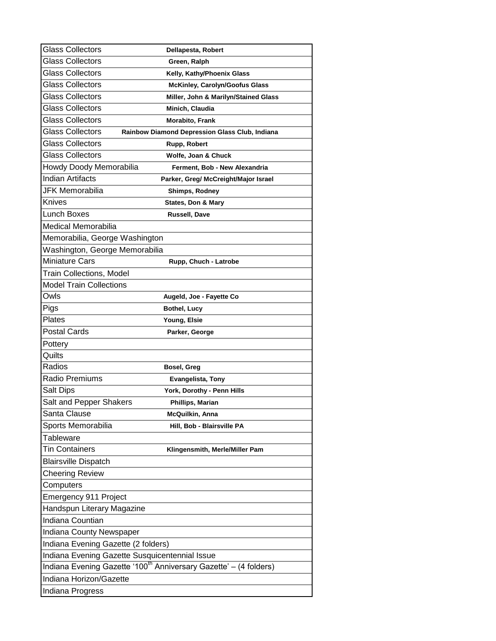| <b>Glass Collectors</b>                        | Dellapesta, Robert                                                            |
|------------------------------------------------|-------------------------------------------------------------------------------|
| Glass Collectors                               | Green, Ralph                                                                  |
| Glass Collectors                               | Kelly, Kathy/Phoenix Glass                                                    |
| Glass Collectors                               | <b>McKinley, Carolyn/Goofus Glass</b>                                         |
| Glass Collectors                               | Miller, John & Marilyn/Stained Glass                                          |
| Glass Collectors                               | Minich, Claudia                                                               |
| Glass Collectors                               | Morabito, Frank                                                               |
| Glass Collectors                               | Rainbow Diamond Depression Glass Club, Indiana                                |
| Glass Collectors                               | Rupp, Robert                                                                  |
| Glass Collectors                               | Wolfe, Joan & Chuck                                                           |
| Howdy Doody Memorabilia                        | Ferment, Bob - New Alexandria                                                 |
| <b>Indian Artifacts</b>                        | Parker, Greg/ McCreight/Major Israel                                          |
| JFK Memorabilia                                | Shimps, Rodney                                                                |
| <b>Knives</b>                                  | States, Don & Mary                                                            |
| <b>Lunch Boxes</b>                             | Russell, Dave                                                                 |
| Medical Memorabilia                            |                                                                               |
| Memorabilia, George Washington                 |                                                                               |
| Washington, George Memorabilia                 |                                                                               |
| <b>Miniature Cars</b>                          | Rupp, Chuch - Latrobe                                                         |
| Train Collections, Model                       |                                                                               |
| <b>Model Train Collections</b>                 |                                                                               |
| Owls                                           | Augeld, Joe - Fayette Co                                                      |
| Pigs                                           | Bothel, Lucy                                                                  |
| Plates                                         | Young, Elsie                                                                  |
| <b>Postal Cards</b>                            | Parker, George                                                                |
| Pottery                                        |                                                                               |
| Quilts                                         |                                                                               |
| Radios                                         | Bosel, Greg                                                                   |
| <b>Radio Premiums</b>                          | <b>Evangelista, Tony</b>                                                      |
| Salt Dips                                      | York, Dorothy - Penn Hills                                                    |
| Salt and Pepper Shakers                        | Phillips, Marian                                                              |
| Santa Clause                                   | McQuilkin, Anna                                                               |
| Sports Memorabilia                             | Hill, Bob - Blairsville PA                                                    |
| Tableware                                      |                                                                               |
| <b>Tin Containers</b>                          | Klingensmith, Merle/Miller Pam                                                |
| <b>Blairsville Dispatch</b>                    |                                                                               |
| <b>Cheering Review</b>                         |                                                                               |
| Computers                                      |                                                                               |
| Emergency 911 Project                          |                                                                               |
| Handspun Literary Magazine                     |                                                                               |
| Indiana Countian                               |                                                                               |
| Indiana County Newspaper                       |                                                                               |
| Indiana Evening Gazette (2 folders)            |                                                                               |
| Indiana Evening Gazette Susquicentennial Issue |                                                                               |
|                                                | Indiana Evening Gazette '100 <sup>th</sup> Anniversary Gazette' - (4 folders) |
| Indiana Horizon/Gazette                        |                                                                               |
| Indiana Progress                               |                                                                               |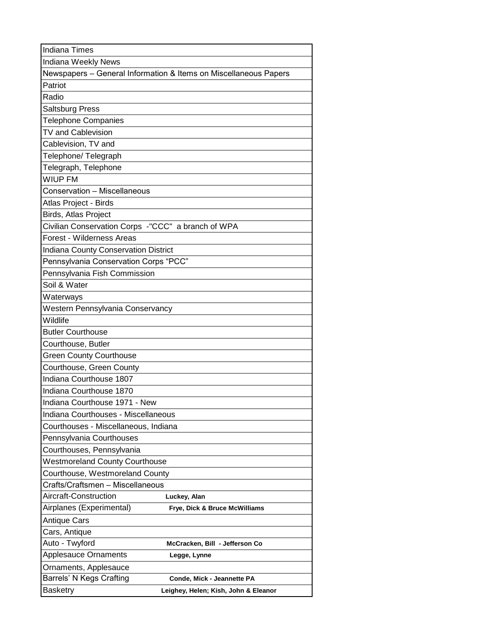| <b>Indiana Times</b>                               |                                                                  |
|----------------------------------------------------|------------------------------------------------------------------|
| Indiana Weekly News                                |                                                                  |
|                                                    | Newspapers - General Information & Items on Miscellaneous Papers |
| Patriot                                            |                                                                  |
| Radio                                              |                                                                  |
| Saltsburg Press                                    |                                                                  |
| <b>Telephone Companies</b>                         |                                                                  |
| TV and Cablevision                                 |                                                                  |
| Cablevision, TV and                                |                                                                  |
| Telephone/Telegraph                                |                                                                  |
| Telegraph, Telephone                               |                                                                  |
| WIUP FM                                            |                                                                  |
| Conservation - Miscellaneous                       |                                                                  |
| Atlas Project - Birds                              |                                                                  |
| Birds, Atlas Project                               |                                                                  |
| Civilian Conservation Corps -"CCC" a branch of WPA |                                                                  |
| <b>Forest - Wilderness Areas</b>                   |                                                                  |
| <b>Indiana County Conservation District</b>        |                                                                  |
| Pennsylvania Conservation Corps "PCC"              |                                                                  |
| Pennsylvania Fish Commission                       |                                                                  |
| Soil & Water                                       |                                                                  |
| Waterways                                          |                                                                  |
| Western Pennsylvania Conservancy                   |                                                                  |
| Wildlife                                           |                                                                  |
| <b>Butler Courthouse</b>                           |                                                                  |
| Courthouse, Butler                                 |                                                                  |
| <b>Green County Courthouse</b>                     |                                                                  |
| Courthouse, Green County                           |                                                                  |
| Indiana Courthouse 1807                            |                                                                  |
| Indiana Courthouse 1870                            |                                                                  |
| Indiana Courthouse 1971 - New                      |                                                                  |
| Indiana Courthouses - Miscellaneous                |                                                                  |
| Courthouses - Miscellaneous, Indiana               |                                                                  |
| Pennsylvania Courthouses                           |                                                                  |
| Courthouses, Pennsylvania                          |                                                                  |
| <b>Westmoreland County Courthouse</b>              |                                                                  |
| Courthouse, Westmoreland County                    |                                                                  |
| Crafts/Craftsmen - Miscellaneous                   |                                                                  |
| Aircraft-Construction                              | Luckey, Alan                                                     |
| Airplanes (Experimental)                           | Frye, Dick & Bruce McWilliams                                    |
| Antique Cars                                       |                                                                  |
| Cars, Antique                                      |                                                                  |
| Auto - Twyford                                     | McCracken, Bill - Jefferson Co                                   |
| <b>Applesauce Ornaments</b>                        | Legge, Lynne                                                     |
| Ornaments, Applesauce                              |                                                                  |
| Barrels' N Kegs Crafting                           | Conde, Mick - Jeannette PA                                       |
| Basketry                                           | Leighey, Helen; Kish, John & Eleanor                             |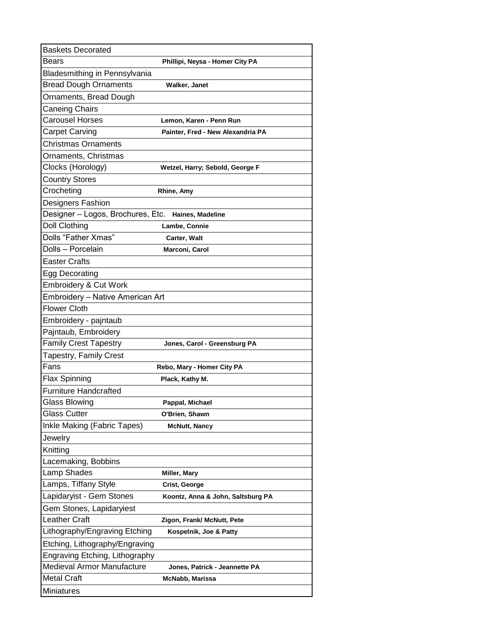| <b>Baskets Decorated</b>          |                                   |
|-----------------------------------|-----------------------------------|
| Bears                             | Phillipi, Neysa - Homer City PA   |
| Bladesmithing in Pennsylvania     |                                   |
| <b>Bread Dough Ornaments</b>      | Walker, Janet                     |
| Ornaments, Bread Dough            |                                   |
| Caneing Chairs                    |                                   |
| <b>Carousel Horses</b>            | Lemon, Karen - Penn Run           |
| <b>Carpet Carving</b>             | Painter, Fred - New Alexandria PA |
| <b>Christmas Ornaments</b>        |                                   |
| Ornaments, Christmas              |                                   |
| Clocks (Horology)                 | Wetzel, Harry; Sebold, George F   |
| <b>Country Stores</b>             |                                   |
| Crocheting                        | Rhine, Amy                        |
| <b>Designers Fashion</b>          |                                   |
| Designer - Logos, Brochures, Etc. | Haines, Madeline                  |
| <b>Doll Clothing</b>              | <b>Lambe, Connie</b>              |
| Dolls "Father Xmas"               | Carter, Walt                      |
| Dolls - Porcelain                 | Marconi, Carol                    |
| <b>Easter Crafts</b>              |                                   |
| Egg Decorating                    |                                   |
| <b>Embroidery &amp; Cut Work</b>  |                                   |
| Embroidery - Native American Art  |                                   |
| <b>Flower Cloth</b>               |                                   |
| Embroidery - pajntaub             |                                   |
| Pajntaub, Embroidery              |                                   |
| <b>Family Crest Tapestry</b>      | Jones, Carol - Greensburg PA      |
| <b>Tapestry, Family Crest</b>     |                                   |
| Fans                              | Rebo, Mary - Homer City PA        |
| <b>Flax Spinning</b>              | Plack, Kathy M.                   |
| <b>Furniture Handcrafted</b>      |                                   |
| Glass Blowing                     | Pappal, Michael                   |
| <b>Glass Cutter</b>               | O'Brien, Shawn                    |
| Inkle Making (Fabric Tapes)       | <b>McNutt, Nancy</b>              |
| Jewelry                           |                                   |
| Knitting                          |                                   |
| Lacemaking, Bobbins               |                                   |
| Lamp Shades                       | Miller, Mary                      |
| Lamps, Tiffany Style              | Crist, George                     |
| Lapidaryist - Gem Stones          | Koontz, Anna & John, Saltsburg PA |
| Gem Stones, Lapidaryiest          |                                   |
| Leather Craft                     | Zigon, Frank/ McNutt, Pete        |
| Lithography/Engraving Etching     | Kospelnik, Joe & Patty            |
| Etching, Lithography/Engraving    |                                   |
| Engraving Etching, Lithography    |                                   |
| Medieval Armor Manufacture        | Jones, Patrick - Jeannette PA     |
| <b>Metal Craft</b>                | McNabb, Marissa                   |
| Miniatures                        |                                   |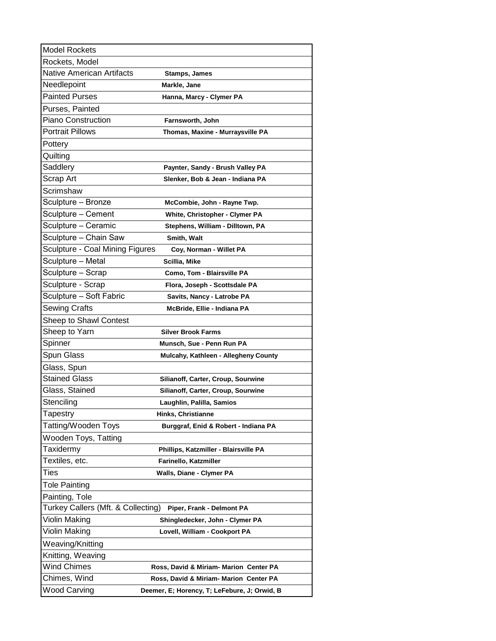| <b>Model Rockets</b>                   |                                              |
|----------------------------------------|----------------------------------------------|
| Rockets, Model                         |                                              |
| Native American Artifacts              | <b>Stamps, James</b>                         |
| Needlepoint                            | Markle, Jane                                 |
| <b>Painted Purses</b>                  | Hanna, Marcy - Clymer PA                     |
| Purses, Painted                        |                                              |
| Piano Construction                     | Farnsworth, John                             |
| <b>Portrait Pillows</b>                | Thomas, Maxine - Murraysville PA             |
| Pottery                                |                                              |
| Quilting                               |                                              |
| Saddlery                               | Paynter, Sandy - Brush Valley PA             |
| Scrap Art                              | Slenker, Bob & Jean - Indiana PA             |
| Scrimshaw                              |                                              |
| Sculpture – Bronze                     | McCombie, John - Rayne Twp.                  |
| Sculpture – Cement                     | White, Christopher - Clymer PA               |
| Sculpture - Ceramic                    | Stephens, William - Dilltown, PA             |
| Sculpture – Chain Saw                  | Smith, Walt                                  |
| <b>Sculpture - Coal Mining Figures</b> | Coy, Norman - Willet PA                      |
| Sculpture – Metal                      | Scillia, Mike                                |
| Sculpture – Scrap                      | Como, Tom - Blairsville PA                   |
| Sculpture - Scrap                      | Flora, Joseph - Scottsdale PA                |
| Sculpture – Soft Fabric                | Savits, Nancy - Latrobe PA                   |
| Sewing Crafts                          | McBride, Ellie - Indiana PA                  |
| Sheep to Shawl Contest                 |                                              |
| Sheep to Yarn                          | <b>Silver Brook Farms</b>                    |
| Spinner                                | Munsch, Sue - Penn Run PA                    |
| Spun Glass                             | Mulcahy, Kathleen - Allegheny County         |
| Glass, Spun                            |                                              |
| <b>Stained Glass</b>                   | Silianoff, Carter, Croup, Sourwine           |
| Glass, Stained                         | Silianoff, Carter, Croup, Sourwine           |
| Stencilina                             | Laughlin, Palilla, Samios                    |
| Tapestry                               | <b>Hinks, Christianne</b>                    |
| Tatting/Wooden Toys                    | Burggraf, Enid & Robert - Indiana PA         |
| Wooden Toys, Tatting                   |                                              |
| Taxidermy                              | Phillips, Katzmiller - Blairsville PA        |
| Textiles, etc.                         | Farinello, Katzmiller                        |
| Ties                                   | Walls, Diane - Clymer PA                     |
| <b>Tole Painting</b>                   |                                              |
| Painting, Tole                         |                                              |
| Turkey Callers (Mft. & Collecting)     | Piper, Frank - Delmont PA                    |
| Violin Making                          | Shingledecker, John - Clymer PA              |
| Violin Making                          | Lovell, William - Cookport PA                |
| Weaving/Knitting                       |                                              |
| Knitting, Weaving                      |                                              |
| Wind Chimes                            | Ross, David & Miriam- Marion Center PA       |
| Chimes, Wind                           | Ross, David & Miriam- Marion Center PA       |
| <b>Wood Carving</b>                    | Deemer, E; Horency, T; LeFebure, J; Orwid, B |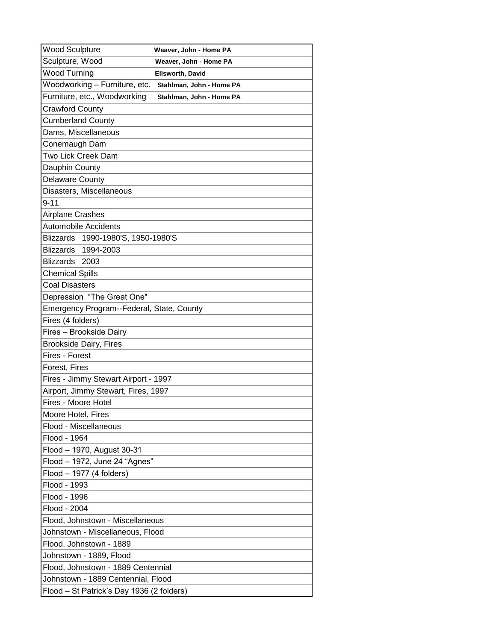| <b>Wood Sculpture</b>                                                | Weaver, John - Home PA   |
|----------------------------------------------------------------------|--------------------------|
| Sculpture, Wood                                                      | Weaver, John - Home PA   |
| <b>Wood Turning</b>                                                  | <b>Ellsworth, David</b>  |
| Woodworking - Furniture, etc.                                        | Stahlman, John - Home PA |
| Furniture, etc., Woodworking                                         | Stahlman, John - Home PA |
| <b>Crawford County</b>                                               |                          |
| <b>Cumberland County</b>                                             |                          |
| Dams, Miscellaneous                                                  |                          |
| Conemaugh Dam                                                        |                          |
| Two Lick Creek Dam                                                   |                          |
| Dauphin County                                                       |                          |
| Delaware County                                                      |                          |
| Disasters, Miscellaneous                                             |                          |
| $9 - 11$                                                             |                          |
| Airplane Crashes                                                     |                          |
| <b>Automobile Accidents</b>                                          |                          |
| Blizzards 1990-1980'S, 1950-1980'S                                   |                          |
| Blizzards 1994-2003                                                  |                          |
| Blizzards 2003                                                       |                          |
| <b>Chemical Spills</b>                                               |                          |
| <b>Coal Disasters</b>                                                |                          |
| Depression "The Great One"                                           |                          |
| Emergency Program--Federal, State, County                            |                          |
| Fires (4 folders)                                                    |                          |
| Fires - Brookside Dairy                                              |                          |
| <b>Brookside Dairy, Fires</b>                                        |                          |
| Fires - Forest                                                       |                          |
| Forest, Fires                                                        |                          |
| Fires - Jimmy Stewart Airport - 1997                                 |                          |
| Airport, Jimmy Stewart, Fires, 1997                                  |                          |
| Fires - Moore Hotel                                                  |                          |
| Moore Hotel, Fires                                                   |                          |
| Flood - Miscellaneous                                                |                          |
| Flood - 1964                                                         |                          |
| Flood - 1970, August 30-31                                           |                          |
| Flood - 1972, June 24 "Agnes"                                        |                          |
| Flood - 1977 (4 folders)                                             |                          |
| Flood - 1993<br>Flood - 1996                                         |                          |
| Flood - 2004                                                         |                          |
|                                                                      |                          |
| Flood, Johnstown - Miscellaneous<br>Johnstown - Miscellaneous, Flood |                          |
| Flood, Johnstown - 1889                                              |                          |
| Johnstown - 1889, Flood                                              |                          |
| Flood, Johnstown - 1889 Centennial                                   |                          |
| Johnstown - 1889 Centennial, Flood                                   |                          |
| Flood - St Patrick's Day 1936 (2 folders)                            |                          |
|                                                                      |                          |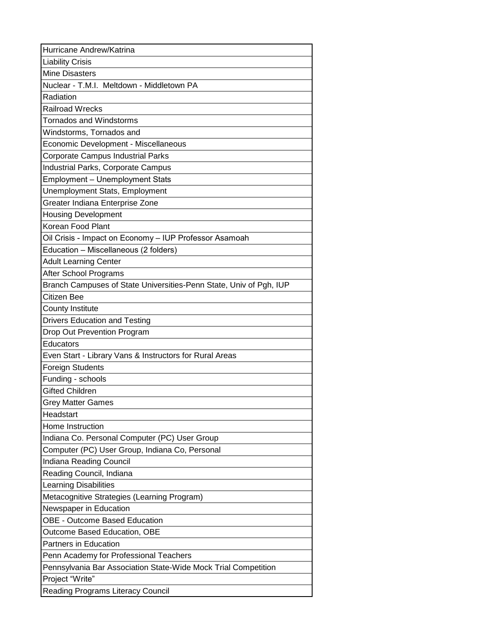| Hurricane Andrew/Katrina                                           |
|--------------------------------------------------------------------|
| <b>Liability Crisis</b>                                            |
| <b>Mine Disasters</b>                                              |
| Nuclear - T.M.I. Meltdown - Middletown PA                          |
| Radiation                                                          |
| <b>Railroad Wrecks</b>                                             |
| <b>Tornados and Windstorms</b>                                     |
| Windstorms, Tornados and                                           |
| Economic Development - Miscellaneous                               |
| <b>Corporate Campus Industrial Parks</b>                           |
| Industrial Parks, Corporate Campus                                 |
| Employment - Unemployment Stats                                    |
| Unemployment Stats, Employment                                     |
| Greater Indiana Enterprise Zone                                    |
| <b>Housing Development</b>                                         |
| Korean Food Plant                                                  |
| Oil Crisis - Impact on Economy - IUP Professor Asamoah             |
| Education - Miscellaneous (2 folders)                              |
| <b>Adult Learning Center</b>                                       |
| After School Programs                                              |
| Branch Campuses of State Universities-Penn State, Univ of Pgh, IUP |
| Citizen Bee                                                        |
| <b>County Institute</b>                                            |
| <b>Drivers Education and Testing</b>                               |
| Drop Out Prevention Program                                        |
| Educators                                                          |
| Even Start - Library Vans & Instructors for Rural Areas            |
| <b>Foreign Students</b>                                            |
| Funding - schools                                                  |
| <b>Gifted Children</b>                                             |
| <b>Grey Matter Games</b>                                           |
| Headstart                                                          |
| Home Instruction                                                   |
| Indiana Co. Personal Computer (PC) User Group                      |
| Computer (PC) User Group, Indiana Co, Personal                     |
| Indiana Reading Council                                            |
| Reading Council, Indiana                                           |
| Learning Disabilities                                              |
| Metacognitive Strategies (Learning Program)                        |
| Newspaper in Education                                             |
| <b>OBE - Outcome Based Education</b>                               |
| Outcome Based Education, OBE                                       |
| <b>Partners in Education</b>                                       |
| Penn Academy for Professional Teachers                             |
| Pennsylvania Bar Association State-Wide Mock Trial Competition     |
| Project "Write"                                                    |
| Reading Programs Literacy Council                                  |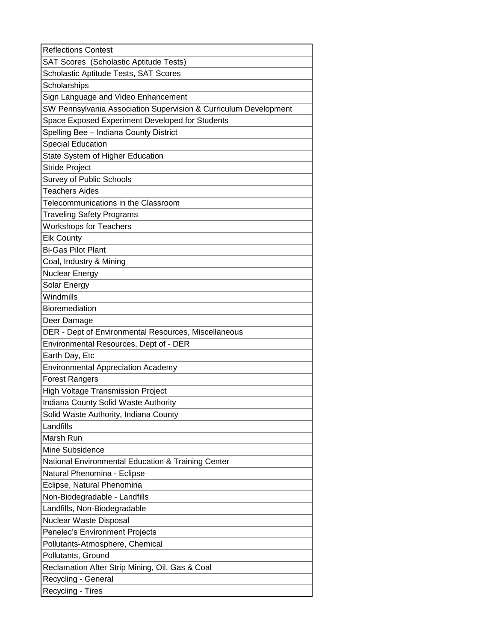| <b>Reflections Contest</b>                                       |
|------------------------------------------------------------------|
| SAT Scores (Scholastic Aptitude Tests)                           |
| Scholastic Aptitude Tests, SAT Scores                            |
| Scholarships                                                     |
| Sign Language and Video Enhancement                              |
| SW Pennsylvania Association Supervision & Curriculum Development |
| Space Exposed Experiment Developed for Students                  |
| Spelling Bee - Indiana County District                           |
| <b>Special Education</b>                                         |
| State System of Higher Education                                 |
| <b>Stride Project</b>                                            |
| Survey of Public Schools                                         |
| <b>Teachers Aides</b>                                            |
| Telecommunications in the Classroom                              |
| <b>Traveling Safety Programs</b>                                 |
| <b>Workshops for Teachers</b>                                    |
| <b>Elk County</b>                                                |
| <b>Bi-Gas Pilot Plant</b>                                        |
| Coal, Industry & Mining                                          |
| <b>Nuclear Energy</b>                                            |
| Solar Energy                                                     |
| Windmills                                                        |
| Bioremediation                                                   |
| Deer Damage                                                      |
| DER - Dept of Environmental Resources, Miscellaneous             |
| Environmental Resources, Dept of - DER                           |
| Earth Day, Etc                                                   |
| <b>Environmental Appreciation Academy</b>                        |
| <b>Forest Rangers</b>                                            |
| <b>High Voltage Transmission Project</b>                         |
| Indiana County Solid Waste Authority                             |
| Solid Waste Authority, Indiana County                            |
| Landfills                                                        |
| Marsh Run                                                        |
| Mine Subsidence                                                  |
| National Environmental Education & Training Center               |
| Natural Phenomina - Eclipse                                      |
| Eclipse, Natural Phenomina                                       |
| Non-Biodegradable - Landfills                                    |
| Landfills, Non-Biodegradable                                     |
| Nuclear Waste Disposal                                           |
| Penelec's Environment Projects                                   |
| Pollutants-Atmosphere, Chemical                                  |
| Pollutants, Ground                                               |
| Reclamation After Strip Mining, Oil, Gas & Coal                  |
| Recycling - General                                              |
| Recycling - Tires                                                |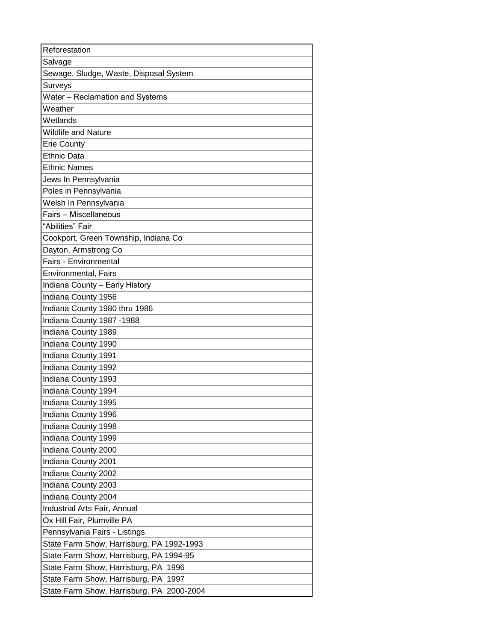| Salvage<br>Sewage, Sludge, Waste, Disposal System<br>Surveys<br>Water - Reclamation and Systems<br>Weather<br>Wetlands<br><b>Wildlife and Nature</b><br><b>Erie County</b><br><b>Ethnic Data</b><br><b>Ethnic Names</b><br>Jews In Pennsylvania<br>Poles in Pennsylvania<br>Welsh In Pennsylvania<br>Fairs - Miscellaneous |
|----------------------------------------------------------------------------------------------------------------------------------------------------------------------------------------------------------------------------------------------------------------------------------------------------------------------------|
|                                                                                                                                                                                                                                                                                                                            |
|                                                                                                                                                                                                                                                                                                                            |
|                                                                                                                                                                                                                                                                                                                            |
|                                                                                                                                                                                                                                                                                                                            |
|                                                                                                                                                                                                                                                                                                                            |
|                                                                                                                                                                                                                                                                                                                            |
|                                                                                                                                                                                                                                                                                                                            |
|                                                                                                                                                                                                                                                                                                                            |
|                                                                                                                                                                                                                                                                                                                            |
|                                                                                                                                                                                                                                                                                                                            |
|                                                                                                                                                                                                                                                                                                                            |
|                                                                                                                                                                                                                                                                                                                            |
|                                                                                                                                                                                                                                                                                                                            |
|                                                                                                                                                                                                                                                                                                                            |
| "Abilities" Fair                                                                                                                                                                                                                                                                                                           |
| Cookport, Green Township, Indiana Co                                                                                                                                                                                                                                                                                       |
| Dayton, Armstrong Co                                                                                                                                                                                                                                                                                                       |
| Fairs - Environmental                                                                                                                                                                                                                                                                                                      |
| Environmental, Fairs                                                                                                                                                                                                                                                                                                       |
| Indiana County - Early History                                                                                                                                                                                                                                                                                             |
| Indiana County 1956                                                                                                                                                                                                                                                                                                        |
| Indiana County 1980 thru 1986                                                                                                                                                                                                                                                                                              |
| Indiana County 1987 -1988                                                                                                                                                                                                                                                                                                  |
| Indiana County 1989                                                                                                                                                                                                                                                                                                        |
| Indiana County 1990                                                                                                                                                                                                                                                                                                        |
| Indiana County 1991                                                                                                                                                                                                                                                                                                        |
| Indiana County 1992                                                                                                                                                                                                                                                                                                        |
| Indiana County 1993                                                                                                                                                                                                                                                                                                        |
| Indiana County 1994                                                                                                                                                                                                                                                                                                        |
| Indiana County 1995                                                                                                                                                                                                                                                                                                        |
| Indiana County 1996                                                                                                                                                                                                                                                                                                        |
| Indiana County 1998                                                                                                                                                                                                                                                                                                        |
| Indiana County 1999                                                                                                                                                                                                                                                                                                        |
| Indiana County 2000                                                                                                                                                                                                                                                                                                        |
| Indiana County 2001                                                                                                                                                                                                                                                                                                        |
| Indiana County 2002                                                                                                                                                                                                                                                                                                        |
| Indiana County 2003                                                                                                                                                                                                                                                                                                        |
| Indiana County 2004                                                                                                                                                                                                                                                                                                        |
| Industrial Arts Fair, Annual                                                                                                                                                                                                                                                                                               |
| Ox Hill Fair, Plumville PA                                                                                                                                                                                                                                                                                                 |
| Pennsylvania Fairs - Listings                                                                                                                                                                                                                                                                                              |
| State Farm Show, Harrisburg, PA 1992-1993                                                                                                                                                                                                                                                                                  |
| State Farm Show, Harrisburg, PA 1994-95                                                                                                                                                                                                                                                                                    |
| State Farm Show, Harrisburg, PA 1996                                                                                                                                                                                                                                                                                       |
| State Farm Show, Harrisburg, PA 1997                                                                                                                                                                                                                                                                                       |
| State Farm Show, Harrisburg, PA 2000-2004                                                                                                                                                                                                                                                                                  |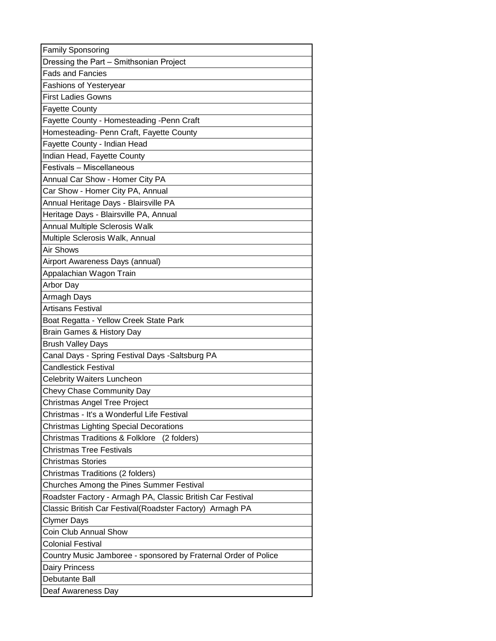| <b>Family Sponsoring</b>                                        |
|-----------------------------------------------------------------|
| Dressing the Part - Smithsonian Project                         |
| <b>Fads and Fancies</b>                                         |
| <b>Fashions of Yesteryear</b>                                   |
| <b>First Ladies Gowns</b>                                       |
| <b>Fayette County</b>                                           |
| Fayette County - Homesteading -Penn Craft                       |
| Homesteading- Penn Craft, Fayette County                        |
| Fayette County - Indian Head                                    |
| Indian Head, Fayette County                                     |
| Festivals - Miscellaneous                                       |
| Annual Car Show - Homer City PA                                 |
| Car Show - Homer City PA, Annual                                |
| Annual Heritage Days - Blairsville PA                           |
| Heritage Days - Blairsville PA, Annual                          |
| Annual Multiple Sclerosis Walk                                  |
| Multiple Sclerosis Walk, Annual                                 |
| Air Shows                                                       |
| Airport Awareness Days (annual)                                 |
| Appalachian Wagon Train                                         |
| Arbor Day                                                       |
| Armagh Days                                                     |
| <b>Artisans Festival</b>                                        |
| Boat Regatta - Yellow Creek State Park                          |
| Brain Games & History Day                                       |
| <b>Brush Valley Days</b>                                        |
| Canal Days - Spring Festival Days - Saltsburg PA                |
| <b>Candlestick Festival</b>                                     |
| <b>Celebrity Waiters Luncheon</b>                               |
| Chevy Chase Community Day                                       |
| Christmas Angel Tree Project                                    |
| Christmas - It's a Wonderful Life Festival                      |
| <b>Christmas Lighting Special Decorations</b>                   |
| <b>Christmas Traditions &amp; Folklore</b><br>(2 folders)       |
| <b>Christmas Tree Festivals</b>                                 |
| <b>Christmas Stories</b>                                        |
| Christmas Traditions (2 folders)                                |
| Churches Among the Pines Summer Festival                        |
| Roadster Factory - Armagh PA, Classic British Car Festival      |
| Classic British Car Festival(Roadster Factory) Armagh PA        |
| <b>Clymer Days</b>                                              |
| Coin Club Annual Show                                           |
| <b>Colonial Festival</b>                                        |
| Country Music Jamboree - sponsored by Fraternal Order of Police |
| <b>Dairy Princess</b>                                           |
| Debutante Ball                                                  |
| Deaf Awareness Day                                              |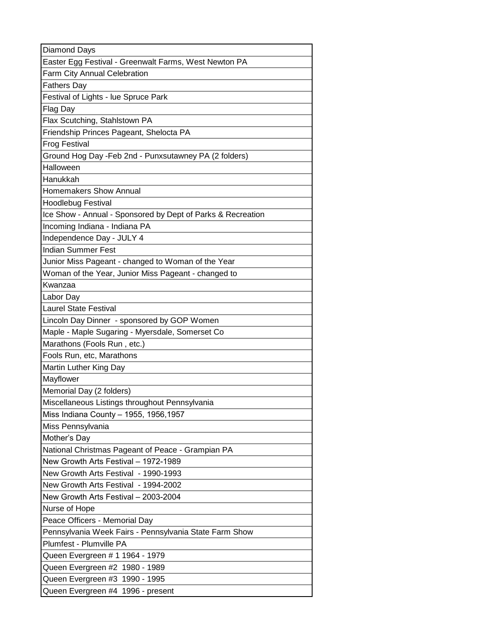| Diamond Days                                                |
|-------------------------------------------------------------|
| Easter Egg Festival - Greenwalt Farms, West Newton PA       |
| Farm City Annual Celebration                                |
| <b>Fathers Day</b>                                          |
| Festival of Lights - lue Spruce Park                        |
| Flag Day                                                    |
| Flax Scutching, Stahlstown PA                               |
| Friendship Princes Pageant, Shelocta PA                     |
| <b>Frog Festival</b>                                        |
| Ground Hog Day - Feb 2nd - Punxsutawney PA (2 folders)      |
| Halloween                                                   |
| Hanukkah                                                    |
| Homemakers Show Annual                                      |
| <b>Hoodlebug Festival</b>                                   |
| Ice Show - Annual - Sponsored by Dept of Parks & Recreation |
| Incoming Indiana - Indiana PA                               |
| Independence Day - JULY 4                                   |
| <b>Indian Summer Fest</b>                                   |
| Junior Miss Pageant - changed to Woman of the Year          |
| Woman of the Year, Junior Miss Pageant - changed to         |
| Kwanzaa                                                     |
| Labor Day                                                   |
| <b>Laurel State Festival</b>                                |
| Lincoln Day Dinner - sponsored by GOP Women                 |
| Maple - Maple Sugaring - Myersdale, Somerset Co             |
| Marathons (Fools Run, etc.)                                 |
| Fools Run, etc, Marathons                                   |
| Martin Luther King Day                                      |
| Mayflower                                                   |
| Memorial Day (2 folders)                                    |
| Miscellaneous Listings throughout Pennsylvania              |
| Miss Indiana County - 1955, 1956, 1957                      |
| Miss Pennsylvania                                           |
| Mother's Day                                                |
| National Christmas Pageant of Peace - Grampian PA           |
| New Growth Arts Festival - 1972-1989                        |
| New Growth Arts Festival - 1990-1993                        |
| New Growth Arts Festival - 1994-2002                        |
| New Growth Arts Festival - 2003-2004                        |
| Nurse of Hope                                               |
| Peace Officers - Memorial Day                               |
| Pennsylvania Week Fairs - Pennsylvania State Farm Show      |
| Plumfest - Plumville PA                                     |
| Queen Evergreen # 1 1964 - 1979                             |
| Queen Evergreen #2 1980 - 1989                              |
| Queen Evergreen #3 1990 - 1995                              |
| Queen Evergreen #4 1996 - present                           |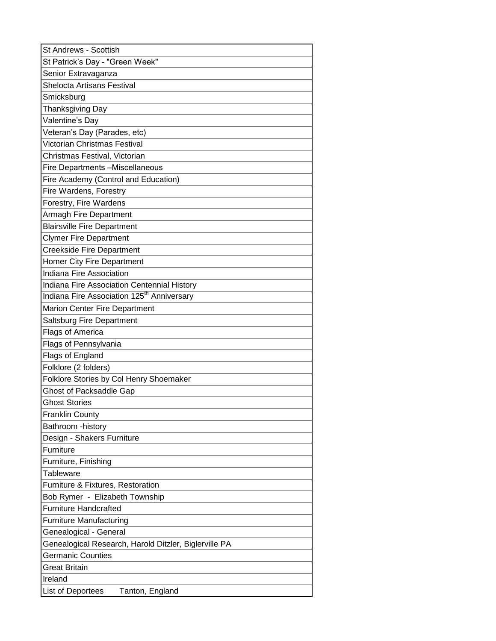| St Andrews - Scottish                                                             |
|-----------------------------------------------------------------------------------|
| St Patrick's Day - "Green Week"                                                   |
| Senior Extravaganza                                                               |
| Shelocta Artisans Festival                                                        |
| Smicksburg                                                                        |
| Thanksgiving Day                                                                  |
| Valentine's Day                                                                   |
| Veteran's Day (Parades, etc)                                                      |
| Victorian Christmas Festival                                                      |
| Christmas Festival, Victorian                                                     |
| Fire Departments -Miscellaneous                                                   |
| Fire Academy (Control and Education)                                              |
| Fire Wardens, Forestry                                                            |
| Forestry, Fire Wardens                                                            |
| <b>Armagh Fire Department</b>                                                     |
| <b>Blairsville Fire Department</b>                                                |
| <b>Clymer Fire Department</b>                                                     |
| <b>Creekside Fire Department</b>                                                  |
| <b>Homer City Fire Department</b>                                                 |
| Indiana Fire Association                                                          |
| Indiana Fire Association Centennial History                                       |
| Indiana Fire Association 125 <sup>th</sup> Anniversary                            |
| <b>Marion Center Fire Department</b>                                              |
| Saltsburg Fire Department                                                         |
| <b>Flags of America</b>                                                           |
| Flags of Pennsylvania                                                             |
| <b>Flags of England</b>                                                           |
| Folklore (2 folders)                                                              |
| Folklore Stories by Col Henry Shoemaker                                           |
| <b>Ghost of Packsaddle Gap</b>                                                    |
| <b>Ghost Stories</b>                                                              |
| <b>Franklin County</b>                                                            |
| Bathroom - history                                                                |
| Design - Shakers Furniture                                                        |
| Furniture                                                                         |
| Furniture, Finishing                                                              |
| Tableware                                                                         |
| Furniture & Fixtures, Restoration                                                 |
| Bob Rymer - Elizabeth Township                                                    |
| <b>Furniture Handcrafted</b>                                                      |
| <b>Furniture Manufacturing</b>                                                    |
| Genealogical - General                                                            |
| Genealogical Research, Harold Ditzler, Biglerville PA<br><b>Germanic Counties</b> |
|                                                                                   |
| Great Britain<br>Ireland                                                          |
|                                                                                   |
| List of Deportees<br>Tanton, England                                              |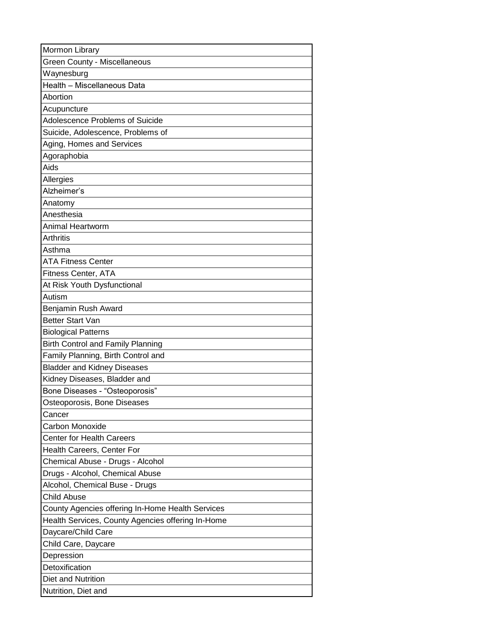| Mormon Library                                    |
|---------------------------------------------------|
| Green County - Miscellaneous                      |
| Waynesburg                                        |
| Health - Miscellaneous Data                       |
| Abortion                                          |
| Acupuncture                                       |
| Adolescence Problems of Suicide                   |
| Suicide, Adolescence, Problems of                 |
| Aging, Homes and Services                         |
| Agoraphobia                                       |
| Aids                                              |
| Allergies                                         |
| Alzheimer's                                       |
| Anatomy                                           |
| Anesthesia                                        |
| Animal Heartworm                                  |
| Arthritis                                         |
| Asthma                                            |
| <b>ATA Fitness Center</b>                         |
| Fitness Center, ATA                               |
| At Risk Youth Dysfunctional                       |
| Autism                                            |
| Benjamin Rush Award                               |
| <b>Better Start Van</b>                           |
| <b>Biological Patterns</b>                        |
| Birth Control and Family Planning                 |
| Family Planning, Birth Control and                |
| <b>Bladder and Kidney Diseases</b>                |
| Kidney Diseases, Bladder and                      |
| Bone Diseases - "Osteoporosis"                    |
| Osteoporosis, Bone Diseases                       |
| Cancer                                            |
| Carbon Monoxide                                   |
| <b>Center for Health Careers</b>                  |
| Health Careers, Center For                        |
| Chemical Abuse - Drugs - Alcohol                  |
| Drugs - Alcohol, Chemical Abuse                   |
| Alcohol, Chemical Buse - Drugs                    |
| <b>Child Abuse</b>                                |
| County Agencies offering In-Home Health Services  |
| Health Services, County Agencies offering In-Home |
| Daycare/Child Care                                |
| Child Care, Daycare                               |
| Depression                                        |
| Detoxification                                    |
| Diet and Nutrition                                |
| Nutrition, Diet and                               |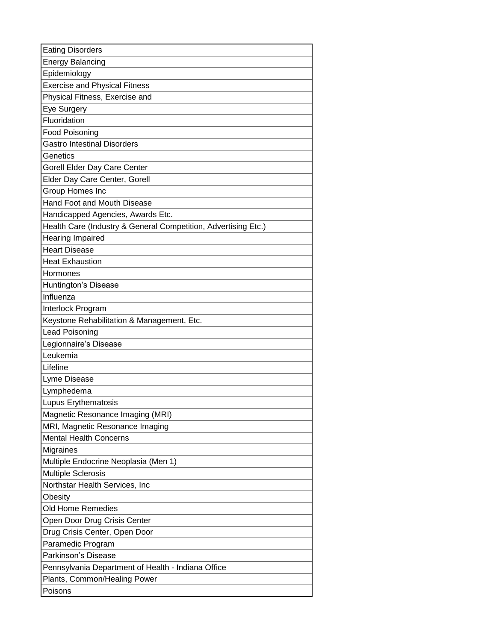| <b>Eating Disorders</b>                                        |
|----------------------------------------------------------------|
| <b>Energy Balancing</b>                                        |
| Epidemiology                                                   |
| <b>Exercise and Physical Fitness</b>                           |
| Physical Fitness, Exercise and                                 |
| Eye Surgery                                                    |
| Fluoridation                                                   |
| Food Poisoning                                                 |
| <b>Gastro Intestinal Disorders</b>                             |
| Genetics                                                       |
| Gorell Elder Day Care Center                                   |
| Elder Day Care Center, Gorell                                  |
| Group Homes Inc                                                |
| Hand Foot and Mouth Disease                                    |
| Handicapped Agencies, Awards Etc.                              |
| Health Care (Industry & General Competition, Advertising Etc.) |
| <b>Hearing Impaired</b>                                        |
| <b>Heart Disease</b>                                           |
| <b>Heat Exhaustion</b>                                         |
| Hormones                                                       |
| Huntington's Disease                                           |
| Influenza                                                      |
| Interlock Program                                              |
| Keystone Rehabilitation & Management, Etc.                     |
| Lead Poisoning                                                 |
| Legionnaire's Disease                                          |
| Leukemia                                                       |
| Lifeline                                                       |
| Lyme Disease                                                   |
| Lymphedema                                                     |
| Lupus Erythematosis                                            |
| Magnetic Resonance Imaging (MRI)                               |
| MRI, Magnetic Resonance Imaging                                |
| <b>Mental Health Concerns</b>                                  |
| Migraines                                                      |
| Multiple Endocrine Neoplasia (Men 1)                           |
| <b>Multiple Sclerosis</b>                                      |
| Northstar Health Services, Inc                                 |
| Obesity                                                        |
| <b>Old Home Remedies</b>                                       |
| Open Door Drug Crisis Center                                   |
| Drug Crisis Center, Open Door                                  |
| Paramedic Program                                              |
| Parkinson's Disease                                            |
| Pennsylvania Department of Health - Indiana Office             |
| Plants, Common/Healing Power                                   |
| Poisons                                                        |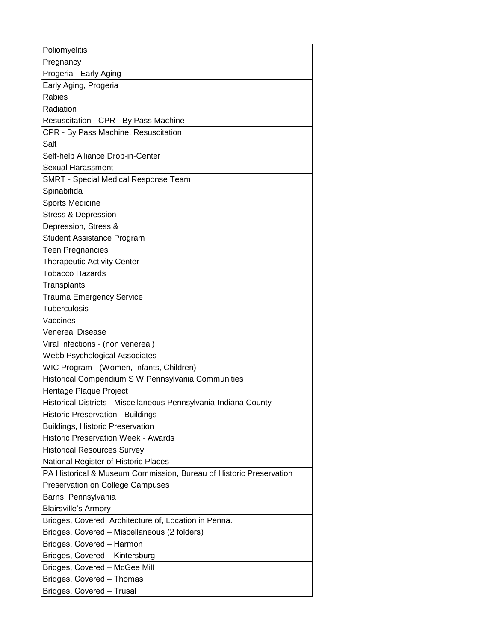| Poliomyelitis                                                      |
|--------------------------------------------------------------------|
| Pregnancy                                                          |
| Progeria - Early Aging                                             |
| Early Aging, Progeria                                              |
| Rabies                                                             |
| Radiation                                                          |
| Resuscitation - CPR - By Pass Machine                              |
| CPR - By Pass Machine, Resuscitation                               |
| Salt                                                               |
| Self-help Alliance Drop-in-Center                                  |
| Sexual Harassment                                                  |
| SMRT - Special Medical Response Team                               |
| Spinabifida                                                        |
| <b>Sports Medicine</b>                                             |
| <b>Stress &amp; Depression</b>                                     |
| Depression, Stress &                                               |
| <b>Student Assistance Program</b>                                  |
| Teen Pregnancies                                                   |
| <b>Therapeutic Activity Center</b>                                 |
| Tobacco Hazards                                                    |
| Transplants                                                        |
| <b>Trauma Emergency Service</b>                                    |
| <b>Tuberculosis</b>                                                |
| Vaccines                                                           |
| Venereal Disease                                                   |
| Viral Infections - (non venereal)                                  |
| Webb Psychological Associates                                      |
| WIC Program - (Women, Infants, Children)                           |
| Historical Compendium S W Pennsylvania Communities                 |
| Heritage Plaque Project                                            |
| Historical Districts - Miscellaneous Pennsylvania-Indiana County   |
| Historic Preservation - Buildings                                  |
| <b>Buildings, Historic Preservation</b>                            |
| <b>Historic Preservation Week - Awards</b>                         |
| <b>Historical Resources Survey</b>                                 |
| National Register of Historic Places                               |
| PA Historical & Museum Commission, Bureau of Historic Preservation |
| Preservation on College Campuses                                   |
| Barns, Pennsylvania                                                |
| <b>Blairsville's Armory</b>                                        |
| Bridges, Covered, Architecture of, Location in Penna.              |
| Bridges, Covered - Miscellaneous (2 folders)                       |
| Bridges, Covered - Harmon                                          |
| Bridges, Covered - Kintersburg                                     |
| Bridges, Covered - McGee Mill                                      |
| Bridges, Covered - Thomas                                          |
| Bridges, Covered - Trusal                                          |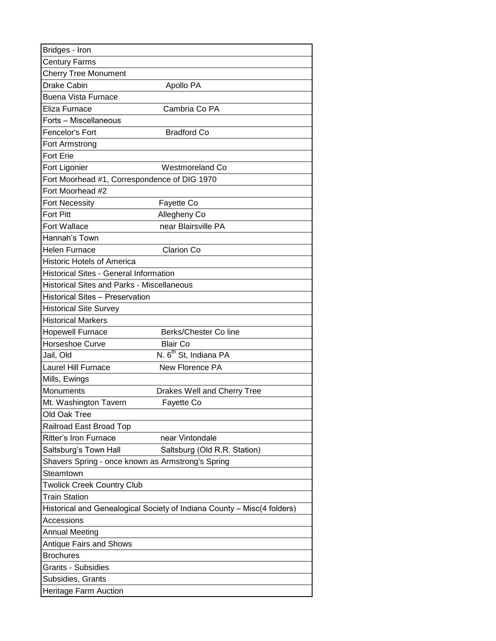| Bridges - Iron                                                          |
|-------------------------------------------------------------------------|
| <b>Century Farms</b>                                                    |
| <b>Cherry Tree Monument</b>                                             |
| <b>Drake Cabin</b><br>Apollo PA                                         |
| <b>Buena Vista Furnace</b>                                              |
| Eliza Furnace<br>Cambria Co PA                                          |
| Forts - Miscellaneous                                                   |
| Fencelor's Fort<br><b>Bradford Co</b>                                   |
| Fort Armstrong                                                          |
| <b>Fort Erie</b>                                                        |
| Fort Ligonier<br>Westmoreland Co                                        |
| Fort Moorhead #1, Correspondence of DIG 1970                            |
| Fort Moorhead #2                                                        |
| <b>Fort Necessity</b><br>Fayette Co                                     |
| <b>Fort Pitt</b><br>Allegheny Co                                        |
| Fort Wallace<br>near Blairsville PA                                     |
| Hannah's Town                                                           |
| <b>Helen Furnace</b><br>Clarion Co                                      |
| <b>Historic Hotels of America</b>                                       |
| <b>Historical Sites - General Information</b>                           |
| <b>Historical Sites and Parks - Miscellaneous</b>                       |
| <b>Historical Sites - Preservation</b>                                  |
| <b>Historical Site Survey</b>                                           |
| <b>Historical Markers</b>                                               |
| <b>Hopewell Furnace</b><br>Berks/Chester Coline                         |
| Horseshoe Curve<br><b>Blair Co</b>                                      |
| N. 6 <sup>th</sup> St, Indiana PA<br>Jail, Old                          |
| <b>Laurel Hill Furnace</b><br>New Florence PA                           |
| Mills, Ewings                                                           |
| <b>Monuments</b><br>Drakes Well and Cherry Tree                         |
| Mt. Washington Tavern<br>Fayette Co                                     |
| Old Oak Tree                                                            |
| Railroad East Broad Top                                                 |
| <b>Ritter's Iron Furnace</b><br>near Vintondale                         |
| Saltsburg's Town Hall<br>Saltsburg (Old R.R. Station)                   |
| Shavers Spring - once known as Armstrong's Spring                       |
| Steamtown                                                               |
| <b>Twolick Creek Country Club</b>                                       |
| Train Station                                                           |
| Historical and Genealogical Society of Indiana County - Misc(4 folders) |
| Accessions                                                              |
| <b>Annual Meeting</b>                                                   |
| <b>Antique Fairs and Shows</b>                                          |
| <b>Brochures</b>                                                        |
| <b>Grants - Subsidies</b>                                               |
| Subsidies, Grants                                                       |
| Heritage Farm Auction                                                   |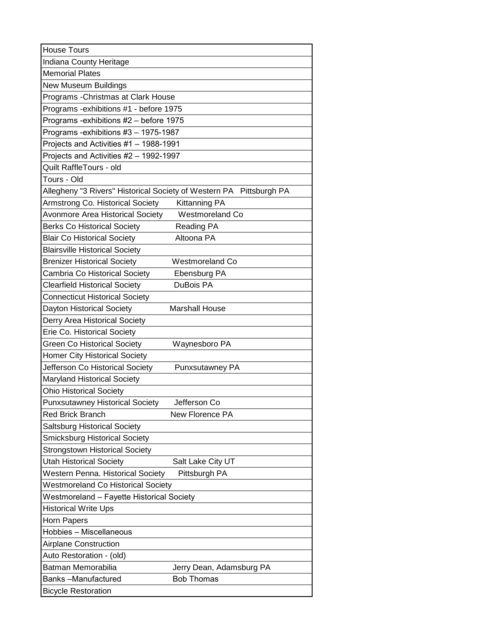| <b>House Tours</b>                                                          |
|-----------------------------------------------------------------------------|
| Indiana County Heritage                                                     |
| <b>Memorial Plates</b>                                                      |
| New Museum Buildings                                                        |
| Programs - Christmas at Clark House                                         |
| Programs - exhibitions #1 - before 1975                                     |
| Programs -exhibitions #2 – before 1975                                      |
| Programs -exhibitions #3 - 1975-1987                                        |
| Projects and Activities #1 - 1988-1991                                      |
| Projects and Activities #2 - 1992-1997                                      |
| Quilt RaffleTours - old                                                     |
| Tours - Old                                                                 |
| Allegheny "3 Rivers" Historical Society of Western PA Pittsburgh PA         |
| Armstrong Co. Historical Society<br><b>Kittanning PA</b>                    |
| <b>Avonmore Area Historical Society</b><br>Westmoreland Co                  |
| <b>Berks Co Historical Society</b><br>Reading PA                            |
| Altoona PA<br><b>Blair Co Historical Society</b>                            |
| <b>Blairsville Historical Society</b>                                       |
| <b>Brenizer Historical Society</b><br>Westmoreland Co                       |
| Cambria Co Historical Society<br>Ebensburg PA                               |
| <b>Clearfield Historical Society</b><br>DuBois PA                           |
| <b>Connecticut Historical Society</b>                                       |
| Dayton Historical Society<br><b>Marshall House</b>                          |
| Derry Area Historical Society                                               |
| Erie Co. Historical Society                                                 |
| <b>Green Co Historical Society</b><br>Waynesboro PA                         |
| <b>Homer City Historical Society</b>                                        |
| Jefferson Co Historical Society<br>Punxsutawney PA                          |
| <b>Maryland Historical Society</b>                                          |
| <b>Ohio Historical Society</b>                                              |
| <b>Punxsutawney Historical Society</b><br>Jefferson Co                      |
| <b>Red Brick Branch</b><br>New Florence PA                                  |
| <b>Saltsburg Historical Society</b><br><b>Smicksburg Historical Society</b> |
| <b>Strongstown Historical Society</b>                                       |
| <b>Utah Historical Society</b><br>Salt Lake City UT                         |
| Western Penna. Historical Society<br>Pittsburgh PA                          |
| <b>Westmoreland Co Historical Society</b>                                   |
| Westmoreland – Fayette Historical Society                                   |
| <b>Historical Write Ups</b>                                                 |
| Horn Papers                                                                 |
| Hobbies - Miscellaneous                                                     |
| <b>Airplane Construction</b>                                                |
| Auto Restoration - (old)                                                    |
| Batman Memorabilia<br>Jerry Dean, Adamsburg PA                              |
| Banks-Manufactured<br><b>Bob Thomas</b>                                     |
| <b>Bicycle Restoration</b>                                                  |
|                                                                             |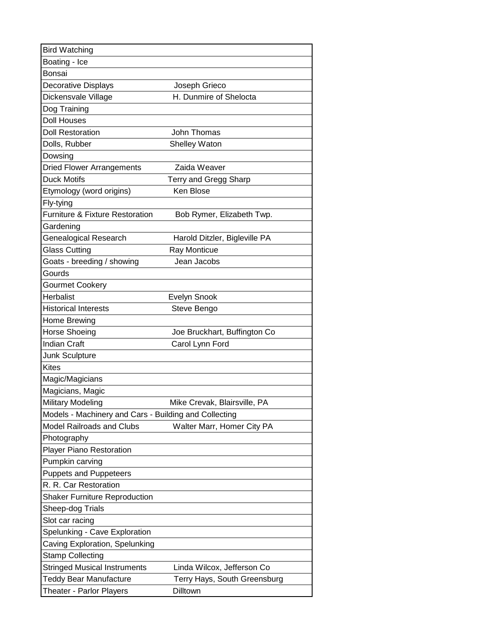| <b>Bird Watching</b>                                  |                               |
|-------------------------------------------------------|-------------------------------|
| Boating - Ice                                         |                               |
| Bonsai                                                |                               |
| Decorative Displays                                   | Joseph Grieco                 |
| Dickensvale Village                                   | H. Dunmire of Shelocta        |
| Dog Training                                          |                               |
| <b>Doll Houses</b>                                    |                               |
| <b>Doll Restoration</b>                               | John Thomas                   |
| Dolls, Rubber                                         | Shelley Waton                 |
| Dowsing                                               |                               |
| <b>Dried Flower Arrangements</b>                      | Zaida Weaver                  |
| <b>Duck Motifs</b>                                    | Terry and Gregg Sharp         |
| Etymology (word origins)                              | Ken Blose                     |
| Fly-tying                                             |                               |
| <b>Furniture &amp; Fixture Restoration</b>            | Bob Rymer, Elizabeth Twp.     |
| Gardening                                             |                               |
| Genealogical Research                                 | Harold Ditzler, Bigleville PA |
| <b>Glass Cutting</b>                                  | Ray Monticue                  |
| Goats - breeding / showing                            | Jean Jacobs                   |
| Gourds                                                |                               |
| <b>Gourmet Cookery</b>                                |                               |
| <b>Herbalist</b>                                      | <b>Evelyn Snook</b>           |
| <b>Historical Interests</b>                           | Steve Bengo                   |
| Home Brewing                                          |                               |
| <b>Horse Shoeing</b>                                  | Joe Bruckhart, Buffington Co  |
| <b>Indian Craft</b>                                   | Carol Lynn Ford               |
| Junk Sculpture                                        |                               |
| <b>Kites</b>                                          |                               |
| Magic/Magicians                                       |                               |
| Magicians, Magic                                      |                               |
| <b>Military Modeling</b>                              | Mike Crevak, Blairsville, PA  |
| Models - Machinery and Cars - Building and Collecting |                               |
| <b>Model Railroads and Clubs</b>                      | Walter Marr, Homer City PA    |
| Photography                                           |                               |
| Player Piano Restoration                              |                               |
| Pumpkin carving                                       |                               |
| <b>Puppets and Puppeteers</b>                         |                               |
| R. R. Car Restoration                                 |                               |
| <b>Shaker Furniture Reproduction</b>                  |                               |
| Sheep-dog Trials                                      |                               |
| Slot car racing                                       |                               |
| Spelunking - Cave Exploration                         |                               |
| Caving Exploration, Spelunking                        |                               |
| <b>Stamp Collecting</b>                               |                               |
| <b>Stringed Musical Instruments</b>                   | Linda Wilcox, Jefferson Co    |
| <b>Teddy Bear Manufacture</b>                         | Terry Hays, South Greensburg  |
| Theater - Parlor Players                              | Dilltown                      |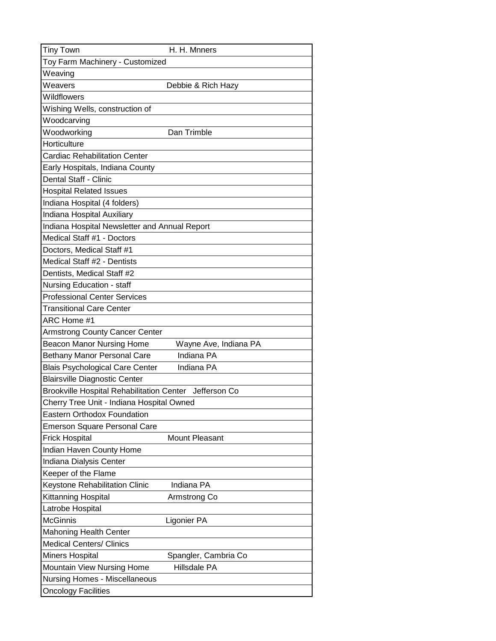| <b>Tiny Town</b>                                       | H. H. Mnners          |
|--------------------------------------------------------|-----------------------|
| Toy Farm Machinery - Customized                        |                       |
| Weaving                                                |                       |
| Weavers                                                | Debbie & Rich Hazy    |
| Wildflowers                                            |                       |
| Wishing Wells, construction of                         |                       |
| Woodcarving                                            |                       |
| Woodworking                                            | Dan Trimble           |
| Horticulture                                           |                       |
| <b>Cardiac Rehabilitation Center</b>                   |                       |
| Early Hospitals, Indiana County                        |                       |
| Dental Staff - Clinic                                  |                       |
| <b>Hospital Related Issues</b>                         |                       |
| Indiana Hospital (4 folders)                           |                       |
| Indiana Hospital Auxiliary                             |                       |
| Indiana Hospital Newsletter and Annual Report          |                       |
| Medical Staff #1 - Doctors                             |                       |
| Doctors, Medical Staff #1                              |                       |
| Medical Staff #2 - Dentists                            |                       |
| Dentists, Medical Staff #2                             |                       |
| Nursing Education - staff                              |                       |
| <b>Professional Center Services</b>                    |                       |
| <b>Transitional Care Center</b>                        |                       |
| ARC Home #1                                            |                       |
| <b>Armstrong County Cancer Center</b>                  |                       |
| <b>Beacon Manor Nursing Home</b>                       | Wayne Ave, Indiana PA |
| <b>Bethany Manor Personal Care</b>                     | Indiana PA            |
| <b>Blais Psychological Care Center</b>                 | Indiana PA            |
| <b>Blairsville Diagnostic Center</b>                   |                       |
| Brookville Hospital Rehabilitation Center Jefferson Co |                       |
| Cherry Tree Unit - Indiana Hospital Owned              |                       |
| <b>Eastern Orthodox Foundation</b>                     |                       |
| <b>Emerson Square Personal Care</b>                    |                       |
| Frick Hospital                                         | <b>Mount Pleasant</b> |
| Indian Haven County Home                               |                       |
| Indiana Dialysis Center                                |                       |
| Keeper of the Flame                                    |                       |
| Keystone Rehabilitation Clinic                         | Indiana PA            |
| Kittanning Hospital                                    | Armstrong Co          |
| Latrobe Hospital                                       |                       |
| <b>McGinnis</b>                                        | Ligonier PA           |
| <b>Mahoning Health Center</b>                          |                       |
| <b>Medical Centers/ Clinics</b>                        |                       |
| <b>Miners Hospital</b>                                 | Spangler, Cambria Co  |
| Mountain View Nursing Home                             | Hillsdale PA          |
| <b>Nursing Homes - Miscellaneous</b>                   |                       |
| <b>Oncology Facilities</b>                             |                       |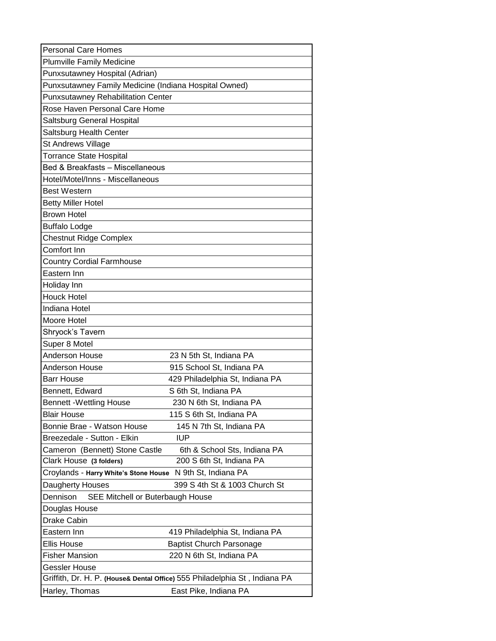| <b>Personal Care Homes</b>                                 |                                                                            |  |
|------------------------------------------------------------|----------------------------------------------------------------------------|--|
| <b>Plumville Family Medicine</b>                           |                                                                            |  |
| Punxsutawney Hospital (Adrian)                             |                                                                            |  |
| Punxsutawney Family Medicine (Indiana Hospital Owned)      |                                                                            |  |
| <b>Punxsutawney Rehabilitation Center</b>                  |                                                                            |  |
| Rose Haven Personal Care Home                              |                                                                            |  |
| Saltsburg General Hospital                                 |                                                                            |  |
| Saltsburg Health Center                                    |                                                                            |  |
| St Andrews Village                                         |                                                                            |  |
| <b>Torrance State Hospital</b>                             |                                                                            |  |
| Bed & Breakfasts - Miscellaneous                           |                                                                            |  |
| Hotel/Motel/Inns - Miscellaneous                           |                                                                            |  |
| <b>Best Western</b>                                        |                                                                            |  |
| <b>Betty Miller Hotel</b>                                  |                                                                            |  |
| <b>Brown Hotel</b>                                         |                                                                            |  |
| <b>Buffalo Lodge</b>                                       |                                                                            |  |
| <b>Chestnut Ridge Complex</b>                              |                                                                            |  |
| Comfort Inn                                                |                                                                            |  |
| <b>Country Cordial Farmhouse</b>                           |                                                                            |  |
| Eastern Inn                                                |                                                                            |  |
| Holiday Inn                                                |                                                                            |  |
| <b>Houck Hotel</b>                                         |                                                                            |  |
| Indiana Hotel                                              |                                                                            |  |
| Moore Hotel                                                |                                                                            |  |
| Shryock's Tavern                                           |                                                                            |  |
| Super 8 Motel                                              |                                                                            |  |
| Anderson House                                             | 23 N 5th St, Indiana PA                                                    |  |
| Anderson House                                             | 915 School St, Indiana PA                                                  |  |
| <b>Barr House</b>                                          | 429 Philadelphia St, Indiana PA                                            |  |
| Bennett, Edward                                            | S 6th St, Indiana PA                                                       |  |
| <b>Bennett -Wettling House</b>                             | 230 N 6th St, Indiana PA                                                   |  |
| <b>Blair House</b>                                         | 115 S 6th St, Indiana PA                                                   |  |
| Bonnie Brae - Watson House                                 | 145 N 7th St, Indiana PA                                                   |  |
| Breezedale - Sutton - Elkin                                | <b>IUP</b>                                                                 |  |
| Cameron (Bennett) Stone Castle                             | 6th & School Sts, Indiana PA                                               |  |
| Clark House (3 folders)                                    | 200 S 6th St, Indiana PA                                                   |  |
| Croylands - Harry White's Stone House N 9th St, Indiana PA |                                                                            |  |
| Daugherty Houses                                           | 399 S 4th St & 1003 Church St                                              |  |
| Dennison<br>SEE Mitchell or Buterbaugh House               |                                                                            |  |
| Douglas House                                              |                                                                            |  |
| Drake Cabin                                                |                                                                            |  |
| Eastern Inn                                                | 419 Philadelphia St, Indiana PA                                            |  |
| <b>Ellis House</b>                                         | <b>Baptist Church Parsonage</b>                                            |  |
| <b>Fisher Mansion</b>                                      | 220 N 6th St, Indiana PA                                                   |  |
| <b>Gessler House</b>                                       |                                                                            |  |
|                                                            | Griffith, Dr. H. P. (House& Dental Office) 555 Philadelphia St, Indiana PA |  |
| Harley, Thomas                                             | East Pike, Indiana PA                                                      |  |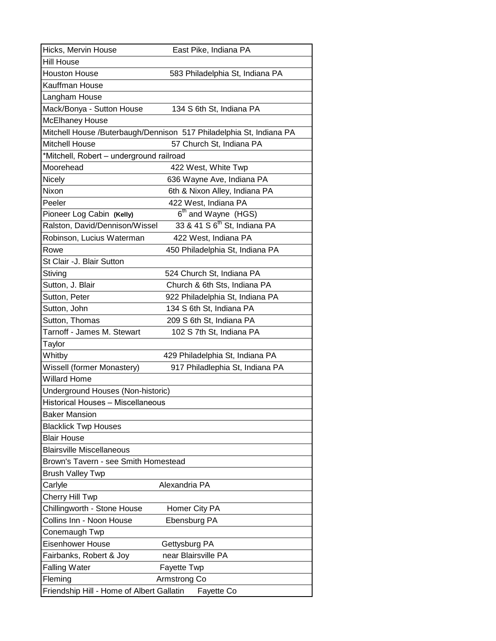| Hicks, Mervin House                       | East Pike, Indiana PA                                               |
|-------------------------------------------|---------------------------------------------------------------------|
| Hill House                                |                                                                     |
| <b>Houston House</b>                      | 583 Philadelphia St, Indiana PA                                     |
| Kauffman House                            |                                                                     |
| Langham House                             |                                                                     |
| Mack/Bonya - Sutton House                 | 134 S 6th St, Indiana PA                                            |
| McElhaney House                           |                                                                     |
|                                           | Mitchell House /Buterbaugh/Dennison 517 Philadelphia St, Indiana PA |
| <b>Mitchell House</b>                     | 57 Church St, Indiana PA                                            |
| *Mitchell, Robert - underground railroad  |                                                                     |
| Moorehead                                 | 422 West, White Twp                                                 |
| Nicely                                    | 636 Wayne Ave, Indiana PA                                           |
| Nixon                                     | 6th & Nixon Alley, Indiana PA                                       |
| Peeler                                    | 422 West, Indiana PA                                                |
| Pioneer Log Cabin (Kelly)                 | 6 <sup>th</sup> and Wayne (HGS)                                     |
| Ralston, David/Dennison/Wissel            | 33 & 41 S 6 <sup>th</sup> St, Indiana PA                            |
| Robinson, Lucius Waterman                 | 422 West, Indiana PA                                                |
| Rowe                                      | 450 Philadelphia St, Indiana PA                                     |
| St Clair -J. Blair Sutton                 |                                                                     |
| Stiving                                   | 524 Church St, Indiana PA                                           |
| Sutton, J. Blair                          | Church & 6th Sts, Indiana PA                                        |
| Sutton, Peter                             | 922 Philadelphia St, Indiana PA                                     |
| Sutton, John                              | 134 S 6th St, Indiana PA                                            |
| Sutton, Thomas                            | 209 S 6th St, Indiana PA                                            |
| Tarnoff - James M. Stewart                | 102 S 7th St, Indiana PA                                            |
| Taylor                                    |                                                                     |
| Whitby                                    | 429 Philadelphia St, Indiana PA                                     |
| Wissell (former Monastery)                | 917 Philadlephia St, Indiana PA                                     |
| <b>Willard Home</b>                       |                                                                     |
| Underground Houses (Non-historic)         |                                                                     |
| Historical Houses - Miscellaneous         |                                                                     |
| <b>Baker Mansion</b>                      |                                                                     |
| <b>Blacklick Twp Houses</b>               |                                                                     |
| <b>Blair House</b>                        |                                                                     |
| <b>Blairsville Miscellaneous</b>          |                                                                     |
| Brown's Tavern - see Smith Homestead      |                                                                     |
| <b>Brush Valley Twp</b>                   |                                                                     |
| Carlyle                                   | Alexandria PA                                                       |
| Cherry Hill Twp                           |                                                                     |
| Chillingworth - Stone House               | Homer City PA                                                       |
| Collins Inn - Noon House                  | Ebensburg PA                                                        |
| Conemaugh Twp                             |                                                                     |
| Eisenhower House                          | Gettysburg PA                                                       |
| Fairbanks, Robert & Joy                   | near Blairsville PA                                                 |
| <b>Falling Water</b>                      | <b>Fayette Twp</b>                                                  |
| Fleming                                   | Armstrong Co                                                        |
| Friendship Hill - Home of Albert Gallatin | Fayette Co                                                          |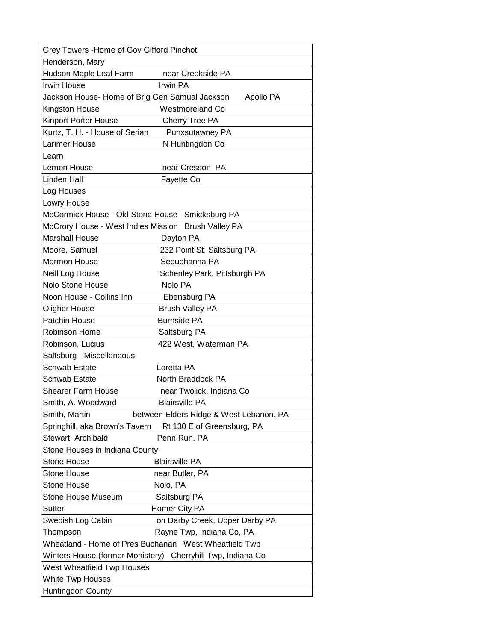| Grey Towers - Home of Gov Gifford Pinchot           |                                                       |
|-----------------------------------------------------|-------------------------------------------------------|
| Henderson, Mary                                     |                                                       |
| Hudson Maple Leaf Farm                              | near Creekside PA                                     |
| <b>Irwin House</b>                                  | Irwin PA                                              |
| Jackson House- Home of Brig Gen Samual Jackson      | Apollo PA                                             |
| Kingston House                                      | Westmoreland Co                                       |
| Kinport Porter House                                | Cherry Tree PA                                        |
| Kurtz, T. H. - House of Serian                      | Punxsutawney PA                                       |
| Larimer House                                       | N Huntingdon Co                                       |
| Learn                                               |                                                       |
| Lemon House                                         | near Cresson PA                                       |
| Linden Hall                                         | Fayette Co                                            |
| Log Houses                                          |                                                       |
| Lowry House                                         |                                                       |
| McCormick House - Old Stone House Smicksburg PA     |                                                       |
| McCrory House - West Indies Mission Brush Valley PA |                                                       |
| <b>Marshall House</b>                               | Dayton PA                                             |
| Moore, Samuel                                       | 232 Point St, Saltsburg PA                            |
| <b>Mormon House</b>                                 | Sequehanna PA                                         |
| Neill Log House                                     | Schenley Park, Pittsburgh PA                          |
| <b>Nolo Stone House</b>                             | Nolo PA                                               |
| Noon House - Collins Inn                            | Ebensburg PA                                          |
| <b>Oligher House</b>                                | <b>Brush Valley PA</b>                                |
| Patchin House                                       | <b>Burnside PA</b>                                    |
| Robinson Home                                       | Saltsburg PA                                          |
| Robinson, Lucius                                    | 422 West, Waterman PA                                 |
| Saltsburg - Miscellaneous                           |                                                       |
| <b>Schwab Estate</b>                                | Loretta PA                                            |
| Schwab Estate                                       | North Braddock PA                                     |
| Shearer Farm House                                  | near Twolick, Indiana Co                              |
| Smith, A. Woodward                                  | <b>Blairsville PA</b>                                 |
| Smith, Martin                                       | between Elders Ridge & West Lebanon, PA               |
| Springhill, aka Brown's Tavern                      | Rt 130 E of Greensburg, PA                            |
| Stewart, Archibald                                  | Penn Run, PA                                          |
| Stone Houses in Indiana County                      |                                                       |
| <b>Stone House</b>                                  | <b>Blairsville PA</b>                                 |
| <b>Stone House</b>                                  | near Butler, PA                                       |
| Stone House                                         | Nolo, PA                                              |
| Stone House Museum                                  | Saltsburg PA                                          |
| Sutter                                              | Homer City PA                                         |
| Swedish Log Cabin                                   | on Darby Creek, Upper Darby PA                        |
| Thompson                                            | Rayne Twp, Indiana Co, PA                             |
|                                                     | Wheatland - Home of Pres Buchanan West Wheatfield Twp |
| Winters House (former Monistery)                    | Cherryhill Twp, Indiana Co                            |
| West Wheatfield Twp Houses                          |                                                       |
| <b>White Twp Houses</b>                             |                                                       |
| Huntingdon County                                   |                                                       |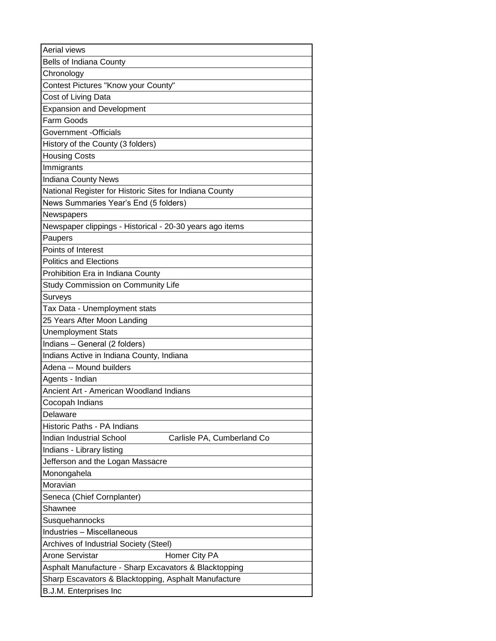| Aerial views                                             |
|----------------------------------------------------------|
| Bells of Indiana County                                  |
| Chronology                                               |
| Contest Pictures "Know your County"                      |
| Cost of Living Data                                      |
| <b>Expansion and Development</b>                         |
| Farm Goods                                               |
| Government -Officials                                    |
| History of the County (3 folders)                        |
| <b>Housing Costs</b>                                     |
| Immigrants                                               |
| <b>Indiana County News</b>                               |
| National Register for Historic Sites for Indiana County  |
| News Summaries Year's End (5 folders)                    |
| Newspapers                                               |
| Newspaper clippings - Historical - 20-30 years ago items |
| Paupers                                                  |
| Points of Interest                                       |
| <b>Politics and Elections</b>                            |
| Prohibition Era in Indiana County                        |
| Study Commission on Community Life                       |
| Surveys                                                  |
| Tax Data - Unemployment stats                            |
| 25 Years After Moon Landing                              |
| <b>Unemployment Stats</b>                                |
| Indians - General (2 folders)                            |
| Indians Active in Indiana County, Indiana                |
| Adena -- Mound builders                                  |
| Agents - Indian                                          |
| Ancient Art - American Woodland Indians                  |
| Cocopah Indians                                          |
| Delaware                                                 |
| Historic Paths - PA Indians                              |
| Indian Industrial School<br>Carlisle PA, Cumberland Co   |
| Indians - Library listing                                |
| Jefferson and the Logan Massacre                         |
| Monongahela                                              |
| Moravian                                                 |
| Seneca (Chief Cornplanter)                               |
| Shawnee                                                  |
| Susquehannocks                                           |
| <b>Industries - Miscellaneous</b>                        |
| Archives of Industrial Society (Steel)                   |
| <b>Arone Servistar</b><br>Homer City PA                  |
| Asphalt Manufacture - Sharp Excavators & Blacktopping    |
| Sharp Escavators & Blacktopping, Asphalt Manufacture     |
| B.J.M. Enterprises Inc                                   |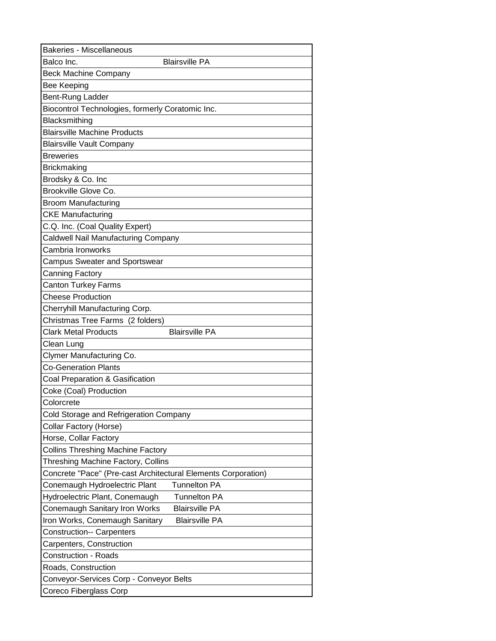| <b>Bakeries - Miscellaneous</b>                               |
|---------------------------------------------------------------|
| Balco Inc.<br><b>Blairsville PA</b>                           |
| <b>Beck Machine Company</b>                                   |
| <b>Bee Keeping</b>                                            |
| Bent-Rung Ladder                                              |
| Biocontrol Technologies, formerly Coratomic Inc.              |
| Blacksmithing                                                 |
| <b>Blairsville Machine Products</b>                           |
| <b>Blairsville Vault Company</b>                              |
| <b>Breweries</b>                                              |
| <b>Brickmaking</b>                                            |
| Brodsky & Co. Inc                                             |
| Brookville Glove Co.                                          |
| <b>Broom Manufacturing</b>                                    |
| <b>CKE Manufacturing</b>                                      |
| C.Q. Inc. (Coal Quality Expert)                               |
| Caldwell Nail Manufacturing Company                           |
| Cambria Ironworks                                             |
| Campus Sweater and Sportswear                                 |
| Canning Factory                                               |
| <b>Canton Turkey Farms</b>                                    |
| <b>Cheese Production</b>                                      |
| Cherryhill Manufacturing Corp.                                |
| Christmas Tree Farms (2 folders)                              |
| <b>Blairsville PA</b><br><b>Clark Metal Products</b>          |
| Clean Lung                                                    |
| Clymer Manufacturing Co.                                      |
| <b>Co-Generation Plants</b>                                   |
| Coal Preparation & Gasification                               |
| Coke (Coal) Production                                        |
| Colorcrete                                                    |
| Cold Storage and Refrigeration Company                        |
| Collar Factory (Horse)                                        |
| Horse, Collar Factory                                         |
| <b>Collins Threshing Machine Factory</b>                      |
| Threshing Machine Factory, Collins                            |
| Concrete "Pace" (Pre-cast Architectural Elements Corporation) |
| <b>Tunnelton PA</b><br>Conemaugh Hydroelectric Plant          |
| Hydroelectric Plant, Conemaugh<br><b>Tunnelton PA</b>         |
| <b>Blairsville PA</b><br>Conemaugh Sanitary Iron Works        |
| <b>Blairsville PA</b><br>Iron Works, Conemaugh Sanitary       |
| <b>Construction-- Carpenters</b>                              |
| Carpenters, Construction                                      |
| <b>Construction - Roads</b>                                   |
| Roads, Construction                                           |
| Conveyor-Services Corp - Conveyor Belts                       |
| Coreco Fiberglass Corp                                        |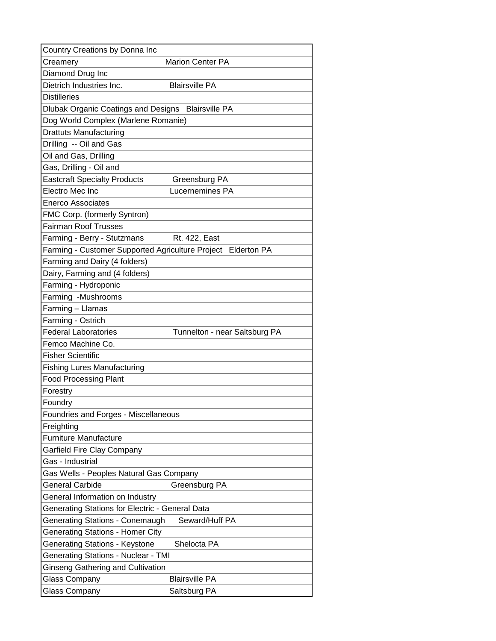| Country Creations by Donna Inc                               |                               |
|--------------------------------------------------------------|-------------------------------|
| Creamery                                                     | <b>Marion Center PA</b>       |
| Diamond Drug Inc                                             |                               |
| Dietrich Industries Inc.                                     | <b>Blairsville PA</b>         |
| <b>Distilleries</b>                                          |                               |
| Dlubak Organic Coatings and Designs Blairsville PA           |                               |
| Dog World Complex (Marlene Romanie)                          |                               |
| <b>Drattuts Manufacturing</b>                                |                               |
| Drilling -- Oil and Gas                                      |                               |
| Oil and Gas, Drilling                                        |                               |
| Gas, Drilling - Oil and                                      |                               |
| <b>Eastcraft Specialty Products</b>                          | Greensburg PA                 |
| Electro Mec Inc                                              | Lucernemines PA               |
| <b>Enerco Associates</b>                                     |                               |
| <b>FMC Corp. (formerly Syntron)</b>                          |                               |
| <b>Fairman Roof Trusses</b>                                  |                               |
| Farming - Berry - Stutzmans                                  | Rt. 422, East                 |
| Farming - Customer Supported Agriculture Project Elderton PA |                               |
| Farming and Dairy (4 folders)                                |                               |
| Dairy, Farming and (4 folders)                               |                               |
| Farming - Hydroponic                                         |                               |
| Farming -Mushrooms                                           |                               |
| Farming - Llamas                                             |                               |
| Farming - Ostrich                                            |                               |
| <b>Federal Laboratories</b>                                  | Tunnelton - near Saltsburg PA |
| Femco Machine Co.                                            |                               |
| <b>Fisher Scientific</b>                                     |                               |
| <b>Fishing Lures Manufacturing</b>                           |                               |
| <b>Food Processing Plant</b>                                 |                               |
| Forestry                                                     |                               |
| Foundry                                                      |                               |
| Foundries and Forges - Miscellaneous                         |                               |
| Freighting                                                   |                               |
| <b>Furniture Manufacture</b>                                 |                               |
| Garfield Fire Clay Company                                   |                               |
| Gas - Industrial                                             |                               |
| Gas Wells - Peoples Natural Gas Company                      |                               |
| General Carbide                                              | Greensburg PA                 |
| General Information on Industry                              |                               |
| Generating Stations for Electric - General Data              |                               |
| <b>Generating Stations - Conemaugh</b>                       | Seward/Huff PA                |
| <b>Generating Stations - Homer City</b>                      |                               |
| <b>Generating Stations - Keystone</b>                        | Shelocta PA                   |
| <b>Generating Stations - Nuclear - TMI</b>                   |                               |
| <b>Ginseng Gathering and Cultivation</b>                     |                               |
| <b>Glass Company</b>                                         | <b>Blairsville PA</b>         |
| <b>Glass Company</b>                                         | Saltsburg PA                  |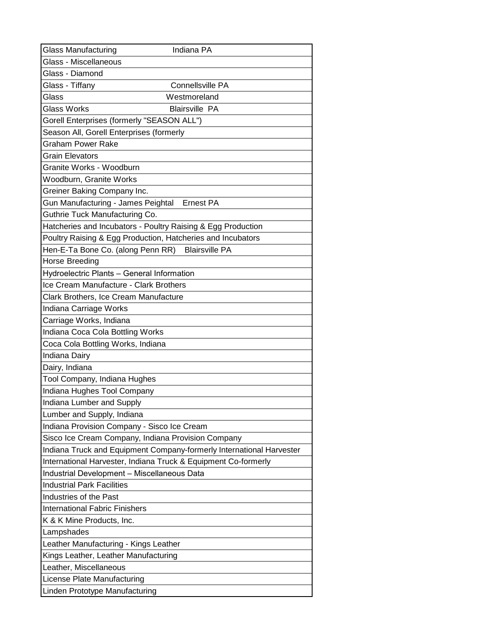| <b>Glass Manufacturing</b>                                           | Indiana PA              |
|----------------------------------------------------------------------|-------------------------|
| Glass - Miscellaneous                                                |                         |
| Glass - Diamond                                                      |                         |
| Glass - Tiffany                                                      | <b>Connellsville PA</b> |
| Glass                                                                | Westmoreland            |
| <b>Glass Works</b>                                                   | <b>Blairsville PA</b>   |
| Gorell Enterprises (formerly "SEASON ALL")                           |                         |
| Season All, Gorell Enterprises (formerly                             |                         |
| <b>Graham Power Rake</b>                                             |                         |
| <b>Grain Elevators</b>                                               |                         |
| Granite Works - Woodburn                                             |                         |
| Woodburn, Granite Works                                              |                         |
| Greiner Baking Company Inc.                                          |                         |
| Gun Manufacturing - James Peightal                                   | <b>Ernest PA</b>        |
| Guthrie Tuck Manufacturing Co.                                       |                         |
| Hatcheries and Incubators - Poultry Raising & Egg Production         |                         |
| Poultry Raising & Egg Production, Hatcheries and Incubators          |                         |
| Hen-E-Ta Bone Co. (along Penn RR)                                    | <b>Blairsville PA</b>   |
| Horse Breeding                                                       |                         |
| Hydroelectric Plants - General Information                           |                         |
| Ice Cream Manufacture - Clark Brothers                               |                         |
| Clark Brothers, Ice Cream Manufacture                                |                         |
| Indiana Carriage Works                                               |                         |
| Carriage Works, Indiana                                              |                         |
| Indiana Coca Cola Bottling Works                                     |                         |
| Coca Cola Bottling Works, Indiana                                    |                         |
| Indiana Dairy                                                        |                         |
| Dairy, Indiana                                                       |                         |
| Tool Company, Indiana Hughes                                         |                         |
| Indiana Hughes Tool Company                                          |                         |
| Indiana Lumber and Supply                                            |                         |
| Lumber and Supply, Indiana                                           |                         |
| Indiana Provision Company - Sisco Ice Cream                          |                         |
| Sisco Ice Cream Company, Indiana Provision Company                   |                         |
| Indiana Truck and Equipment Company-formerly International Harvester |                         |
| International Harvester, Indiana Truck & Equipment Co-formerly       |                         |
| Industrial Development - Miscellaneous Data                          |                         |
| <b>Industrial Park Facilities</b>                                    |                         |
| Industries of the Past                                               |                         |
| <b>International Fabric Finishers</b>                                |                         |
| K & K Mine Products, Inc.                                            |                         |
| Lampshades                                                           |                         |
| Leather Manufacturing - Kings Leather                                |                         |
| Kings Leather, Leather Manufacturing                                 |                         |
| Leather, Miscellaneous                                               |                         |
| License Plate Manufacturing                                          |                         |
| Linden Prototype Manufacturing                                       |                         |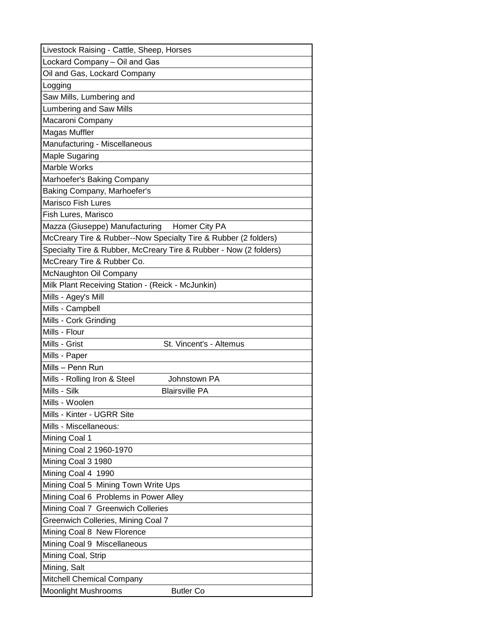| Livestock Raising - Cattle, Sheep, Horses                         |
|-------------------------------------------------------------------|
| Lockard Company - Oil and Gas                                     |
| Oil and Gas, Lockard Company                                      |
| Logging                                                           |
| Saw Mills, Lumbering and                                          |
| Lumbering and Saw Mills                                           |
| Macaroni Company                                                  |
| <b>Magas Muffler</b>                                              |
| Manufacturing - Miscellaneous                                     |
| <b>Maple Sugaring</b>                                             |
| Marble Works                                                      |
| Marhoefer's Baking Company                                        |
| Baking Company, Marhoefer's                                       |
| <b>Marisco Fish Lures</b>                                         |
| Fish Lures, Marisco                                               |
| Mazza (Giuseppe) Manufacturing Homer City PA                      |
| McCreary Tire & Rubber--Now Specialty Tire & Rubber (2 folders)   |
| Specialty Tire & Rubber, McCreary Tire & Rubber - Now (2 folders) |
| McCreary Tire & Rubber Co.                                        |
| McNaughton Oil Company                                            |
| Milk Plant Receiving Station - (Reick - McJunkin)                 |
| Mills - Agey's Mill                                               |
| Mills - Campbell                                                  |
| Mills - Cork Grinding                                             |
| Mills - Flour                                                     |
| St. Vincent's - Altemus<br>Mills - Grist                          |
| Mills - Paper                                                     |
| Mills - Penn Run                                                  |
| Mills - Rolling Iron & Steel<br>Johnstown PA                      |
| Mills - Silk<br><b>Blairsville PA</b>                             |
| Mills - Woolen                                                    |
| Mills - Kinter - UGRR Site                                        |
| Mills - Miscellaneous:                                            |
| Mining Coal 1                                                     |
| Mining Coal 2 1960-1970                                           |
| Mining Coal 3 1980                                                |
| Mining Coal 4 1990                                                |
| Mining Coal 5 Mining Town Write Ups                               |
| Mining Coal 6 Problems in Power Alley                             |
| Mining Coal 7 Greenwich Colleries                                 |
| Greenwich Colleries, Mining Coal 7                                |
| Mining Coal 8 New Florence                                        |
| Mining Coal 9 Miscellaneous                                       |
| Mining Coal, Strip                                                |
| Mining, Salt                                                      |
| <b>Mitchell Chemical Company</b>                                  |
| <b>Moonlight Mushrooms</b><br><b>Butler Co</b>                    |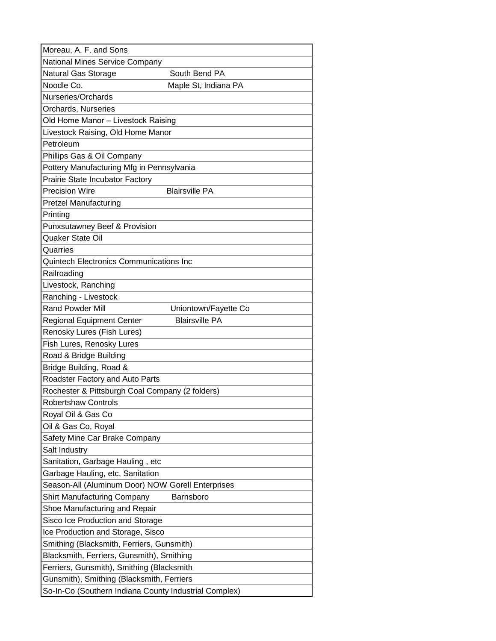| Moreau, A. F. and Sons                                |                       |
|-------------------------------------------------------|-----------------------|
| National Mines Service Company                        |                       |
| <b>Natural Gas Storage</b>                            | South Bend PA         |
| Noodle Co.                                            | Maple St, Indiana PA  |
| Nurseries/Orchards                                    |                       |
| Orchards, Nurseries                                   |                       |
| Old Home Manor - Livestock Raising                    |                       |
| Livestock Raising, Old Home Manor                     |                       |
| Petroleum                                             |                       |
| Phillips Gas & Oil Company                            |                       |
| Pottery Manufacturing Mfg in Pennsylvania             |                       |
| Prairie State Incubator Factory                       |                       |
| <b>Precision Wire</b>                                 | <b>Blairsville PA</b> |
| <b>Pretzel Manufacturing</b>                          |                       |
| Printing                                              |                       |
| Punxsutawney Beef & Provision                         |                       |
| Quaker State Oil                                      |                       |
| Quarries                                              |                       |
| <b>Quintech Electronics Communications Inc</b>        |                       |
| Railroading                                           |                       |
| Livestock, Ranching                                   |                       |
| Ranching - Livestock                                  |                       |
| <b>Rand Powder Mill</b>                               | Uniontown/Fayette Co  |
| <b>Regional Equipment Center</b>                      | <b>Blairsville PA</b> |
| Renosky Lures (Fish Lures)                            |                       |
| Fish Lures, Renosky Lures                             |                       |
| Road & Bridge Building                                |                       |
| Bridge Building, Road &                               |                       |
| Roadster Factory and Auto Parts                       |                       |
| Rochester & Pittsburgh Coal Company (2 folders)       |                       |
| <b>Robertshaw Controls</b>                            |                       |
| Royal Oil & Gas Co                                    |                       |
| Oil & Gas Co, Royal                                   |                       |
| Safety Mine Car Brake Company                         |                       |
| Salt Industry                                         |                       |
| Sanitation, Garbage Hauling, etc                      |                       |
| Garbage Hauling, etc, Sanitation                      |                       |
| Season-All (Aluminum Door) NOW Gorell Enterprises     |                       |
| <b>Shirt Manufacturing Company</b>                    | Barnsboro             |
| Shoe Manufacturing and Repair                         |                       |
| Sisco Ice Production and Storage                      |                       |
| Ice Production and Storage, Sisco                     |                       |
| Smithing (Blacksmith, Ferriers, Gunsmith)             |                       |
| Blacksmith, Ferriers, Gunsmith), Smithing             |                       |
| Ferriers, Gunsmith), Smithing (Blacksmith             |                       |
| Gunsmith), Smithing (Blacksmith, Ferriers             |                       |
| So-In-Co (Southern Indiana County Industrial Complex) |                       |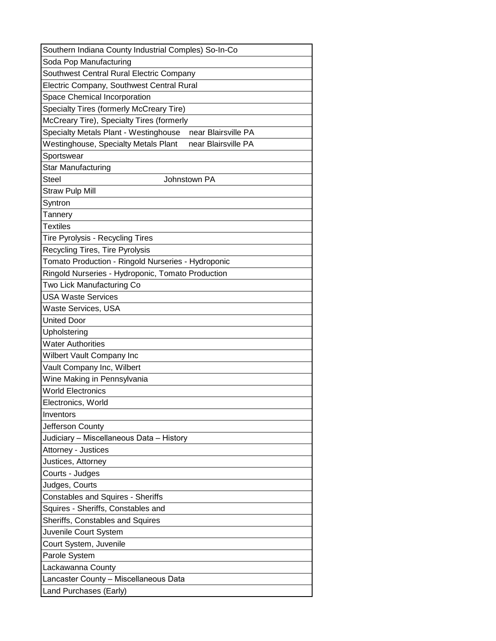| Southern Indiana County Industrial Comples) So-In-Co         |
|--------------------------------------------------------------|
| Soda Pop Manufacturing                                       |
| Southwest Central Rural Electric Company                     |
| Electric Company, Southwest Central Rural                    |
| Space Chemical Incorporation                                 |
| Specialty Tires (formerly McCreary Tire)                     |
| McCreary Tire), Specialty Tires (formerly                    |
| Specialty Metals Plant - Westinghouse<br>near Blairsville PA |
| Westinghouse, Specialty Metals Plant<br>near Blairsville PA  |
| Sportswear                                                   |
| <b>Star Manufacturing</b>                                    |
| <b>Steel</b><br>Johnstown PA                                 |
| <b>Straw Pulp Mill</b>                                       |
| Syntron                                                      |
| Tannery                                                      |
| <b>Textiles</b>                                              |
| Tire Pyrolysis - Recycling Tires                             |
| Recycling Tires, Tire Pyrolysis                              |
| Tomato Production - Ringold Nurseries - Hydroponic           |
| Ringold Nurseries - Hydroponic, Tomato Production            |
| Two Lick Manufacturing Co                                    |
| <b>USA Waste Services</b>                                    |
| Waste Services, USA                                          |
| <b>United Door</b>                                           |
| Upholstering                                                 |
| <b>Water Authorities</b>                                     |
| <b>Wilbert Vault Company Inc</b>                             |
| Vault Company Inc, Wilbert                                   |
| Wine Making in Pennsylvania                                  |
| <b>World Electronics</b>                                     |
| Electronics, World                                           |
| Inventors                                                    |
| Jefferson County                                             |
| Judiciary - Miscellaneous Data - History                     |
| Attorney - Justices                                          |
| Justices, Attorney                                           |
| Courts - Judges                                              |
| Judges, Courts                                               |
| <b>Constables and Squires - Sheriffs</b>                     |
| Squires - Sheriffs, Constables and                           |
| Sheriffs, Constables and Squires                             |
| Juvenile Court System                                        |
| Court System, Juvenile                                       |
| Parole System                                                |
| Lackawanna County                                            |
| Lancaster County - Miscellaneous Data                        |
| Land Purchases (Early)                                       |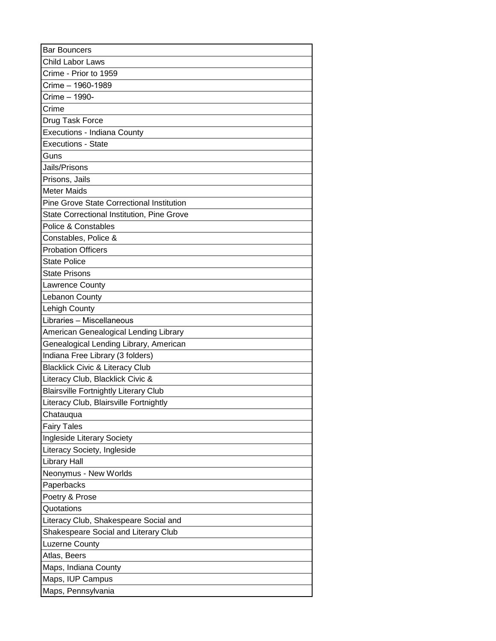| <b>Bar Bouncers</b>                               |
|---------------------------------------------------|
| <b>Child Labor Laws</b>                           |
| Crime - Prior to 1959                             |
| Crime - 1960-1989                                 |
| Crime - 1990-                                     |
| Crime                                             |
| Drug Task Force                                   |
| Executions - Indiana County                       |
| <b>Executions - State</b>                         |
| Guns                                              |
| Jails/Prisons                                     |
| Prisons, Jails                                    |
| <b>Meter Maids</b>                                |
| <b>Pine Grove State Correctional Institution</b>  |
| <b>State Correctional Institution, Pine Grove</b> |
| Police & Constables                               |
| Constables, Police &                              |
| <b>Probation Officers</b>                         |
| <b>State Police</b>                               |
| State Prisons                                     |
| <b>Lawrence County</b>                            |
| <b>Lebanon County</b>                             |
| Lehigh County                                     |
| Libraries - Miscellaneous                         |
| American Genealogical Lending Library             |
| Genealogical Lending Library, American            |
| Indiana Free Library (3 folders)                  |
| <b>Blacklick Civic &amp; Literacy Club</b>        |
| Literacy Club, Blacklick Civic &                  |
| <b>Blairsville Fortnightly Literary Club</b>      |
| Literacy Club, Blairsville Fortnightly            |
| Chatauqua                                         |
| <b>Fairy Tales</b>                                |
| Ingleside Literary Society                        |
| Literacy Society, Ingleside                       |
| <b>Library Hall</b>                               |
| Neonymus - New Worlds                             |
| Paperbacks                                        |
| Poetry & Prose                                    |
| Quotations                                        |
| Literacy Club, Shakespeare Social and             |
| Shakespeare Social and Literary Club              |
| <b>Luzerne County</b>                             |
| Atlas, Beers                                      |
| Maps, Indiana County                              |
| Maps, IUP Campus                                  |
| Maps, Pennsylvania                                |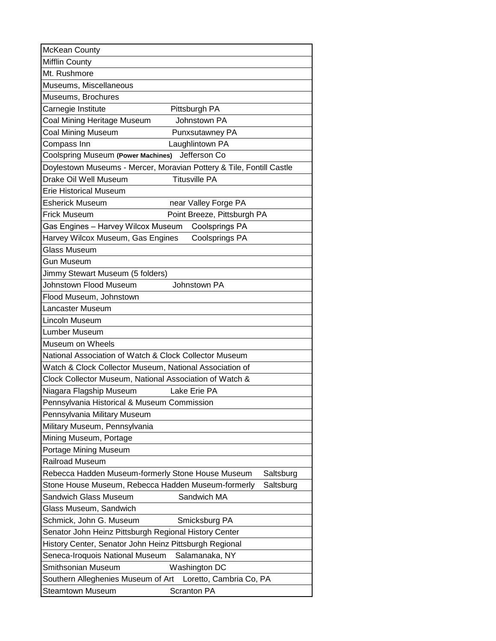| McKean County                                                        |
|----------------------------------------------------------------------|
| <b>Mifflin County</b>                                                |
| Mt. Rushmore                                                         |
| Museums, Miscellaneous                                               |
| Museums, Brochures                                                   |
| Carnegie Institute<br>Pittsburgh PA                                  |
| Coal Mining Heritage Museum<br>Johnstown PA                          |
| <b>Coal Mining Museum</b><br>Punxsutawney PA                         |
| Compass Inn<br>Laughlintown PA                                       |
| <b>Coolspring Museum (Power Machines)</b><br>Jefferson Co            |
| Doylestown Museums - Mercer, Moravian Pottery & Tile, Fontill Castle |
| Drake Oil Well Museum<br><b>Titusville PA</b>                        |
| <b>Erie Historical Museum</b>                                        |
| <b>Esherick Museum</b><br>near Valley Forge PA                       |
| <b>Frick Museum</b><br>Point Breeze, Pittsburgh PA                   |
| Gas Engines - Harvey Wilcox Museum<br><b>Coolsprings PA</b>          |
| Harvey Wilcox Museum, Gas Engines<br><b>Coolsprings PA</b>           |
| <b>Glass Museum</b>                                                  |
| <b>Gun Museum</b>                                                    |
| Jimmy Stewart Museum (5 folders)                                     |
| Johnstown Flood Museum<br>Johnstown PA                               |
| Flood Museum, Johnstown                                              |
| Lancaster Museum                                                     |
| Lincoln Museum                                                       |
| Lumber Museum                                                        |
| Museum on Wheels                                                     |
| National Association of Watch & Clock Collector Museum               |
| Watch & Clock Collector Museum, National Association of              |
| Clock Collector Museum, National Association of Watch &              |
| Niagara Flagship Museum<br>Lake Erie PA                              |
| Pennsylvania Historical & Museum Commission                          |
| Pennsylvania Military Museum                                         |
| Military Museum, Pennsylvania                                        |
| Mining Museum, Portage                                               |
| Portage Mining Museum                                                |
| Railroad Museum                                                      |
| Rebecca Hadden Museum-formerly Stone House Museum<br>Saltsburg       |
| Stone House Museum, Rebecca Hadden Museum-formerly<br>Saltsburg      |
| <b>Sandwich Glass Museum</b><br>Sandwich MA                          |
| Glass Museum, Sandwich                                               |
| Schmick, John G. Museum<br>Smicksburg PA                             |
| Senator John Heinz Pittsburgh Regional History Center                |
| History Center, Senator John Heinz Pittsburgh Regional               |
| Seneca-Iroquois National Museum<br>Salamanaka, NY                    |
| Smithsonian Museum<br>Washington DC                                  |
| Southern Alleghenies Museum of Art<br>Loretto, Cambria Co, PA        |
| Steamtown Museum<br><b>Scranton PA</b>                               |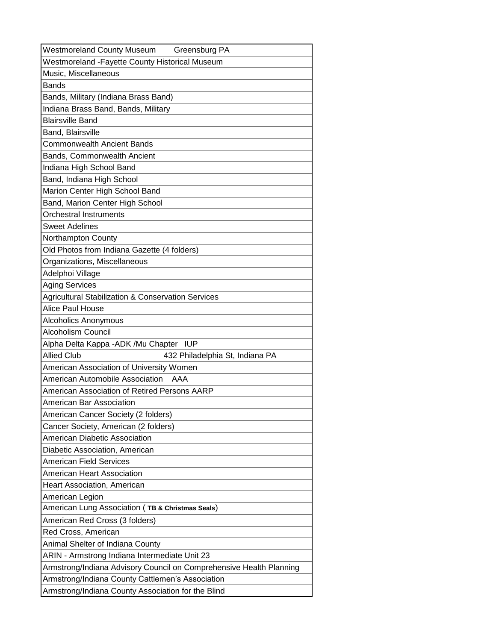| <b>Westmoreland County Museum</b><br>Greensburg PA                  |
|---------------------------------------------------------------------|
| Westmoreland - Fayette County Historical Museum                     |
| Music, Miscellaneous                                                |
| <b>Bands</b>                                                        |
| Bands, Military (Indiana Brass Band)                                |
| Indiana Brass Band, Bands, Military                                 |
| <b>Blairsville Band</b>                                             |
| Band, Blairsville                                                   |
| <b>Commonwealth Ancient Bands</b>                                   |
| Bands, Commonwealth Ancient                                         |
| Indiana High School Band                                            |
| Band, Indiana High School                                           |
| Marion Center High School Band                                      |
| Band, Marion Center High School                                     |
| <b>Orchestral Instruments</b>                                       |
| <b>Sweet Adelines</b>                                               |
| Northampton County                                                  |
| Old Photos from Indiana Gazette (4 folders)                         |
| Organizations, Miscellaneous                                        |
| Adelphoi Village                                                    |
| <b>Aging Services</b>                                               |
| Agricultural Stabilization & Conservation Services                  |
| Alice Paul House                                                    |
| <b>Alcoholics Anonymous</b>                                         |
| <b>Alcoholism Council</b>                                           |
| Alpha Delta Kappa - ADK / Mu Chapter<br><b>IUP</b>                  |
| <b>Allied Club</b><br>432 Philadelphia St, Indiana PA               |
| American Association of University Women                            |
| American Automobile Association<br>AAA                              |
| American Association of Retired Persons AARP                        |
| American Bar Association                                            |
| American Cancer Society (2 folders)                                 |
| Cancer Society, American (2 folders)                                |
| American Diabetic Association                                       |
| Diabetic Association, American                                      |
| <b>American Field Services</b>                                      |
| American Heart Association                                          |
| Heart Association, American                                         |
| American Legion                                                     |
| American Lung Association (TB & Christmas Seals)                    |
| American Red Cross (3 folders)                                      |
| Red Cross, American                                                 |
| Animal Shelter of Indiana County                                    |
| ARIN - Armstrong Indiana Intermediate Unit 23                       |
| Armstrong/Indiana Advisory Council on Comprehensive Health Planning |
| Armstrong/Indiana County Cattlemen's Association                    |
| Armstrong/Indiana County Association for the Blind                  |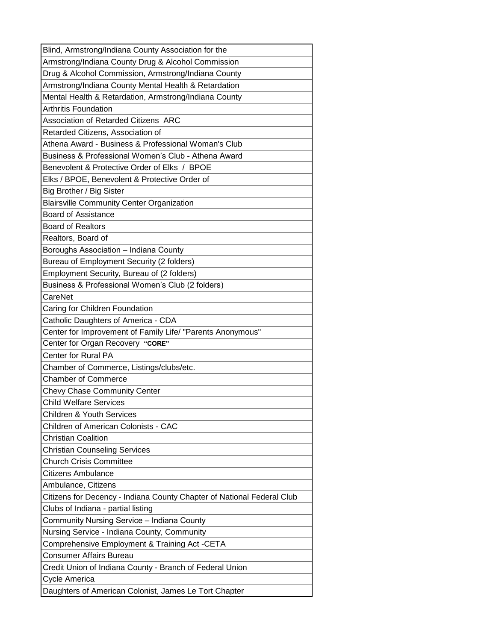| Blind, Armstrong/Indiana County Association for the                    |
|------------------------------------------------------------------------|
| Armstrong/Indiana County Drug & Alcohol Commission                     |
| Drug & Alcohol Commission, Armstrong/Indiana County                    |
| Armstrong/Indiana County Mental Health & Retardation                   |
| Mental Health & Retardation, Armstrong/Indiana County                  |
| <b>Arthritis Foundation</b>                                            |
| Association of Retarded Citizens ARC                                   |
| Retarded Citizens, Association of                                      |
| Athena Award - Business & Professional Woman's Club                    |
| Business & Professional Women's Club - Athena Award                    |
| Benevolent & Protective Order of Elks / BPOE                           |
| Elks / BPOE, Benevolent & Protective Order of                          |
| Big Brother / Big Sister                                               |
| <b>Blairsville Community Center Organization</b>                       |
| <b>Board of Assistance</b>                                             |
| <b>Board of Realtors</b>                                               |
| Realtors, Board of                                                     |
| Boroughs Association - Indiana County                                  |
| Bureau of Employment Security (2 folders)                              |
| Employment Security, Bureau of (2 folders)                             |
| Business & Professional Women's Club (2 folders)                       |
| CareNet                                                                |
| Caring for Children Foundation                                         |
| Catholic Daughters of America - CDA                                    |
| Center for Improvement of Family Life/ "Parents Anonymous"             |
| Center for Organ Recovery "CORE"                                       |
| <b>Center for Rural PA</b>                                             |
| Chamber of Commerce, Listings/clubs/etc.                               |
| <b>Chamber of Commerce</b>                                             |
| <b>Chevy Chase Community Center</b>                                    |
| <b>Child Welfare Services</b>                                          |
| <b>Children &amp; Youth Services</b>                                   |
| <b>Children of American Colonists - CAC</b>                            |
| <b>Christian Coalition</b>                                             |
| <b>Christian Counseling Services</b>                                   |
| <b>Church Crisis Committee</b>                                         |
| <b>Citizens Ambulance</b>                                              |
| Ambulance, Citizens                                                    |
| Citizens for Decency - Indiana County Chapter of National Federal Club |
| Clubs of Indiana - partial listing                                     |
| Community Nursing Service – Indiana County                             |
| Nursing Service - Indiana County, Community                            |
| Comprehensive Employment & Training Act -CETA                          |
| <b>Consumer Affairs Bureau</b>                                         |
| Credit Union of Indiana County - Branch of Federal Union               |
| Cycle America                                                          |
| Daughters of American Colonist, James Le Tort Chapter                  |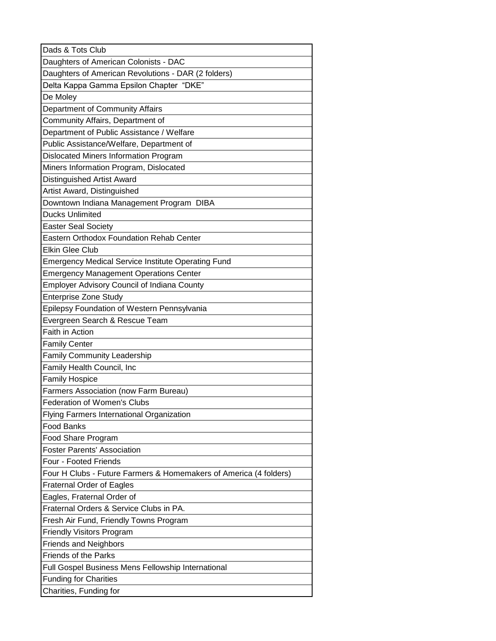| Dads & Tots Club                                                  |
|-------------------------------------------------------------------|
| Daughters of American Colonists - DAC                             |
| Daughters of American Revolutions - DAR (2 folders)               |
| Delta Kappa Gamma Epsilon Chapter "DKE"                           |
| De Moley                                                          |
| Department of Community Affairs                                   |
| Community Affairs, Department of                                  |
| Department of Public Assistance / Welfare                         |
| Public Assistance/Welfare, Department of                          |
| Dislocated Miners Information Program                             |
| Miners Information Program, Dislocated                            |
| Distinguished Artist Award                                        |
| Artist Award, Distinguished                                       |
| Downtown Indiana Management Program DIBA                          |
| <b>Ducks Unlimited</b>                                            |
| <b>Easter Seal Society</b>                                        |
| Eastern Orthodox Foundation Rehab Center                          |
| <b>Elkin Glee Club</b>                                            |
| <b>Emergency Medical Service Institute Operating Fund</b>         |
| <b>Emergency Management Operations Center</b>                     |
| Employer Advisory Council of Indiana County                       |
| <b>Enterprise Zone Study</b>                                      |
| Epilepsy Foundation of Western Pennsylvania                       |
| Evergreen Search & Rescue Team                                    |
| Faith in Action                                                   |
| <b>Family Center</b>                                              |
| <b>Family Community Leadership</b>                                |
| Family Health Council, Inc                                        |
| <b>Family Hospice</b>                                             |
| Farmers Association (now Farm Bureau)                             |
| Federation of Women's Clubs                                       |
| Flying Farmers International Organization                         |
| <b>Food Banks</b>                                                 |
| Food Share Program                                                |
| <b>Foster Parents' Association</b>                                |
| Four - Footed Friends                                             |
| Four H Clubs - Future Farmers & Homemakers of America (4 folders) |
| <b>Fraternal Order of Eagles</b>                                  |
| Eagles, Fraternal Order of                                        |
| Fraternal Orders & Service Clubs in PA.                           |
| Fresh Air Fund, Friendly Towns Program                            |
| <b>Friendly Visitors Program</b>                                  |
| <b>Friends and Neighbors</b>                                      |
| Friends of the Parks                                              |
| Full Gospel Business Mens Fellowship International                |
| <b>Funding for Charities</b>                                      |
| Charities, Funding for                                            |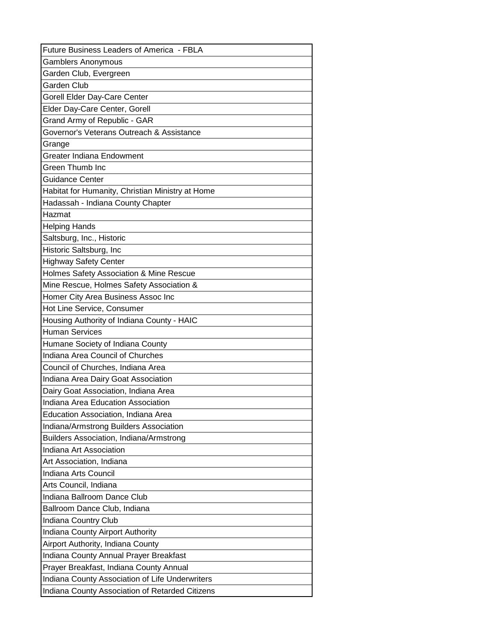| Future Business Leaders of America - FBLA        |
|--------------------------------------------------|
| <b>Gamblers Anonymous</b>                        |
| Garden Club, Evergreen                           |
| Garden Club                                      |
| Gorell Elder Day-Care Center                     |
| Elder Day-Care Center, Gorell                    |
| Grand Army of Republic - GAR                     |
| Governor's Veterans Outreach & Assistance        |
| Grange                                           |
| Greater Indiana Endowment                        |
| Green Thumb Inc                                  |
| Guidance Center                                  |
| Habitat for Humanity, Christian Ministry at Home |
| Hadassah - Indiana County Chapter                |
| Hazmat                                           |
| <b>Helping Hands</b>                             |
| Saltsburg, Inc., Historic                        |
| Historic Saltsburg, Inc                          |
| <b>Highway Safety Center</b>                     |
| Holmes Safety Association & Mine Rescue          |
| Mine Rescue, Holmes Safety Association &         |
| Homer City Area Business Assoc Inc               |
| Hot Line Service, Consumer                       |
| Housing Authority of Indiana County - HAIC       |
| <b>Human Services</b>                            |
| Humane Society of Indiana County                 |
| Indiana Area Council of Churches                 |
| Council of Churches, Indiana Area                |
| Indiana Area Dairy Goat Association              |
| Dairy Goat Association, Indiana Area             |
| Indiana Area Education Association               |
| Education Association, Indiana Area              |
| Indiana/Armstrong Builders Association           |
| Builders Association, Indiana/Armstrong          |
| Indiana Art Association                          |
| Art Association, Indiana                         |
| Indiana Arts Council                             |
| Arts Council, Indiana                            |
| Indiana Ballroom Dance Club                      |
| Ballroom Dance Club, Indiana                     |
| Indiana Country Club                             |
| Indiana County Airport Authority                 |
| Airport Authority, Indiana County                |
| Indiana County Annual Prayer Breakfast           |
| Prayer Breakfast, Indiana County Annual          |
| Indiana County Association of Life Underwriters  |
| Indiana County Association of Retarded Citizens  |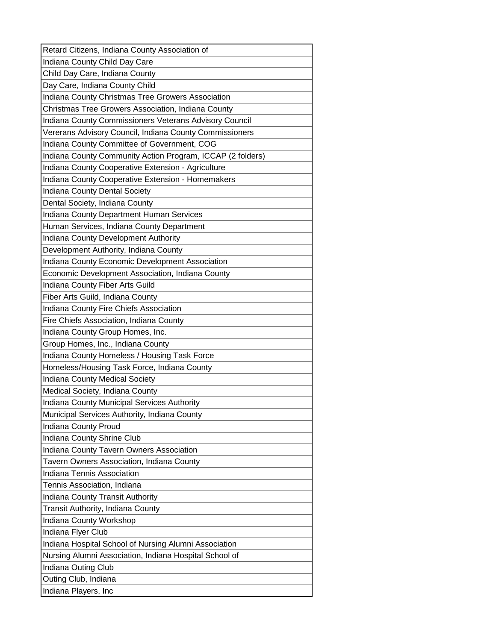| Retard Citizens, Indiana County Association of             |
|------------------------------------------------------------|
| Indiana County Child Day Care                              |
| Child Day Care, Indiana County                             |
| Day Care, Indiana County Child                             |
| Indiana County Christmas Tree Growers Association          |
| Christmas Tree Growers Association, Indiana County         |
| Indiana County Commissioners Veterans Advisory Council     |
| Vererans Advisory Council, Indiana County Commissioners    |
| Indiana County Committee of Government, COG                |
| Indiana County Community Action Program, ICCAP (2 folders) |
| Indiana County Cooperative Extension - Agriculture         |
| Indiana County Cooperative Extension - Homemakers          |
| Indiana County Dental Society                              |
| Dental Society, Indiana County                             |
| Indiana County Department Human Services                   |
| Human Services, Indiana County Department                  |
| Indiana County Development Authority                       |
| Development Authority, Indiana County                      |
| Indiana County Economic Development Association            |
| Economic Development Association, Indiana County           |
| Indiana County Fiber Arts Guild                            |
| Fiber Arts Guild, Indiana County                           |
| Indiana County Fire Chiefs Association                     |
| Fire Chiefs Association, Indiana County                    |
| Indiana County Group Homes, Inc.                           |
| Group Homes, Inc., Indiana County                          |
| Indiana County Homeless / Housing Task Force               |
| Homeless/Housing Task Force, Indiana County                |
| Indiana County Medical Society                             |
| Medical Society, Indiana County                            |
| Indiana County Municipal Services Authority                |
| Municipal Services Authority, Indiana County               |
| Indiana County Proud                                       |
| Indiana County Shrine Club                                 |
| Indiana County Tavern Owners Association                   |
| Tavern Owners Association, Indiana County                  |
| Indiana Tennis Association                                 |
| Tennis Association, Indiana                                |
| Indiana County Transit Authority                           |
| Transit Authority, Indiana County                          |
| Indiana County Workshop                                    |
| Indiana Flyer Club                                         |
| Indiana Hospital School of Nursing Alumni Association      |
| Nursing Alumni Association, Indiana Hospital School of     |
| Indiana Outing Club                                        |
| Outing Club, Indiana                                       |
| Indiana Players, Inc                                       |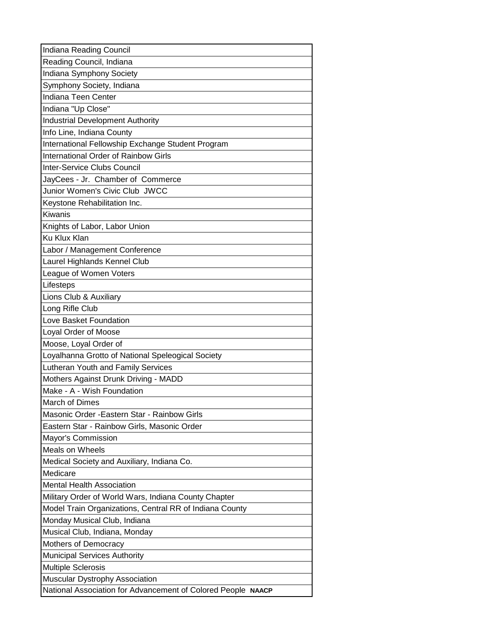| Indiana Reading Council                                      |
|--------------------------------------------------------------|
| Reading Council, Indiana                                     |
| Indiana Symphony Society                                     |
| Symphony Society, Indiana                                    |
| Indiana Teen Center                                          |
| Indiana "Up Close"                                           |
| <b>Industrial Development Authority</b>                      |
| Info Line, Indiana County                                    |
| International Fellowship Exchange Student Program            |
| International Order of Rainbow Girls                         |
| Inter-Service Clubs Council                                  |
| JayCees - Jr. Chamber of Commerce                            |
| Junior Women's Civic Club JWCC                               |
| Keystone Rehabilitation Inc.                                 |
| Kiwanis                                                      |
| Knights of Labor, Labor Union                                |
| Ku Klux Klan                                                 |
| Labor / Management Conference                                |
| Laurel Highlands Kennel Club                                 |
| League of Women Voters                                       |
| Lifesteps                                                    |
| Lions Club & Auxiliary                                       |
| Long Rifle Club                                              |
| Love Basket Foundation                                       |
| Loyal Order of Moose                                         |
| Moose, Loyal Order of                                        |
| Loyalhanna Grotto of National Speleogical Society            |
| Lutheran Youth and Family Services                           |
| Mothers Against Drunk Driving - MADD                         |
| Make - A - Wish Foundation                                   |
| March of Dimes                                               |
| Masonic Order - Eastern Star - Rainbow Girls                 |
| Eastern Star - Rainbow Girls, Masonic Order                  |
| Mayor's Commission                                           |
| Meals on Wheels                                              |
| Medical Society and Auxiliary, Indiana Co.                   |
| Medicare                                                     |
| <b>Mental Health Association</b>                             |
| Military Order of World Wars, Indiana County Chapter         |
| Model Train Organizations, Central RR of Indiana County      |
| Monday Musical Club, Indiana                                 |
| Musical Club, Indiana, Monday                                |
| Mothers of Democracy                                         |
| <b>Municipal Services Authority</b>                          |
| <b>Multiple Sclerosis</b>                                    |
| Muscular Dystrophy Association                               |
| National Association for Advancement of Colored People NAACP |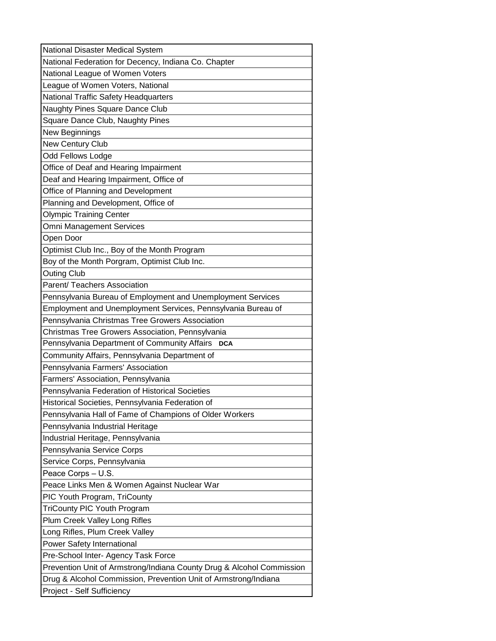| National Disaster Medical System                                      |
|-----------------------------------------------------------------------|
| National Federation for Decency, Indiana Co. Chapter                  |
| National League of Women Voters                                       |
| League of Women Voters, National                                      |
| National Traffic Safety Headquarters                                  |
| Naughty Pines Square Dance Club                                       |
| Square Dance Club, Naughty Pines                                      |
| New Beginnings                                                        |
| <b>New Century Club</b>                                               |
| Odd Fellows Lodge                                                     |
| Office of Deaf and Hearing Impairment                                 |
| Deaf and Hearing Impairment, Office of                                |
| Office of Planning and Development                                    |
| Planning and Development, Office of                                   |
| <b>Olympic Training Center</b>                                        |
| <b>Omni Management Services</b>                                       |
| Open Door                                                             |
| Optimist Club Inc., Boy of the Month Program                          |
| Boy of the Month Porgram, Optimist Club Inc.                          |
| <b>Outing Club</b>                                                    |
| Parent/ Teachers Association                                          |
| Pennsylvania Bureau of Employment and Unemployment Services           |
| Employment and Unemployment Services, Pennsylvania Bureau of          |
| Pennsylvania Christmas Tree Growers Association                       |
| Christmas Tree Growers Association, Pennsylvania                      |
| Pennsylvania Department of Community Affairs<br><b>DCA</b>            |
| Community Affairs, Pennsylvania Department of                         |
| Pennsylvania Farmers' Association                                     |
| Farmers' Association, Pennsylvania                                    |
| Pennsylvania Federation of Historical Societies                       |
| Historical Societies, Pennsylvania Federation of                      |
| Pennsylvania Hall of Fame of Champions of Older Workers               |
| Pennsylvania Industrial Heritage                                      |
| Industrial Heritage, Pennsylvania                                     |
| Pennsylvania Service Corps                                            |
| Service Corps, Pennsylvania                                           |
| Peace Corps - U.S.                                                    |
| Peace Links Men & Women Against Nuclear War                           |
| PIC Youth Program, TriCounty                                          |
| TriCounty PIC Youth Program                                           |
| Plum Creek Valley Long Rifles                                         |
| Long Rifles, Plum Creek Valley                                        |
| Power Safety International                                            |
| Pre-School Inter- Agency Task Force                                   |
| Prevention Unit of Armstrong/Indiana County Drug & Alcohol Commission |
| Drug & Alcohol Commission, Prevention Unit of Armstrong/Indiana       |
| Project - Self Sufficiency                                            |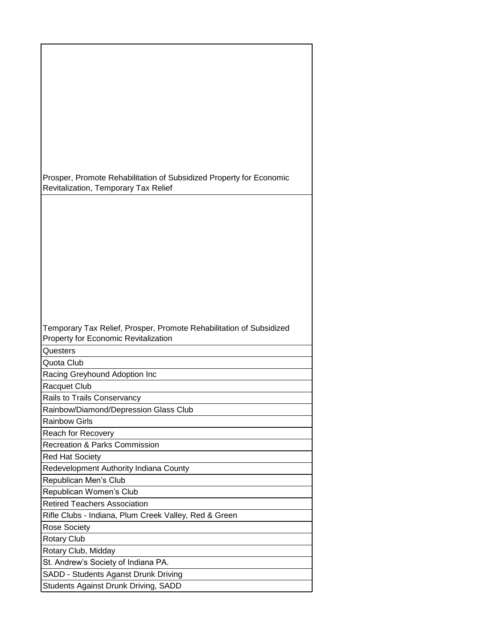| Prosper, Promote Rehabilitation of Subsidized Property for Economic<br>Revitalization, Temporary Tax Relief |
|-------------------------------------------------------------------------------------------------------------|
|                                                                                                             |
|                                                                                                             |
|                                                                                                             |
|                                                                                                             |
|                                                                                                             |
|                                                                                                             |
|                                                                                                             |
|                                                                                                             |
|                                                                                                             |
|                                                                                                             |
|                                                                                                             |
| Temporary Tax Relief, Prosper, Promote Rehabilitation of Subsidized<br>Property for Economic Revitalization |
| Questers                                                                                                    |
| Quota Club                                                                                                  |
| Racing Greyhound Adoption Inc                                                                               |
| <b>Racquet Club</b>                                                                                         |
| Rails to Trails Conservancy                                                                                 |
| Rainbow/Diamond/Depression Glass Club                                                                       |
| <b>Rainbow Girls</b>                                                                                        |
| Reach for Recovery                                                                                          |
| <b>Recreation &amp; Parks Commission</b>                                                                    |
| <b>Red Hat Society</b>                                                                                      |
| Redevelopment Authority Indiana County                                                                      |
| Republican Men's Club                                                                                       |
| Republican Women's Club<br><b>Retired Teachers Association</b>                                              |
| Rifle Clubs - Indiana, Plum Creek Valley, Red & Green                                                       |
| Rose Society                                                                                                |
| <b>Rotary Club</b>                                                                                          |
| Rotary Club, Midday                                                                                         |
| St. Andrew's Society of Indiana PA.                                                                         |
| SADD - Students Aganst Drunk Driving<br>Students Against Drunk Driving, SADD                                |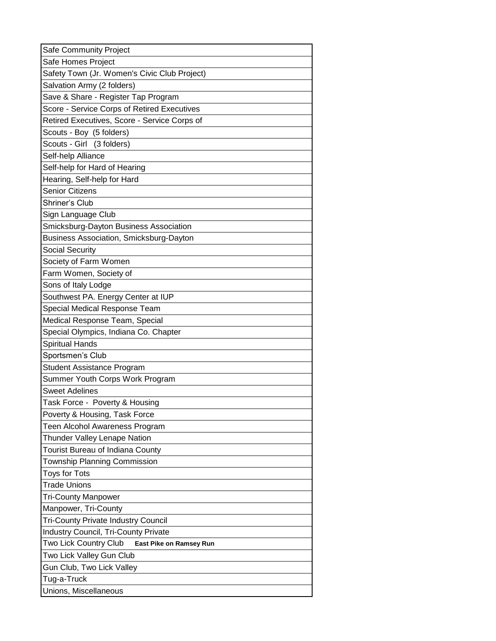| Safe Homes Project<br>Safety Town (Jr. Women's Civic Club Project) |
|--------------------------------------------------------------------|
|                                                                    |
|                                                                    |
| Salvation Army (2 folders)                                         |
| Save & Share - Register Tap Program                                |
| Score - Service Corps of Retired Executives                        |
| Retired Executives, Score - Service Corps of                       |
| Scouts - Boy (5 folders)                                           |
| Scouts - Girl (3 folders)                                          |
| Self-help Alliance                                                 |
| Self-help for Hard of Hearing                                      |
| Hearing, Self-help for Hard                                        |
| <b>Senior Citizens</b>                                             |
| Shriner's Club                                                     |
| Sign Language Club                                                 |
| Smicksburg-Dayton Business Association                             |
| Business Association, Smicksburg-Dayton                            |
| <b>Social Security</b>                                             |
| Society of Farm Women                                              |
| Farm Women, Society of                                             |
| Sons of Italy Lodge                                                |
| Southwest PA. Energy Center at IUP                                 |
| Special Medical Response Team                                      |
| Medical Response Team, Special                                     |
| Special Olympics, Indiana Co. Chapter                              |
| <b>Spiritual Hands</b>                                             |
| Sportsmen's Club                                                   |
| <b>Student Assistance Program</b>                                  |
| Summer Youth Corps Work Program                                    |
| <b>Sweet Adelines</b>                                              |
| Task Force - Poverty & Housing                                     |
| Poverty & Housing, Task Force                                      |
| Teen Alcohol Awareness Program                                     |
| Thunder Valley Lenape Nation                                       |
| Tourist Bureau of Indiana County                                   |
| Township Planning Commission                                       |
| <b>Toys for Tots</b>                                               |
| <b>Trade Unions</b>                                                |
| <b>Tri-County Manpower</b>                                         |
| Manpower, Tri-County                                               |
| <b>Tri-County Private Industry Council</b>                         |
| <b>Industry Council, Tri-County Private</b>                        |
| Two Lick Country Club<br>East Pike on Ramsey Run                   |
| Two Lick Valley Gun Club                                           |
| Gun Club, Two Lick Valley                                          |
| Tug-a-Truck                                                        |
| Unions, Miscellaneous                                              |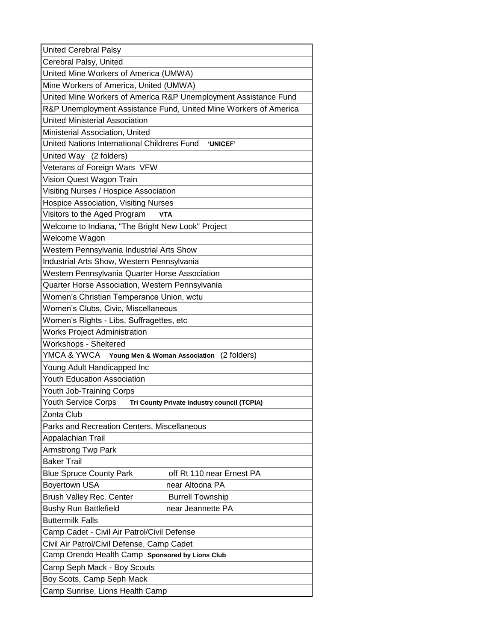| <b>United Cerebral Palsy</b>                                              |  |  |
|---------------------------------------------------------------------------|--|--|
| Cerebral Palsy, United                                                    |  |  |
| United Mine Workers of America (UMWA)                                     |  |  |
| Mine Workers of America, United (UMWA)                                    |  |  |
| United Mine Workers of America R&P Unemployment Assistance Fund           |  |  |
| R&P Unemployment Assistance Fund, United Mine Workers of America          |  |  |
| <b>United Ministerial Association</b>                                     |  |  |
| Ministerial Association, United                                           |  |  |
| United Nations International Childrens Fund<br><b>'UNICEF'</b>            |  |  |
| United Way (2 folders)                                                    |  |  |
| Veterans of Foreign Wars VFW                                              |  |  |
| Vision Quest Wagon Train                                                  |  |  |
| Visiting Nurses / Hospice Association                                     |  |  |
| <b>Hospice Association, Visiting Nurses</b>                               |  |  |
| Visitors to the Aged Program<br><b>VTA</b>                                |  |  |
| Welcome to Indiana, "The Bright New Look" Project                         |  |  |
| Welcome Wagon                                                             |  |  |
| Western Pennsylvania Industrial Arts Show                                 |  |  |
| Industrial Arts Show, Western Pennsylvania                                |  |  |
| Western Pennsylvania Quarter Horse Association                            |  |  |
| Quarter Horse Association, Western Pennsylvania                           |  |  |
| Women's Christian Temperance Union, wctu                                  |  |  |
| Women's Clubs, Civic, Miscellaneous                                       |  |  |
| Women's Rights - Libs, Suffragettes, etc                                  |  |  |
| <b>Works Project Administration</b>                                       |  |  |
| Workshops - Sheltered                                                     |  |  |
| YMCA & YWCA<br>(2 folders)<br>Young Men & Woman Association               |  |  |
| Young Adult Handicapped Inc                                               |  |  |
| <b>Youth Education Association</b>                                        |  |  |
| Youth Job-Training Corps                                                  |  |  |
| <b>Youth Service Corps</b><br>Tri County Private Industry council (TCPIA) |  |  |
| Zonta Club                                                                |  |  |
| Parks and Recreation Centers, Miscellaneous                               |  |  |
| Appalachian Trail                                                         |  |  |
| <b>Armstrong Twp Park</b>                                                 |  |  |
| <b>Baker Trail</b>                                                        |  |  |
| <b>Blue Spruce County Park</b><br>off Rt 110 near Ernest PA               |  |  |
| <b>Boyertown USA</b><br>near Altoona PA                                   |  |  |
| <b>Brush Valley Rec. Center</b><br><b>Burrell Township</b>                |  |  |
| <b>Bushy Run Battlefield</b><br>near Jeannette PA                         |  |  |
| <b>Buttermilk Falls</b>                                                   |  |  |
| Camp Cadet - Civil Air Patrol/Civil Defense                               |  |  |
| Civil Air Patrol/Civil Defense, Camp Cadet                                |  |  |
| Camp Orendo Health Camp Sponsored by Lions Club                           |  |  |
| Camp Seph Mack - Boy Scouts                                               |  |  |
| Boy Scots, Camp Seph Mack                                                 |  |  |
| Camp Sunrise, Lions Health Camp                                           |  |  |
|                                                                           |  |  |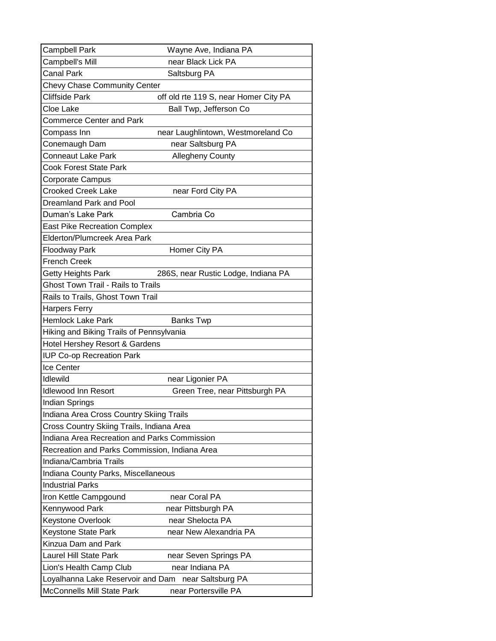| <b>Campbell Park</b>                          | Wayne Ave, Indiana PA                 |
|-----------------------------------------------|---------------------------------------|
| Campbell's Mill                               | near Black Lick PA                    |
| <b>Canal Park</b>                             | Saltsburg PA                          |
| <b>Chevy Chase Community Center</b>           |                                       |
| Cliffside Park                                | off old rte 119 S, near Homer City PA |
| Cloe Lake                                     | Ball Twp, Jefferson Co                |
| <b>Commerce Center and Park</b>               |                                       |
| Compass Inn                                   | near Laughlintown, Westmoreland Co    |
| Conemaugh Dam                                 | near Saltsburg PA                     |
| <b>Conneaut Lake Park</b>                     | <b>Allegheny County</b>               |
| Cook Forest State Park                        |                                       |
| Corporate Campus                              |                                       |
| <b>Crooked Creek Lake</b>                     | near Ford City PA                     |
| Dreamland Park and Pool                       |                                       |
| Duman's Lake Park                             | Cambria Co                            |
| <b>East Pike Recreation Complex</b>           |                                       |
| <b>Elderton/Plumcreek Area Park</b>           |                                       |
| Floodway Park                                 | Homer City PA                         |
| <b>French Creek</b>                           |                                       |
| Getty Heights Park                            | 286S, near Rustic Lodge, Indiana PA   |
| <b>Ghost Town Trail - Rails to Trails</b>     |                                       |
| Rails to Trails, Ghost Town Trail             |                                       |
| <b>Harpers Ferry</b>                          |                                       |
| <b>Hemlock Lake Park</b>                      | <b>Banks Twp</b>                      |
| Hiking and Biking Trails of Pennsylvania      |                                       |
| Hotel Hershey Resort & Gardens                |                                       |
| <b>IUP Co-op Recreation Park</b>              |                                       |
| Ice Center                                    |                                       |
| Idlewild                                      | near Ligonier PA                      |
| <b>Idlewood Inn Resort</b>                    | Green Tree, near Pittsburgh PA        |
| Indian Springs                                |                                       |
| Indiana Area Cross Country Skiing Trails      |                                       |
| Cross Country Skiing Trails, Indiana Area     |                                       |
| Indiana Area Recreation and Parks Commission  |                                       |
| Recreation and Parks Commission, Indiana Area |                                       |
| Indiana/Cambria Trails                        |                                       |
| Indiana County Parks, Miscellaneous           |                                       |
| <b>Industrial Parks</b>                       |                                       |
| Iron Kettle Campgound                         | near Coral PA                         |
| Kennywood Park                                | near Pittsburgh PA                    |
| Keystone Overlook                             | near Shelocta PA                      |
| Keystone State Park                           | near New Alexandria PA                |
| Kinzua Dam and Park                           |                                       |
| <b>Laurel Hill State Park</b>                 | near Seven Springs PA                 |
| Lion's Health Camp Club                       | near Indiana PA                       |
| Loyalhanna Lake Reservoir and Dam             | near Saltsburg PA                     |
| McConnells Mill State Park                    | near Portersville PA                  |
|                                               |                                       |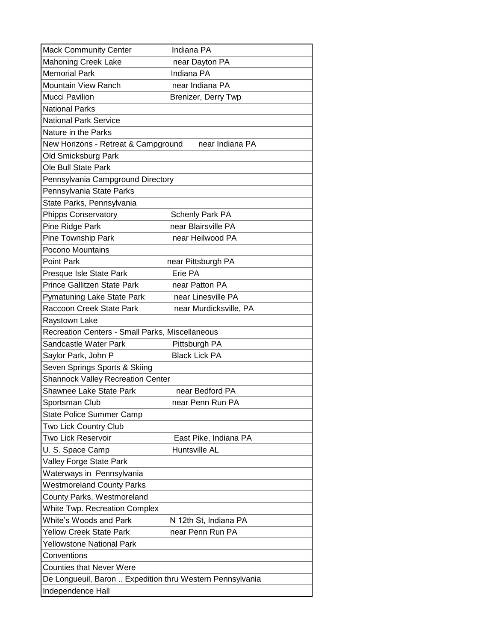| <b>Mack Community Center</b>                              | Indiana PA             |
|-----------------------------------------------------------|------------------------|
| <b>Mahoning Creek Lake</b>                                | near Dayton PA         |
| <b>Memorial Park</b>                                      | Indiana PA             |
| <b>Mountain View Ranch</b>                                | near Indiana PA        |
| <b>Mucci Pavilion</b>                                     | Brenizer, Derry Twp    |
| <b>National Parks</b>                                     |                        |
| <b>National Park Service</b>                              |                        |
| Nature in the Parks                                       |                        |
| New Horizons - Retreat & Campground                       | near Indiana PA        |
| Old Smicksburg Park                                       |                        |
| Ole Bull State Park                                       |                        |
| Pennsylvania Campground Directory                         |                        |
| Pennsylvania State Parks                                  |                        |
| State Parks, Pennsylvania                                 |                        |
| <b>Phipps Conservatory</b>                                | <b>Schenly Park PA</b> |
| Pine Ridge Park                                           | near Blairsville PA    |
| Pine Township Park                                        | near Heilwood PA       |
| Pocono Mountains                                          |                        |
| <b>Point Park</b>                                         | near Pittsburgh PA     |
| Presque Isle State Park                                   | Erie PA                |
| Prince Gallitzen State Park                               | near Patton PA         |
| Pymatuning Lake State Park                                | near Linesville PA     |
| Raccoon Creek State Park                                  | near Murdicksville, PA |
| Raystown Lake                                             |                        |
| Recreation Centers - Small Parks, Miscellaneous           |                        |
| Sandcastle Water Park                                     | Pittsburgh PA          |
| Saylor Park, John P                                       | <b>Black Lick PA</b>   |
| Seven Springs Sports & Skiing                             |                        |
| <b>Shannock Valley Recreation Center</b>                  |                        |
| Shawnee Lake State Park                                   | near Bedford PA        |
| Sportsman Club                                            | near Penn Run PA       |
| <b>State Police Summer Camp</b>                           |                        |
| Two Lick Country Club                                     |                        |
| Two Lick Reservoir                                        | East Pike, Indiana PA  |
| U. S. Space Camp                                          | Huntsville AL          |
| Valley Forge State Park                                   |                        |
| Waterways in Pennsylvania                                 |                        |
| <b>Westmoreland County Parks</b>                          |                        |
| County Parks, Westmoreland                                |                        |
| <b>White Twp. Recreation Complex</b>                      |                        |
| <b>White's Woods and Park</b>                             | N 12th St, Indiana PA  |
| <b>Yellow Creek State Park</b>                            | near Penn Run PA       |
| Yellowstone National Park                                 |                        |
| Conventions<br><b>Counties that Never Were</b>            |                        |
|                                                           |                        |
| De Longueuil, Baron  Expedition thru Western Pennsylvania |                        |
| Independence Hall                                         |                        |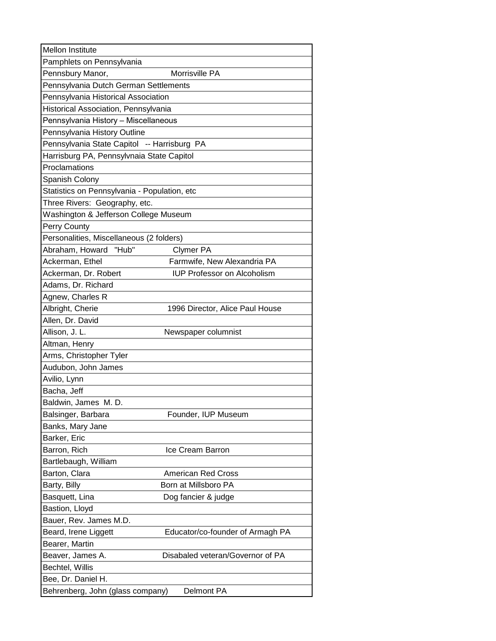| Mellon Institute                             |                                    |
|----------------------------------------------|------------------------------------|
| Pamphlets on Pennsylvania                    |                                    |
| Pennsbury Manor,                             | Morrisville PA                     |
| Pennsylvania Dutch German Settlements        |                                    |
| Pennsylvania Historical Association          |                                    |
| Historical Association, Pennsylvania         |                                    |
| Pennsylvania History - Miscellaneous         |                                    |
| Pennsylvania History Outline                 |                                    |
| Pennsylvania State Capitol -- Harrisburg PA  |                                    |
| Harrisburg PA, Pennsylvnaia State Capitol    |                                    |
| Proclamations                                |                                    |
| Spanish Colony                               |                                    |
| Statistics on Pennsylvania - Population, etc |                                    |
| Three Rivers: Geography, etc.                |                                    |
| Washington & Jefferson College Museum        |                                    |
| Perry County                                 |                                    |
| Personalities, Miscellaneous (2 folders)     |                                    |
| Abraham, Howard<br>"Hub"                     | <b>Clymer PA</b>                   |
| Ackerman, Ethel                              | Farmwife, New Alexandria PA        |
| Ackerman, Dr. Robert                         | <b>IUP Professor on Alcoholism</b> |
| Adams, Dr. Richard                           |                                    |
| Agnew, Charles R                             |                                    |
| Albright, Cherie                             | 1996 Director, Alice Paul House    |
| Allen, Dr. David                             |                                    |
| Allison, J. L.                               | Newspaper columnist                |
| Altman, Henry                                |                                    |
| Arms, Christopher Tyler                      |                                    |
| Audubon, John James                          |                                    |
| Avilio, Lynn                                 |                                    |
| Bacha, Jeff                                  |                                    |
| Baldwin, James M. D.                         |                                    |
| Balsinger, Barbara                           | Founder, IUP Museum                |
| Banks, Mary Jane                             |                                    |
| Barker, Eric                                 |                                    |
| Barron, Rich                                 | Ice Cream Barron                   |
| Bartlebaugh, William                         |                                    |
| Barton, Clara                                | <b>American Red Cross</b>          |
| Barty, Billy                                 | Born at Millsboro PA               |
| Basquett, Lina                               | Dog fancier & judge                |
| Bastion, Lloyd                               |                                    |
| Bauer, Rev. James M.D.                       |                                    |
| Beard, Irene Liggett                         | Educator/co-founder of Armagh PA   |
| Bearer, Martin                               |                                    |
| Beaver, James A.                             | Disabaled veteran/Governor of PA   |
| Bechtel, Willis                              |                                    |
| Bee, Dr. Daniel H.                           |                                    |
| Behrenberg, John (glass company)             | Delmont PA                         |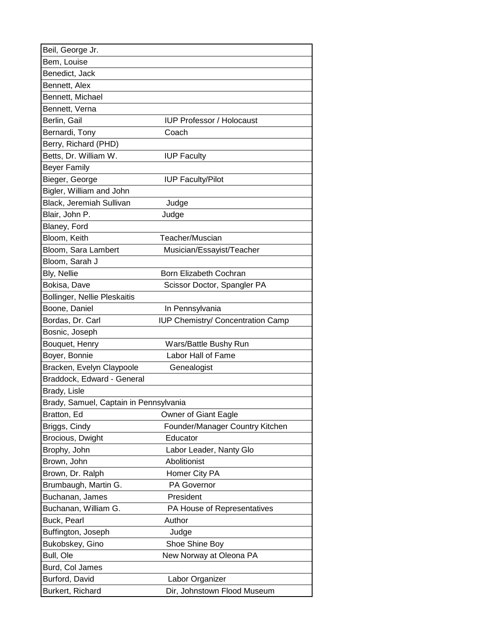| Beil, George Jr.                       |                                   |
|----------------------------------------|-----------------------------------|
| Bem, Louise                            |                                   |
| Benedict, Jack                         |                                   |
| Bennett, Alex                          |                                   |
| Bennett, Michael                       |                                   |
| Bennett, Verna                         |                                   |
| Berlin, Gail                           | <b>IUP Professor / Holocaust</b>  |
| Bernardi, Tony                         | Coach                             |
| Berry, Richard (PHD)                   |                                   |
| Betts, Dr. William W.                  | <b>IUP Faculty</b>                |
| <b>Beyer Family</b>                    |                                   |
| Bieger, George                         | <b>IUP Faculty/Pilot</b>          |
| Bigler, William and John               |                                   |
| Black, Jeremiah Sullivan               | Judge                             |
| Blair, John P.                         | Judge                             |
| Blaney, Ford                           |                                   |
| Bloom, Keith                           | Teacher/Muscian                   |
| Bloom, Sara Lambert                    | Musician/Essayist/Teacher         |
| Bloom, Sarah J                         |                                   |
| Bly, Nellie                            | Born Elizabeth Cochran            |
| Bokisa, Dave                           | Scissor Doctor, Spangler PA       |
| Bollinger, Nellie Pleskaitis           |                                   |
| Boone, Daniel                          | In Pennsylvania                   |
| Bordas, Dr. Carl                       | IUP Chemistry/ Concentration Camp |
| Bosnic, Joseph                         |                                   |
| Bouquet, Henry                         | Wars/Battle Bushy Run             |
| Boyer, Bonnie                          | Labor Hall of Fame                |
| Bracken, Evelyn Claypoole              | Genealogist                       |
| Braddock, Edward - General             |                                   |
| Brady, Lisle                           |                                   |
| Brady, Samuel, Captain in Pennsylvania |                                   |
| Bratton, Ed                            | Owner of Giant Eagle              |
| Briggs, Cindy                          | Founder/Manager Country Kitchen   |
| Brocious, Dwight                       | Educator                          |
| Brophy, John                           | Labor Leader, Nanty Glo           |
| Brown, John                            | Abolitionist                      |
| Brown, Dr. Ralph                       | Homer City PA                     |
| Brumbaugh, Martin G.                   | PA Governor                       |
| Buchanan, James                        | President                         |
| Buchanan, William G.                   | PA House of Representatives       |
| Buck, Pearl                            | Author                            |
| Buffington, Joseph                     | Judge                             |
| Bukobskey, Gino                        | Shoe Shine Boy                    |
| Bull, Ole                              | New Norway at Oleona PA           |
| Burd, Col James                        |                                   |
| Burford, David                         | Labor Organizer                   |
| Burkert, Richard                       | Dir, Johnstown Flood Museum       |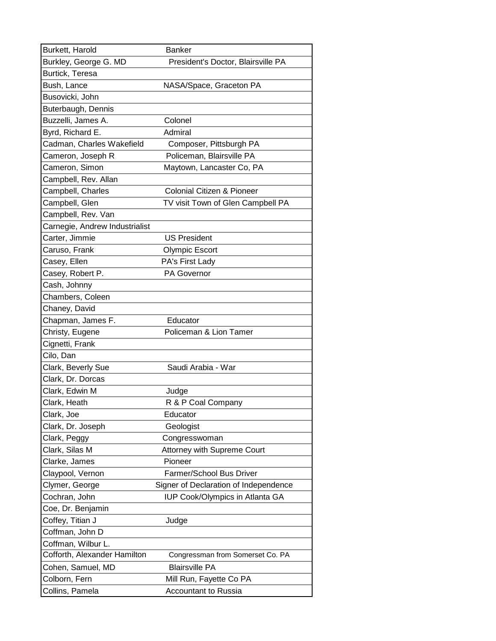| Burkett, Harold                | <b>Banker</b>                         |
|--------------------------------|---------------------------------------|
| Burkley, George G. MD          | President's Doctor, Blairsville PA    |
| Burtick, Teresa                |                                       |
| Bush, Lance                    | NASA/Space, Graceton PA               |
| Busovicki, John                |                                       |
| Buterbaugh, Dennis             |                                       |
| Buzzelli, James A.             | Colonel                               |
| Byrd, Richard E.               | Admiral                               |
| Cadman, Charles Wakefield      | Composer, Pittsburgh PA               |
| Cameron, Joseph R              | Policeman, Blairsville PA             |
| Cameron, Simon                 | Maytown, Lancaster Co, PA             |
| Campbell, Rev. Allan           |                                       |
| Campbell, Charles              | <b>Colonial Citizen &amp; Pioneer</b> |
| Campbell, Glen                 | TV visit Town of Glen Campbell PA     |
| Campbell, Rev. Van             |                                       |
| Carnegie, Andrew Industrialist |                                       |
| Carter, Jimmie                 | <b>US President</b>                   |
| Caruso, Frank                  | <b>Olympic Escort</b>                 |
| Casey, Ellen                   | PA's First Lady                       |
| Casey, Robert P.               | PA Governor                           |
| Cash, Johnny                   |                                       |
| Chambers, Coleen               |                                       |
| Chaney, David                  |                                       |
| Chapman, James F.              | Educator                              |
| Christy, Eugene                | Policeman & Lion Tamer                |
| Cignetti, Frank                |                                       |
| Cilo, Dan                      |                                       |
| Clark, Beverly Sue             | Saudi Arabia - War                    |
| Clark, Dr. Dorcas              |                                       |
| Clark, Edwin M                 | Judge                                 |
| Clark, Heath                   | R & P Coal Company                    |
| Clark, Joe                     | Educator                              |
| Clark, Dr. Joseph              | Geologist                             |
| Clark, Peggy                   | Congresswoman                         |
| Clark, Silas M                 | Attorney with Supreme Court           |
| Clarke, James                  | Pioneer                               |
| Claypool, Vernon               | Farmer/School Bus Driver              |
| Clymer, George                 | Signer of Declaration of Independence |
| Cochran, John                  | IUP Cook/Olympics in Atlanta GA       |
| Coe, Dr. Benjamin              |                                       |
| Coffey, Titian J               | Judge                                 |
| Coffman, John D                |                                       |
| Coffman, Wilbur L.             |                                       |
| Cofforth, Alexander Hamilton   | Congressman from Somerset Co. PA      |
| Cohen, Samuel, MD              | <b>Blairsville PA</b>                 |
| Colborn, Fern                  | Mill Run, Fayette Co PA               |
| Collins, Pamela                | <b>Accountant to Russia</b>           |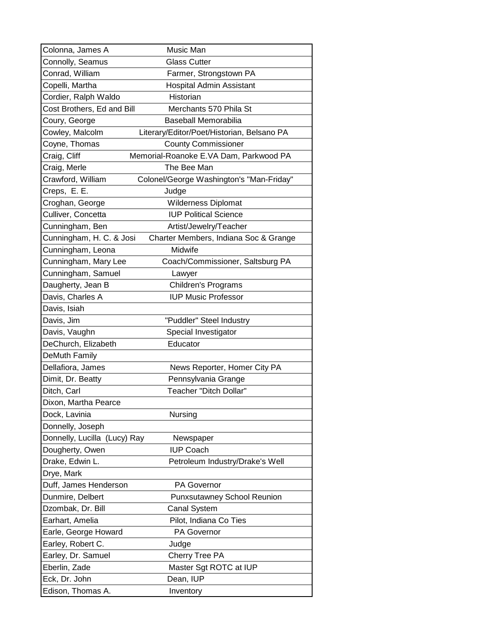| Colonna, James A             | Music Man                                  |
|------------------------------|--------------------------------------------|
| Connolly, Seamus             | <b>Glass Cutter</b>                        |
| Conrad, William              | Farmer, Strongstown PA                     |
| Copelli, Martha              | Hospital Admin Assistant                   |
| Cordier, Ralph Waldo         | Historian                                  |
| Cost Brothers, Ed and Bill   | Merchants 570 Phila St                     |
| Coury, George                | <b>Baseball Memorabilia</b>                |
| Cowley, Malcolm              | Literary/Editor/Poet/Historian, Belsano PA |
| Coyne, Thomas                | <b>County Commissioner</b>                 |
| Craig, Cliff                 | Memorial-Roanoke E.VA Dam, Parkwood PA     |
| Craig, Merle                 | The Bee Man                                |
| Crawford, William            | Colonel/George Washington's "Man-Friday"   |
| Creps, E. E.                 | Judge                                      |
| Croghan, George              | <b>Wilderness Diplomat</b>                 |
| Culliver, Concetta           | <b>IUP Political Science</b>               |
| Cunningham, Ben              | Artist/Jewelry/Teacher                     |
| Cunningham, H. C. & Josi     | Charter Members, Indiana Soc & Grange      |
| Cunningham, Leona            | Midwife                                    |
| Cunningham, Mary Lee         | Coach/Commissioner, Saltsburg PA           |
| Cunningham, Samuel           | Lawyer                                     |
| Daugherty, Jean B            | Children's Programs                        |
| Davis, Charles A             | <b>IUP Music Professor</b>                 |
| Davis, Isiah                 |                                            |
| Davis, Jim                   | "Puddler" Steel Industry                   |
| Davis, Vaughn                | Special Investigator                       |
| DeChurch, Elizabeth          | Educator                                   |
| DeMuth Family                |                                            |
| Dellafiora, James            | News Reporter, Homer City PA               |
| Dimit, Dr. Beatty            | Pennsylvania Grange                        |
| Ditch, Carl                  | Teacher "Ditch Dollar"                     |
| Dixon, Martha Pearce         |                                            |
| Dock, Lavinia                | Nursing                                    |
| Donnelly, Joseph             |                                            |
| Donnelly, Lucilla (Lucy) Ray | Newspaper                                  |
| Dougherty, Owen              | <b>IUP Coach</b>                           |
| Drake, Edwin L.              | Petroleum Industry/Drake's Well            |
| Drye, Mark                   |                                            |
| Duff, James Henderson        | <b>PA Governor</b>                         |
| Dunmire, Delbert             | <b>Punxsutawney School Reunion</b>         |
| Dzombak, Dr. Bill            | <b>Canal System</b>                        |
| Earhart, Amelia              | Pilot, Indiana Co Ties                     |
| Earle, George Howard         | <b>PA Governor</b>                         |
| Earley, Robert C.            | Judge                                      |
| Earley, Dr. Samuel           | Cherry Tree PA                             |
| Eberlin, Zade                | Master Sgt ROTC at IUP                     |
| Eck, Dr. John                | Dean, IUP                                  |
| Edison, Thomas A.            | Inventory                                  |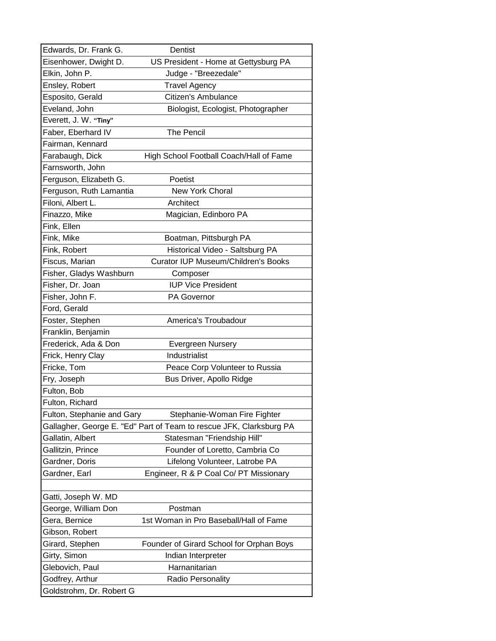| Edwards, Dr. Frank G.      | Dentist                                                             |
|----------------------------|---------------------------------------------------------------------|
| Eisenhower, Dwight D.      | US President - Home at Gettysburg PA                                |
| Elkin, John P.             | Judge - "Breezedale"                                                |
| Ensley, Robert             | <b>Travel Agency</b>                                                |
| Esposito, Gerald           | Citizen's Ambulance                                                 |
| Eveland, John              | Biologist, Ecologist, Photographer                                  |
| Everett, J. W. "Tiny"      |                                                                     |
| Faber, Eberhard IV         | <b>The Pencil</b>                                                   |
| Fairman, Kennard           |                                                                     |
| Farabaugh, Dick            | High School Football Coach/Hall of Fame                             |
| Farnsworth, John           |                                                                     |
| Ferguson, Elizabeth G.     | Poetist                                                             |
| Ferguson, Ruth Lamantia    | <b>New York Choral</b>                                              |
| Filoni, Albert L.          | Architect                                                           |
| Finazzo, Mike              | Magician, Edinboro PA                                               |
| Fink, Ellen                |                                                                     |
| Fink, Mike                 | Boatman, Pittsburgh PA                                              |
| Fink, Robert               | Historical Video - Saltsburg PA                                     |
| Fiscus, Marian             | <b>Curator IUP Museum/Children's Books</b>                          |
| Fisher, Gladys Washburn    | Composer                                                            |
| Fisher, Dr. Joan           | <b>IUP Vice President</b>                                           |
| Fisher, John F.            | PA Governor                                                         |
| Ford, Gerald               |                                                                     |
| Foster, Stephen            | America's Troubadour                                                |
| Franklin, Benjamin         |                                                                     |
| Frederick, Ada & Don       | Evergreen Nursery                                                   |
| Frick, Henry Clay          | Industrialist                                                       |
| Fricke, Tom                | Peace Corp Volunteer to Russia                                      |
| Fry, Joseph                | Bus Driver, Apollo Ridge                                            |
| Fulton, Bob                |                                                                     |
| Fulton, Richard            |                                                                     |
| Fulton, Stephanie and Gary | Stephanie-Woman Fire Fighter                                        |
|                            | Gallagher, George E. "Ed" Part of Team to rescue JFK, Clarksburg PA |
| Gallatin, Albert           | Statesman "Friendship Hill"                                         |
| Gallitzin, Prince          | Founder of Loretto, Cambria Co                                      |
| Gardner, Doris             | Lifelong Volunteer, Latrobe PA                                      |
| Gardner, Earl              | Engineer, R & P Coal Co/ PT Missionary                              |
|                            |                                                                     |
| Gatti, Joseph W. MD        |                                                                     |
| George, William Don        | Postman                                                             |
| Gera, Bernice              | 1st Woman in Pro Baseball/Hall of Fame                              |
| Gibson, Robert             |                                                                     |
| Girard, Stephen            | Founder of Girard School for Orphan Boys                            |
| Girty, Simon               | Indian Interpreter                                                  |
| Glebovich, Paul            | Harnanitarian                                                       |
| Godfrey, Arthur            | <b>Radio Personality</b>                                            |
| Goldstrohm, Dr. Robert G   |                                                                     |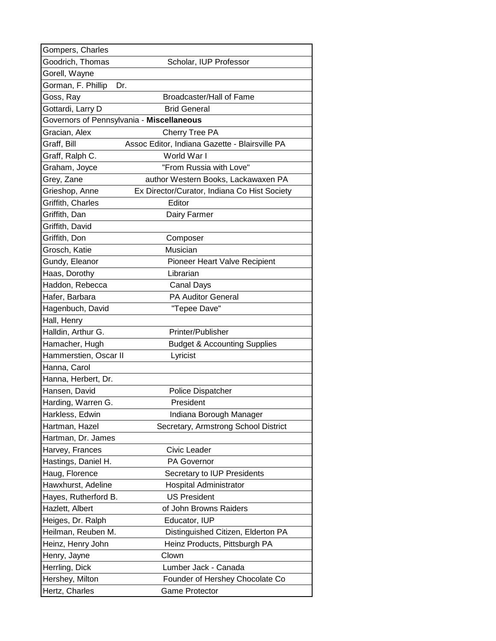| Gompers, Charles      |                                                |
|-----------------------|------------------------------------------------|
| Goodrich, Thomas      | Scholar, IUP Professor                         |
| Gorell, Wayne         |                                                |
| Gorman, F. Phillip    | Dr.                                            |
| Goss, Ray             | Broadcaster/Hall of Fame                       |
| Gottardi, Larry D     | <b>Brid General</b>                            |
|                       | Governors of Pennsylvania - Miscellaneous      |
| Gracian, Alex         | Cherry Tree PA                                 |
| Graff, Bill           | Assoc Editor, Indiana Gazette - Blairsville PA |
| Graff, Ralph C.       | World War I                                    |
| Graham, Joyce         | "From Russia with Love"                        |
| Grey, Zane            | author Western Books, Lackawaxen PA            |
| Grieshop, Anne        | Ex Director/Curator, Indiana Co Hist Society   |
| Griffith, Charles     | Editor                                         |
| Griffith, Dan         | Dairy Farmer                                   |
| Griffith, David       |                                                |
| Griffith, Don         | Composer                                       |
| Grosch, Katie         | Musician                                       |
| Gundy, Eleanor        | Pioneer Heart Valve Recipient                  |
| Haas, Dorothy         | Librarian                                      |
| Haddon, Rebecca       | Canal Days                                     |
| Hafer, Barbara        | <b>PA Auditor General</b>                      |
| Hagenbuch, David      | "Tepee Dave"                                   |
| Hall, Henry           |                                                |
| Halldin, Arthur G.    | Printer/Publisher                              |
| Hamacher, Hugh        | <b>Budget &amp; Accounting Supplies</b>        |
| Hammerstien, Oscar II | Lyricist                                       |
| Hanna, Carol          |                                                |
| Hanna, Herbert, Dr.   |                                                |
| Hansen, David         | <b>Police Dispatcher</b>                       |
| Harding, Warren G.    | President                                      |
| Harkless, Edwin       | Indiana Borough Manager                        |
| Hartman, Hazel        | Secretary, Armstrong School District           |
| Hartman, Dr. James    |                                                |
| Harvey, Frances       | Civic Leader                                   |
| Hastings, Daniel H.   | PA Governor                                    |
| Haug, Florence        | Secretary to IUP Presidents                    |
| Hawxhurst, Adeline    | Hospital Administrator                         |
| Hayes, Rutherford B.  | <b>US President</b>                            |
| Hazlett, Albert       | of John Browns Raiders                         |
| Heiges, Dr. Ralph     | Educator, IUP                                  |
| Heilman, Reuben M.    | Distinguished Citizen, Elderton PA             |
| Heinz, Henry John     | Heinz Products, Pittsburgh PA                  |
| Henry, Jayne          | Clown                                          |
| Herrling, Dick        | Lumber Jack - Canada                           |
| Hershey, Milton       | Founder of Hershey Chocolate Co                |
| Hertz, Charles        | <b>Game Protector</b>                          |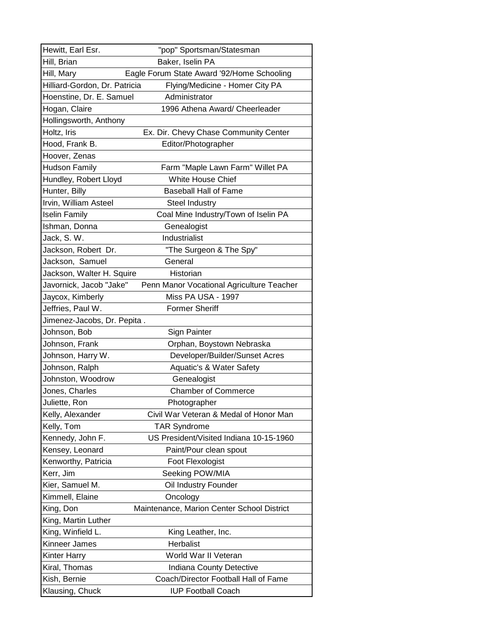| Hewitt, Earl Esr.             | "pop" Sportsman/Statesman                  |
|-------------------------------|--------------------------------------------|
| Hill, Brian                   | Baker, Iselin PA                           |
| Hill, Mary                    | Eagle Forum State Award '92/Home Schooling |
| Hilliard-Gordon, Dr. Patricia | Flying/Medicine - Homer City PA            |
| Hoenstine, Dr. E. Samuel      | Administrator                              |
| Hogan, Claire                 | 1996 Athena Award/ Cheerleader             |
| Hollingsworth, Anthony        |                                            |
| Holtz, Iris                   | Ex. Dir. Chevy Chase Community Center      |
| Hood, Frank B.                | Editor/Photographer                        |
| Hoover, Zenas                 |                                            |
| <b>Hudson Family</b>          | Farm "Maple Lawn Farm" Willet PA           |
| Hundley, Robert Lloyd         | White House Chief                          |
| Hunter, Billy                 | <b>Baseball Hall of Fame</b>               |
| Irvin, William Asteel         | Steel Industry                             |
| <b>Iselin Family</b>          | Coal Mine Industry/Town of Iselin PA       |
| Ishman, Donna                 | Genealogist                                |
| Jack, S.W.                    | Industrialist                              |
| Jackson, Robert Dr.           | "The Surgeon & The Spy"                    |
| Jackson, Samuel               | General                                    |
| Jackson, Walter H. Squire     | Historian                                  |
| Javornick, Jacob "Jake"       | Penn Manor Vocational Agriculture Teacher  |
| Jaycox, Kimberly              | Miss PA USA - 1997                         |
| Jeffries, Paul W.             | <b>Former Sheriff</b>                      |
| Jimenez-Jacobs, Dr. Pepita.   |                                            |
| Johnson, Bob                  | Sign Painter                               |
| Johnson, Frank                | Orphan, Boystown Nebraska                  |
| Johnson, Harry W.             | Developer/Builder/Sunset Acres             |
| Johnson, Ralph                | Aquatic's & Water Safety                   |
| Johnston, Woodrow             | Genealogist                                |
| Jones, Charles                | <b>Chamber of Commerce</b>                 |
| Juliette, Ron                 | Photographer                               |
| Kelly, Alexander              | Civil War Veteran & Medal of Honor Man     |
| Kelly, Tom                    | <b>TAR Syndrome</b>                        |
| Kennedy, John F.              | US President/Visited Indiana 10-15-1960    |
| Kensey, Leonard               | Paint/Pour clean spout                     |
| Kenworthy, Patricia           | Foot Flexologist                           |
| Kerr, Jim                     | Seeking POW/MIA                            |
| Kier, Samuel M.               | Oil Industry Founder                       |
| Kimmell, Elaine               | Oncology                                   |
| King, Don                     | Maintenance, Marion Center School District |
| King, Martin Luther           |                                            |
| King, Winfield L.             | King Leather, Inc.                         |
| Kinneer James                 | Herbalist                                  |
| Kinter Harry                  | World War II Veteran                       |
| Kiral, Thomas                 | Indiana County Detective                   |
| Kish, Bernie                  | Coach/Director Football Hall of Fame       |
| Klausing, Chuck               | <b>IUP Football Coach</b>                  |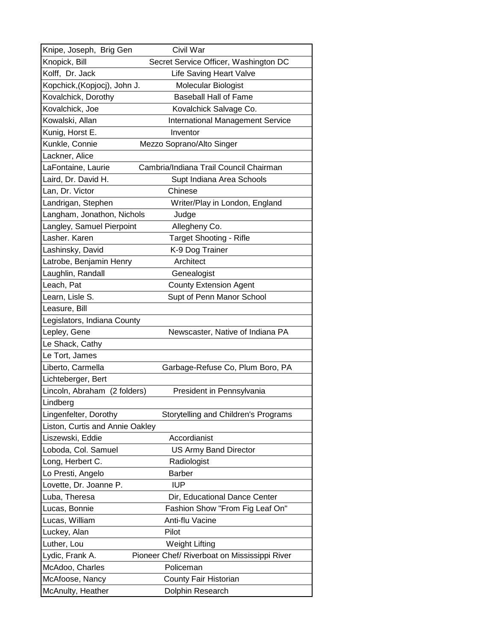| Knipe, Joseph, Brig Gen         | Civil War                                    |
|---------------------------------|----------------------------------------------|
| Knopick, Bill                   | Secret Service Officer, Washington DC        |
| Kolff, Dr. Jack                 | <b>Life Saving Heart Valve</b>               |
| Kopchick,(Kopjocj), John J.     | Molecular Biologist                          |
| Kovalchick, Dorothy             | <b>Baseball Hall of Fame</b>                 |
| Kovalchick, Joe                 | Kovalchick Salvage Co.                       |
| Kowalski, Allan                 | <b>International Management Service</b>      |
| Kunig, Horst E.                 | Inventor                                     |
| Kunkle, Connie                  | Mezzo Soprano/Alto Singer                    |
| Lackner, Alice                  |                                              |
| LaFontaine, Laurie              | Cambria/Indiana Trail Council Chairman       |
| Laird, Dr. David H.             | Supt Indiana Area Schools                    |
| Lan, Dr. Victor                 | Chinese                                      |
| Landrigan, Stephen              | Writer/Play in London, England               |
| Langham, Jonathon, Nichols      | Judge                                        |
| Langley, Samuel Pierpoint       | Allegheny Co.                                |
| Lasher. Karen                   | <b>Target Shooting - Rifle</b>               |
| Lashinsky, David                | K-9 Dog Trainer                              |
| Latrobe, Benjamin Henry         | Architect                                    |
| Laughlin, Randall               | Genealogist                                  |
| Leach, Pat                      | <b>County Extension Agent</b>                |
| Learn, Lisle S.                 | Supt of Penn Manor School                    |
| Leasure, Bill                   |                                              |
| Legislators, Indiana County     |                                              |
| Lepley, Gene                    | Newscaster, Native of Indiana PA             |
| Le Shack, Cathy                 |                                              |
| Le Tort, James                  |                                              |
| Liberto, Carmella               | Garbage-Refuse Co, Plum Boro, PA             |
| Lichteberger, Bert              |                                              |
| Lincoln, Abraham (2 folders)    | President in Pennsylvania                    |
| Lindberg                        |                                              |
| Lingenfelter, Dorothy           | Storytelling and Children's Programs         |
| Liston, Curtis and Annie Oakley |                                              |
| Liszewski, Eddie                | Accordianist                                 |
| Loboda, Col. Samuel             | <b>US Army Band Director</b>                 |
| Long, Herbert C.                | Radiologist                                  |
| Lo Presti, Angelo               | <b>Barber</b>                                |
| Lovette, Dr. Joanne P.          | <b>IUP</b>                                   |
| Luba, Theresa                   | Dir, Educational Dance Center                |
| Lucas, Bonnie                   | Fashion Show "From Fig Leaf On"              |
| Lucas, William                  | Anti-flu Vacine                              |
| Luckey, Alan                    | Pilot                                        |
| Luther, Lou                     | <b>Weight Lifting</b>                        |
| Lydic, Frank A.                 | Pioneer Chef/ Riverboat on Mississippi River |
| McAdoo, Charles                 | Policeman                                    |
| McAfoose, Nancy                 | County Fair Historian                        |
| McAnulty, Heather               | Dolphin Research                             |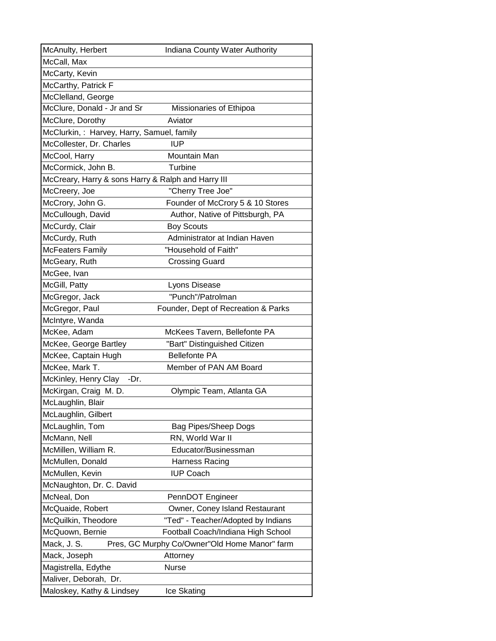| McAnulty, Herbert                                  | Indiana County Water Authority                |
|----------------------------------------------------|-----------------------------------------------|
| McCall, Max                                        |                                               |
| McCarty, Kevin                                     |                                               |
| McCarthy, Patrick F                                |                                               |
| McClelland, George                                 |                                               |
| McClure, Donald - Jr and Sr                        | Missionaries of Ethipoa                       |
| McClure, Dorothy                                   | Aviator                                       |
| McClurkin,: Harvey, Harry, Samuel, family          |                                               |
| McCollester, Dr. Charles                           | <b>IUP</b>                                    |
| McCool, Harry                                      | Mountain Man                                  |
| McCormick, John B.                                 | Turbine                                       |
| McCreary, Harry & sons Harry & Ralph and Harry III |                                               |
| McCreery, Joe                                      | "Cherry Tree Joe"                             |
| McCrory, John G.                                   | Founder of McCrory 5 & 10 Stores              |
| McCullough, David                                  | Author, Native of Pittsburgh, PA              |
| McCurdy, Clair                                     | <b>Boy Scouts</b>                             |
| McCurdy, Ruth                                      | Administrator at Indian Haven                 |
| McFeaters Family                                   | "Household of Faith"                          |
| McGeary, Ruth                                      | <b>Crossing Guard</b>                         |
| McGee, Ivan                                        |                                               |
| McGill, Patty                                      | Lyons Disease                                 |
| McGregor, Jack                                     | "Punch"/Patrolman                             |
| McGregor, Paul                                     | Founder, Dept of Recreation & Parks           |
| McIntyre, Wanda                                    |                                               |
| McKee, Adam                                        | McKees Tavern, Bellefonte PA                  |
| McKee, George Bartley                              | "Bart" Distinguished Citizen                  |
| McKee, Captain Hugh                                | <b>Bellefonte PA</b>                          |
| McKee, Mark T.                                     | Member of PAN AM Board                        |
| McKinley, Henry Clay<br>-Dr.                       |                                               |
| McKirgan, Craig M. D.                              | Olympic Team, Atlanta GA                      |
| McLaughlin, Blair                                  |                                               |
| McLaughlin, Gilbert                                |                                               |
| McLaughlin, Tom                                    | <b>Bag Pipes/Sheep Dogs</b>                   |
| McMann, Nell                                       | RN, World War II                              |
| McMillen, William R.                               | Educator/Businessman                          |
| McMullen, Donald                                   | <b>Harness Racing</b>                         |
| McMullen, Kevin                                    | <b>IUP Coach</b>                              |
| McNaughton, Dr. C. David                           |                                               |
| McNeal, Don                                        | PennDOT Engineer                              |
| McQuaide, Robert                                   | Owner, Coney Island Restaurant                |
| McQuilkin, Theodore                                | "Ted" - Teacher/Adopted by Indians            |
| McQuown, Bernie                                    | Football Coach/Indiana High School            |
| Mack, J. S.                                        | Pres, GC Murphy Co/Owner"Old Home Manor" farm |
| Mack, Joseph                                       | Attorney                                      |
| Magistrella, Edythe                                | Nurse                                         |
| Maliver, Deborah, Dr.                              |                                               |
| Maloskey, Kathy & Lindsey                          | Ice Skating                                   |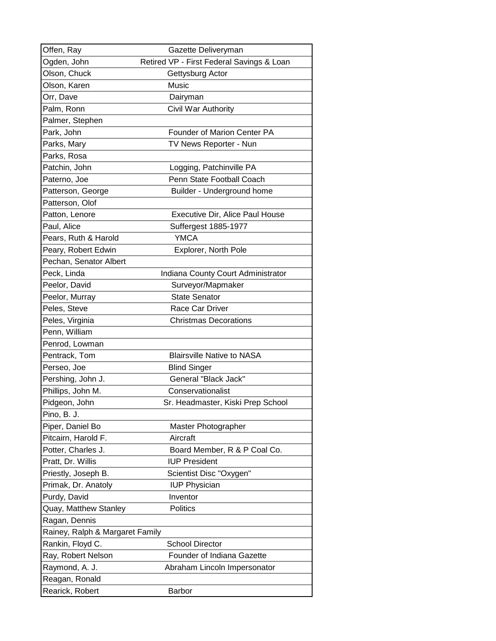| Offen, Ray                      | Gazette Deliveryman                       |
|---------------------------------|-------------------------------------------|
| Ogden, John                     | Retired VP - First Federal Savings & Loan |
| Olson, Chuck                    | Gettysburg Actor                          |
| Olson, Karen                    | Music                                     |
| Orr, Dave                       | Dairyman                                  |
| Palm, Ronn                      | Civil War Authority                       |
| Palmer, Stephen                 |                                           |
| Park, John                      | <b>Founder of Marion Center PA</b>        |
| Parks, Mary                     | TV News Reporter - Nun                    |
| Parks, Rosa                     |                                           |
| Patchin, John                   | Logging, Patchinville PA                  |
| Paterno, Joe                    | Penn State Football Coach                 |
| Patterson, George               | Builder - Underground home                |
| Patterson, Olof                 |                                           |
| Patton, Lenore                  | Executive Dir, Alice Paul House           |
| Paul, Alice                     | Suffergest 1885-1977                      |
| Pears, Ruth & Harold            | <b>YMCA</b>                               |
| Peary, Robert Edwin             | Explorer, North Pole                      |
| Pechan, Senator Albert          |                                           |
| Peck, Linda                     | Indiana County Court Administrator        |
| Peelor, David                   | Surveyor/Mapmaker                         |
| Peelor, Murray                  | <b>State Senator</b>                      |
| Peles, Steve                    | Race Car Driver                           |
| Peles, Virginia                 | <b>Christmas Decorations</b>              |
| Penn, William                   |                                           |
| Penrod, Lowman                  |                                           |
| Pentrack, Tom                   | <b>Blairsville Native to NASA</b>         |
| Perseo, Joe                     | <b>Blind Singer</b>                       |
| Pershing, John J.               | General "Black Jack"                      |
| Phillips, John M.               | Conservationalist                         |
| Pidgeon, John                   | Sr. Headmaster, Kiski Prep School         |
| Pino, B. J.                     |                                           |
| Piper, Daniel Bo                | Master Photographer                       |
| Pitcairn, Harold F.             | Aircraft                                  |
| Potter, Charles J.              | Board Member, R & P Coal Co.              |
| Pratt, Dr. Willis               | <b>IUP President</b>                      |
| Priestly, Joseph B.             | Scientist Disc "Oxygen"                   |
| Primak, Dr. Anatoly             | <b>IUP Physician</b>                      |
| Purdy, David                    | Inventor                                  |
| Quay, Matthew Stanley           | <b>Politics</b>                           |
| Ragan, Dennis                   |                                           |
| Rainey, Ralph & Margaret Family |                                           |
| Rankin, Floyd C.                | <b>School Director</b>                    |
| Ray, Robert Nelson              | Founder of Indiana Gazette                |
| Raymond, A. J.                  | Abraham Lincoln Impersonator              |
| Reagan, Ronald                  |                                           |
| Rearick, Robert                 | Barbor                                    |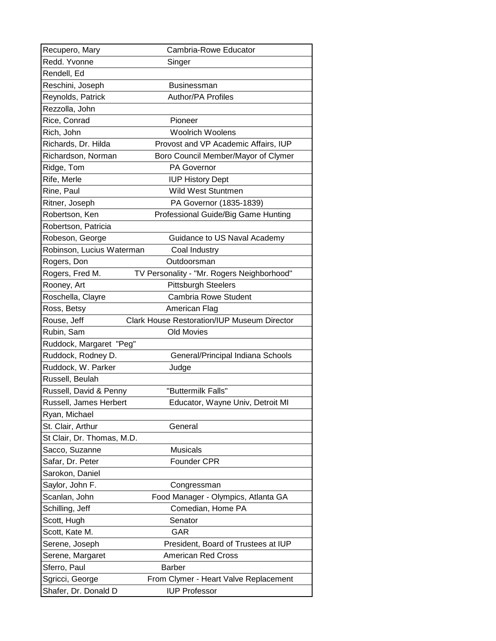| Recupero, Mary             | Cambria-Rowe Educator                              |
|----------------------------|----------------------------------------------------|
| Redd. Yvonne               | Singer                                             |
| Rendell, Ed                |                                                    |
| Reschini, Joseph           | <b>Businessman</b>                                 |
| Reynolds, Patrick          | <b>Author/PA Profiles</b>                          |
| Rezzolla, John             |                                                    |
| Rice, Conrad               | Pioneer                                            |
| Rich, John                 | <b>Woolrich Woolens</b>                            |
| Richards, Dr. Hilda        | Provost and VP Academic Affairs, IUP               |
| Richardson, Norman         | Boro Council Member/Mayor of Clymer                |
| Ridge, Tom                 | <b>PA Governor</b>                                 |
| Rife, Merle                | <b>IUP History Dept</b>                            |
| Rine, Paul                 | <b>Wild West Stuntmen</b>                          |
| Ritner, Joseph             | PA Governor (1835-1839)                            |
| Robertson, Ken             | Professional Guide/Big Game Hunting                |
| Robertson, Patricia        |                                                    |
| Robeson, George            | Guidance to US Naval Academy                       |
| Robinson, Lucius Waterman  | Coal Industry                                      |
| Rogers, Don                | Outdoorsman                                        |
| Rogers, Fred M.            | TV Personality - "Mr. Rogers Neighborhood"         |
| Rooney, Art                | <b>Pittsburgh Steelers</b>                         |
| Roschella, Clayre          | <b>Cambria Rowe Student</b>                        |
| Ross, Betsy                | American Flag                                      |
| Rouse, Jeff                | <b>Clark House Restoration/IUP Museum Director</b> |
| Rubin, Sam                 | Old Movies                                         |
| Ruddock, Margaret "Peg"    |                                                    |
| Ruddock, Rodney D.         | General/Principal Indiana Schools                  |
| Ruddock, W. Parker         | Judge                                              |
| Russell, Beulah            |                                                    |
| Russell, David & Penny     | "Buttermilk Falls"                                 |
| Russell, James Herbert     | Educator, Wayne Univ, Detroit MI                   |
| Ryan, Michael              |                                                    |
| St. Clair, Arthur          | General                                            |
| St Clair, Dr. Thomas, M.D. |                                                    |
| Sacco, Suzanne             | <b>Musicals</b>                                    |
| Safar, Dr. Peter           | Founder CPR                                        |
| Sarokon, Daniel            |                                                    |
| Saylor, John F.            | Congressman                                        |
| Scanlan, John              | Food Manager - Olympics, Atlanta GA                |
| Schilling, Jeff            | Comedian, Home PA                                  |
| Scott, Hugh                | Senator                                            |
| Scott, Kate M.             | <b>GAR</b>                                         |
| Serene, Joseph             | President, Board of Trustees at IUP                |
| Serene, Margaret           | <b>American Red Cross</b>                          |
| Sferro, Paul               | <b>Barber</b>                                      |
| Sgricci, George            | From Clymer - Heart Valve Replacement              |
| Shafer, Dr. Donald D       | <b>IUP Professor</b>                               |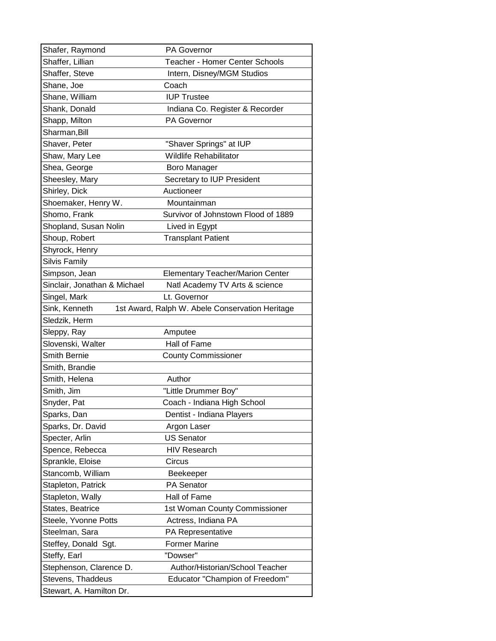| Shafer, Raymond              | <b>PA Governor</b>                              |
|------------------------------|-------------------------------------------------|
| Shaffer, Lillian             | <b>Teacher - Homer Center Schools</b>           |
| Shaffer, Steve               | Intern, Disney/MGM Studios                      |
| Shane, Joe                   | Coach                                           |
| Shane, William               | <b>IUP Trustee</b>                              |
| Shank, Donald                | Indiana Co. Register & Recorder                 |
| Shapp, Milton                | PA Governor                                     |
| Sharman, Bill                |                                                 |
| Shaver, Peter                | "Shaver Springs" at IUP                         |
| Shaw, Mary Lee               | <b>Wildlife Rehabilitator</b>                   |
| Shea, George                 | Boro Manager                                    |
| Sheesley, Mary               | Secretary to IUP President                      |
| Shirley, Dick                | Auctioneer                                      |
| Shoemaker, Henry W.          | Mountainman                                     |
| Shomo, Frank                 | Survivor of Johnstown Flood of 1889             |
| Shopland, Susan Nolin        | Lived in Egypt                                  |
| Shoup, Robert                | <b>Transplant Patient</b>                       |
| Shyrock, Henry               |                                                 |
| <b>Silvis Family</b>         |                                                 |
| Simpson, Jean                | <b>Elementary Teacher/Marion Center</b>         |
| Sinclair, Jonathan & Michael | Natl Academy TV Arts & science                  |
| Singel, Mark                 | Lt. Governor                                    |
| Sink, Kenneth                | 1st Award, Ralph W. Abele Conservation Heritage |
| Sledzik, Herm                |                                                 |
|                              |                                                 |
| Sleppy, Ray                  | Amputee                                         |
| Slovenski, Walter            | Hall of Fame                                    |
| Smith Bernie                 | <b>County Commissioner</b>                      |
| Smith, Brandie               |                                                 |
| Smith, Helena                | Author                                          |
| Smith, Jim                   | "Little Drummer Boy"                            |
| Snyder, Pat                  | Coach - Indiana High School                     |
| Sparks, Dan                  | Dentist - Indiana Players                       |
| Sparks, Dr. David            | Argon Laser                                     |
| Specter, Arlin               | <b>US Senator</b>                               |
| Spence, Rebecca              | <b>HIV Research</b>                             |
| Sprankle, Eloise             | Circus                                          |
| Stancomb, William            | Beekeeper                                       |
| Stapleton, Patrick           | PA Senator                                      |
| Stapleton, Wally             | Hall of Fame                                    |
| States, Beatrice             | 1st Woman County Commissioner                   |
| Steele, Yvonne Potts         | Actress, Indiana PA                             |
| Steelman, Sara               | PA Representative                               |
| Steffey, Donald Sgt.         | <b>Former Marine</b>                            |
| Steffy, Earl                 | "Dowser"                                        |
| Stephenson, Clarence D.      | Author/Historian/School Teacher                 |
| Stevens, Thaddeus            | <b>Educator "Champion of Freedom"</b>           |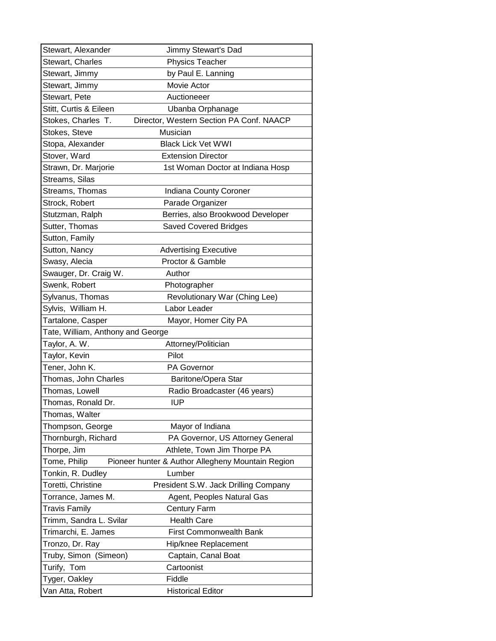| Stewart, Alexander                | Jimmy Stewart's Dad                               |
|-----------------------------------|---------------------------------------------------|
| Stewart, Charles                  | <b>Physics Teacher</b>                            |
| Stewart, Jimmy                    | by Paul E. Lanning                                |
| Stewart, Jimmy                    | Movie Actor                                       |
| Stewart, Pete                     | Auctioneeer                                       |
| Stitt, Curtis & Eileen            | Ubanba Orphanage                                  |
| Stokes, Charles T.                | Director, Western Section PA Conf. NAACP          |
| Stokes, Steve                     | Musician                                          |
| Stopa, Alexander                  | <b>Black Lick Vet WWI</b>                         |
| Stover, Ward                      | <b>Extension Director</b>                         |
| Strawn, Dr. Marjorie              | 1st Woman Doctor at Indiana Hosp                  |
| Streams, Silas                    |                                                   |
| Streams, Thomas                   | Indiana County Coroner                            |
| Strock, Robert                    | Parade Organizer                                  |
| Stutzman, Ralph                   | Berries, also Brookwood Developer                 |
| Sutter, Thomas                    | <b>Saved Covered Bridges</b>                      |
| Sutton, Family                    |                                                   |
| Sutton, Nancy                     | <b>Advertising Executive</b>                      |
| Swasy, Alecia                     | Proctor & Gamble                                  |
| Swauger, Dr. Craig W.             | Author                                            |
| Swenk, Robert                     | Photographer                                      |
| Sylvanus, Thomas                  | Revolutionary War (Ching Lee)                     |
| Sylvis, William H.                | Labor Leader                                      |
| Tartalone, Casper                 | Mayor, Homer City PA                              |
| Tate, William, Anthony and George |                                                   |
| Taylor, A. W.                     | Attorney/Politician                               |
| Taylor, Kevin                     | Pilot                                             |
| Tener, John K.                    | <b>PA Governor</b>                                |
| Thomas, John Charles              | Baritone/Opera Star                               |
| Thomas, Lowell                    | Radio Broadcaster (46 years)                      |
| Thomas, Ronald Dr.                | <b>IUP</b>                                        |
| Thomas, Walter                    |                                                   |
| Thompson, George                  | Mayor of Indiana                                  |
| Thornburgh, Richard               | PA Governor, US Attorney General                  |
| Thorpe, Jim                       | Athlete, Town Jim Thorpe PA                       |
| Tome, Philip                      | Pioneer hunter & Author Allegheny Mountain Region |
| Tonkin, R. Dudley                 | Lumber                                            |
| Toretti, Christine                | President S.W. Jack Drilling Company              |
| Torrance, James M.                | Agent, Peoples Natural Gas                        |
| <b>Travis Family</b>              | <b>Century Farm</b>                               |
| Trimm, Sandra L. Svilar           | <b>Health Care</b>                                |
| Trimarchi, E. James               | <b>First Commonwealth Bank</b>                    |
| Tronzo, Dr. Ray                   | Hip/knee Replacement                              |
| Truby, Simon (Simeon)             | Captain, Canal Boat                               |
| Turify, Tom                       | Cartoonist                                        |
| Tyger, Oakley                     | Fiddle                                            |
| Van Atta, Robert                  | <b>Historical Editor</b>                          |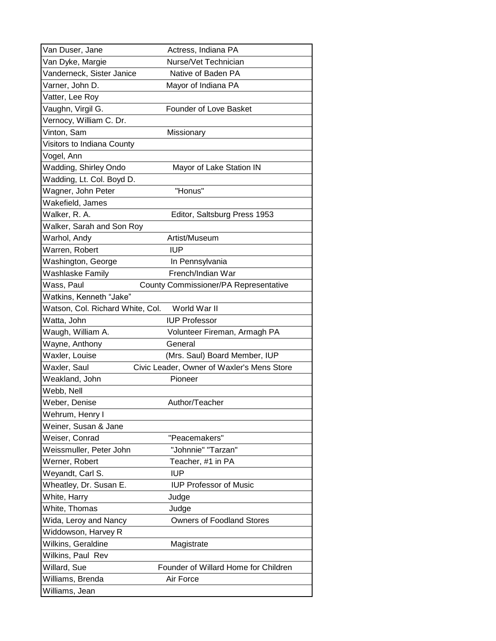| Van Duser, Jane                  | Actress, Indiana PA                        |
|----------------------------------|--------------------------------------------|
| Van Dyke, Margie                 | Nurse/Vet Technician                       |
| Vanderneck, Sister Janice        | Native of Baden PA                         |
| Varner, John D.                  | Mayor of Indiana PA                        |
| Vatter, Lee Roy                  |                                            |
| Vaughn, Virgil G.                | Founder of Love Basket                     |
| Vernocy, William C. Dr.          |                                            |
| Vinton, Sam                      | Missionary                                 |
| Visitors to Indiana County       |                                            |
| Vogel, Ann                       |                                            |
| Wadding, Shirley Ondo            | Mayor of Lake Station IN                   |
| Wadding, Lt. Col. Boyd D.        |                                            |
| Wagner, John Peter               | "Honus"                                    |
| Wakefield, James                 |                                            |
| Walker, R. A.                    | Editor, Saltsburg Press 1953               |
| Walker, Sarah and Son Roy        |                                            |
| Warhol, Andy                     | Artist/Museum                              |
| Warren, Robert                   | <b>IUP</b>                                 |
| Washington, George               | In Pennsylvania                            |
| Washlaske Family                 | French/Indian War                          |
| Wass, Paul                       | County Commissioner/PA Representative      |
| Watkins, Kenneth "Jake"          |                                            |
| Watson, Col. Richard White, Col. | World War II                               |
| Watta, John                      | <b>IUP Professor</b>                       |
| Waugh, William A.                | Volunteer Fireman, Armagh PA               |
| Wayne, Anthony                   | General                                    |
| Waxler, Louise                   | (Mrs. Saul) Board Member, IUP              |
| Waxler, Saul                     | Civic Leader, Owner of Waxler's Mens Store |
| Weakland, John                   | Pioneer                                    |
| Webb, Nell                       |                                            |
| Weber, Denise                    | Author/Teacher                             |
| Wehrum, Henry I                  |                                            |
| Weiner, Susan & Jane             |                                            |
| Weiser, Conrad                   | "Peacemakers"                              |
| Weissmuller, Peter John          | "Johnnie" "Tarzan"                         |
| Werner, Robert                   | Teacher, #1 in PA                          |
| Weyandt, Carl S.                 | <b>IUP</b>                                 |
| Wheatley, Dr. Susan E.           | <b>IUP Professor of Music</b>              |
| White, Harry                     | Judge                                      |
| White, Thomas                    | Judge                                      |
| Wida, Leroy and Nancy            | <b>Owners of Foodland Stores</b>           |
| Widdowson, Harvey R              |                                            |
| Wilkins, Geraldine               | Magistrate                                 |
| Wilkins, Paul Rev                |                                            |
| Willard, Sue                     | Founder of Willard Home for Children       |
| Williams, Brenda                 | Air Force                                  |
| Williams, Jean                   |                                            |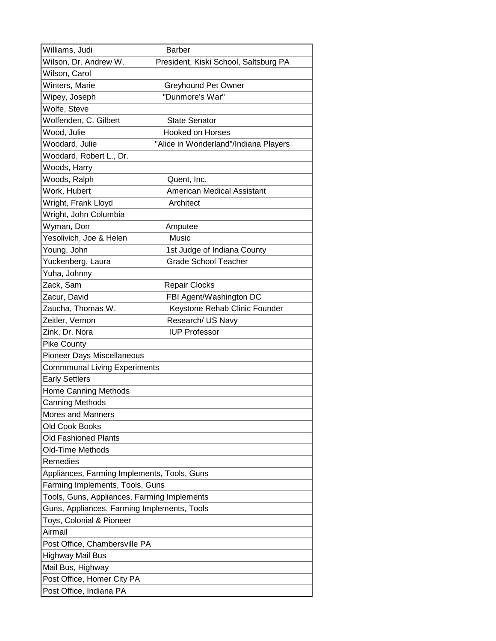| Williams, Judi                              | <b>Barber</b>                         |
|---------------------------------------------|---------------------------------------|
| Wilson, Dr. Andrew W.                       | President, Kiski School, Saltsburg PA |
| Wilson, Carol                               |                                       |
| Winters, Marie                              | Greyhound Pet Owner                   |
| Wipey, Joseph                               | "Dunmore's War"                       |
| Wolfe, Steve                                |                                       |
| Wolfenden, C. Gilbert                       | <b>State Senator</b>                  |
| Wood, Julie                                 | <b>Hooked on Horses</b>               |
| Woodard, Julie                              | "Alice in Wonderland"/Indiana Players |
| Woodard, Robert L., Dr.                     |                                       |
| Woods, Harry                                |                                       |
| Woods, Ralph                                | Quent, Inc.                           |
| Work, Hubert                                | <b>American Medical Assistant</b>     |
| Wright, Frank Lloyd                         | Architect                             |
| Wright, John Columbia                       |                                       |
| Wyman, Don                                  | Amputee                               |
| Yesolivich, Joe & Helen                     | Music                                 |
| Young, John                                 | 1st Judge of Indiana County           |
| Yuckenberg, Laura                           | <b>Grade School Teacher</b>           |
| Yuha, Johnny                                |                                       |
| Zack, Sam                                   | <b>Repair Clocks</b>                  |
| Zacur, David                                | FBI Agent/Washington DC               |
| Zaucha, Thomas W.                           | Keystone Rehab Clinic Founder         |
| Zeitler, Vernon                             | Research/ US Navy                     |
| Zink, Dr. Nora                              | <b>IUP Professor</b>                  |
| <b>Pike County</b>                          |                                       |
| Pioneer Days Miscellaneous                  |                                       |
| <b>Commmunal Living Experiments</b>         |                                       |
| <b>Early Settlers</b>                       |                                       |
| Home Canning Methods                        |                                       |
| Canning Methods                             |                                       |
| <b>Mores and Manners</b>                    |                                       |
| Old Cook Books                              |                                       |
| Old Fashioned Plants                        |                                       |
| Old-Time Methods                            |                                       |
| Remedies                                    |                                       |
| Appliances, Farming Implements, Tools, Guns |                                       |
| Farming Implements, Tools, Guns             |                                       |
| Tools, Guns, Appliances, Farming Implements |                                       |
| Guns, Appliances, Farming Implements, Tools |                                       |
| Toys, Colonial & Pioneer                    |                                       |
| Airmail                                     |                                       |
| Post Office, Chambersville PA               |                                       |
| <b>Highway Mail Bus</b>                     |                                       |
| Mail Bus, Highway                           |                                       |
| Post Office, Homer City PA                  |                                       |
| Post Office, Indiana PA                     |                                       |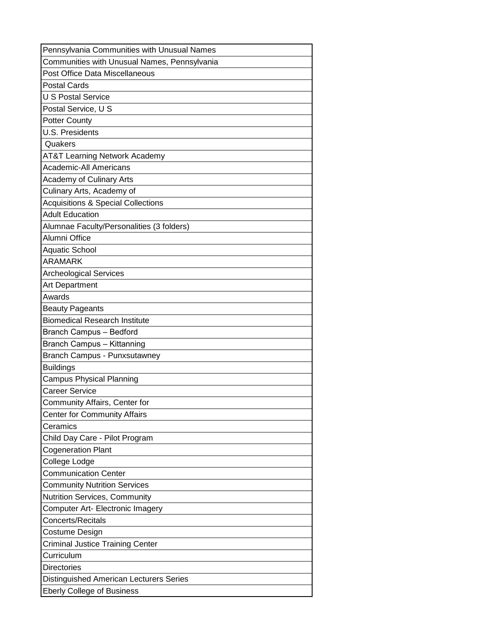| Pennsylvania Communities with Unusual Names    |
|------------------------------------------------|
| Communities with Unusual Names, Pennsylvania   |
| Post Office Data Miscellaneous                 |
| <b>Postal Cards</b>                            |
| <b>U S Postal Service</b>                      |
| Postal Service, U S                            |
| <b>Potter County</b>                           |
| <b>U.S. Presidents</b>                         |
| Quakers                                        |
| <b>AT&amp;T Learning Network Academy</b>       |
| <b>Academic-All Americans</b>                  |
| <b>Academy of Culinary Arts</b>                |
| Culinary Arts, Academy of                      |
| <b>Acquisitions &amp; Special Collections</b>  |
| <b>Adult Education</b>                         |
| Alumnae Faculty/Personalities (3 folders)      |
| Alumni Office                                  |
| <b>Aquatic School</b>                          |
| <b>ARAMARK</b>                                 |
| <b>Archeological Services</b>                  |
| Art Department                                 |
| Awards                                         |
| <b>Beauty Pageants</b>                         |
| <b>Biomedical Research Institute</b>           |
| <b>Branch Campus - Bedford</b>                 |
| <b>Branch Campus - Kittanning</b>              |
| <b>Branch Campus - Punxsutawney</b>            |
| <b>Buildings</b>                               |
| <b>Campus Physical Planning</b>                |
| <b>Career Service</b>                          |
| Community Affairs, Center for                  |
| <b>Center for Community Affairs</b>            |
| Ceramics                                       |
| Child Day Care - Pilot Program                 |
| <b>Cogeneration Plant</b>                      |
| College Lodge                                  |
| <b>Communication Center</b>                    |
| <b>Community Nutrition Services</b>            |
| Nutrition Services, Community                  |
| Computer Art- Electronic Imagery               |
| <b>Concerts/Recitals</b>                       |
| Costume Design                                 |
| <b>Criminal Justice Training Center</b>        |
| Curriculum                                     |
| <b>Directories</b>                             |
| <b>Distinguished American Lecturers Series</b> |
| <b>Eberly College of Business</b>              |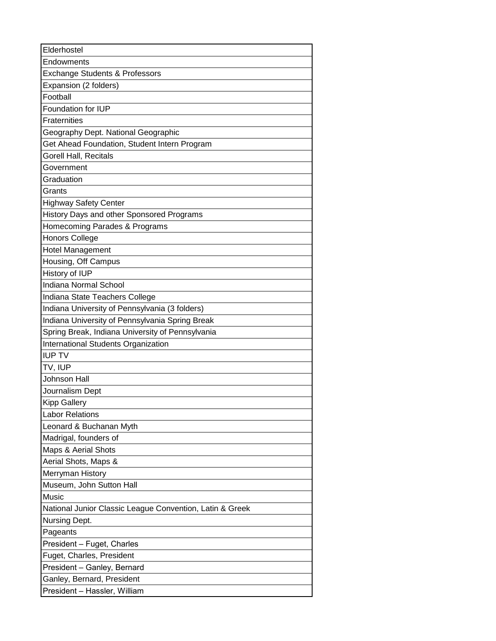| Elderhostel                                              |
|----------------------------------------------------------|
| Endowments                                               |
| <b>Exchange Students &amp; Professors</b>                |
| Expansion (2 folders)                                    |
| Football                                                 |
| Foundation for IUP                                       |
| Fraternities                                             |
| Geography Dept. National Geographic                      |
| Get Ahead Foundation, Student Intern Program             |
| Gorell Hall, Recitals                                    |
| Government                                               |
| Graduation                                               |
| Grants                                                   |
| <b>Highway Safety Center</b>                             |
| History Days and other Sponsored Programs                |
| Homecoming Parades & Programs                            |
| <b>Honors College</b>                                    |
| Hotel Management                                         |
| Housing, Off Campus                                      |
| History of IUP                                           |
| <b>Indiana Normal School</b>                             |
| Indiana State Teachers College                           |
| Indiana University of Pennsylvania (3 folders)           |
| Indiana University of Pennsylvania Spring Break          |
| Spring Break, Indiana University of Pennsylvania         |
| International Students Organization                      |
| <b>IUP TV</b>                                            |
| TV, IUP                                                  |
| Johnson Hall                                             |
| Journalism Dept                                          |
| <b>Kipp Gallery</b>                                      |
| <b>Labor Relations</b>                                   |
| Leonard & Buchanan Myth                                  |
| Madrigal, founders of                                    |
| Maps & Aerial Shots                                      |
| Aerial Shots, Maps &                                     |
| Merryman History                                         |
| Museum, John Sutton Hall                                 |
| Music                                                    |
| National Junior Classic League Convention, Latin & Greek |
| Nursing Dept.                                            |
| Pageants                                                 |
| President - Fuget, Charles                               |
| Fuget, Charles, President                                |
| President - Ganley, Bernard                              |
| Ganley, Bernard, President                               |
| President - Hassler, William                             |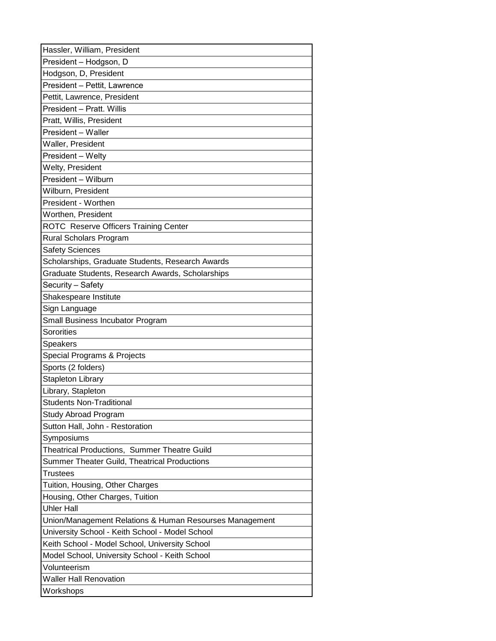| Hassler, William, President                             |
|---------------------------------------------------------|
| President - Hodgson, D                                  |
| Hodgson, D, President                                   |
| President - Pettit, Lawrence                            |
| Pettit, Lawrence, President                             |
| President - Pratt. Willis                               |
| Pratt, Willis, President                                |
| President - Waller                                      |
| Waller, President                                       |
| President - Welty                                       |
| Welty, President                                        |
| President - Wilburn                                     |
| Wilburn, President                                      |
| President - Worthen                                     |
| Worthen, President                                      |
| ROTC Reserve Officers Training Center                   |
| Rural Scholars Program                                  |
| <b>Safety Sciences</b>                                  |
| Scholarships, Graduate Students, Research Awards        |
| Graduate Students, Research Awards, Scholarships        |
| Security - Safety                                       |
| Shakespeare Institute                                   |
| Sign Language                                           |
| Small Business Incubator Program                        |
| Sororities                                              |
| <b>Speakers</b>                                         |
| Special Programs & Projects                             |
| Sports (2 folders)                                      |
| <b>Stapleton Library</b>                                |
| Library, Stapleton                                      |
| <b>Students Non-Traditional</b>                         |
| <b>Study Abroad Program</b>                             |
| Sutton Hall, John - Restoration                         |
| Symposiums                                              |
| Theatrical Productions, Summer Theatre Guild            |
| Summer Theater Guild, Theatrical Productions            |
| <b>Trustees</b>                                         |
| Tuition, Housing, Other Charges                         |
| Housing, Other Charges, Tuition                         |
| <b>Uhler Hall</b>                                       |
| Union/Management Relations & Human Resourses Management |
| University School - Keith School - Model School         |
| Keith School - Model School, University School          |
| Model School, University School - Keith School          |
| Volunteerism                                            |
| <b>Waller Hall Renovation</b>                           |
| Workshops                                               |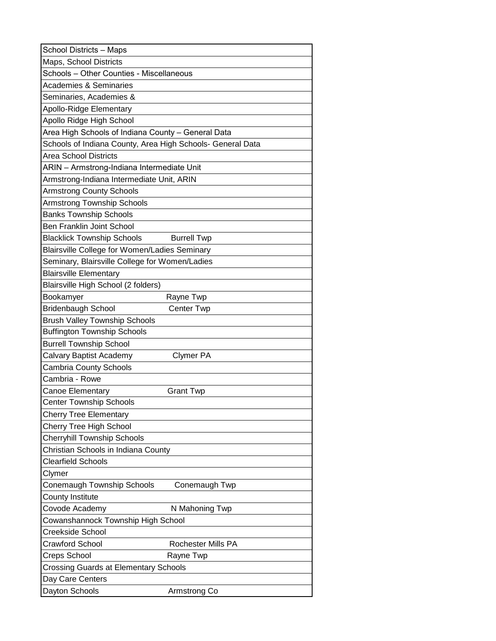| <b>School Districts - Maps</b>                             |
|------------------------------------------------------------|
| Maps, School Districts                                     |
| Schools - Other Counties - Miscellaneous                   |
| <b>Academies &amp; Seminaries</b>                          |
| Seminaries, Academies &                                    |
| Apollo-Ridge Elementary                                    |
| Apollo Ridge High School                                   |
| Area High Schools of Indiana County - General Data         |
| Schools of Indiana County, Area High Schools- General Data |
| <b>Area School Districts</b>                               |
| ARIN - Armstrong-Indiana Intermediate Unit                 |
| Armstrong-Indiana Intermediate Unit, ARIN                  |
| <b>Armstrong County Schools</b>                            |
| <b>Armstrong Township Schools</b>                          |
| <b>Banks Township Schools</b>                              |
| <b>Ben Franklin Joint School</b>                           |
| <b>Blacklick Township Schools</b><br><b>Burrell Twp</b>    |
| Blairsville College for Women/Ladies Seminary              |
| Seminary, Blairsville College for Women/Ladies             |
| <b>Blairsville Elementary</b>                              |
| Blairsville High School (2 folders)                        |
| Bookamyer<br>Rayne Twp                                     |
| Bridenbaugh School<br>Center Twp                           |
| <b>Brush Valley Township Schools</b>                       |
| <b>Buffington Township Schools</b>                         |
| <b>Burrell Township School</b>                             |
| Calvary Baptist Academy<br>Clymer PA                       |
| <b>Cambria County Schools</b>                              |
| Cambria - Rowe                                             |
| Canoe Elementary<br><b>Grant Twp</b>                       |
| <b>Center Township Schools</b>                             |
| <b>Cherry Tree Elementary</b>                              |
| <b>Cherry Tree High School</b>                             |
| <b>Cherryhill Township Schools</b>                         |
| Christian Schools in Indiana County                        |
| <b>Clearfield Schools</b>                                  |
| Clymer                                                     |
| Conemaugh Township Schools<br>Conemaugh Twp                |
| County Institute                                           |
| Covode Academy<br>N Mahoning Twp                           |
| Cowanshannock Township High School                         |
| Creekside School                                           |
| <b>Crawford School</b><br>Rochester Mills PA               |
| Creps School<br>Rayne Twp                                  |
| <b>Crossing Guards at Elementary Schools</b>               |
| Day Care Centers                                           |
| Dayton Schools<br>Armstrong Co                             |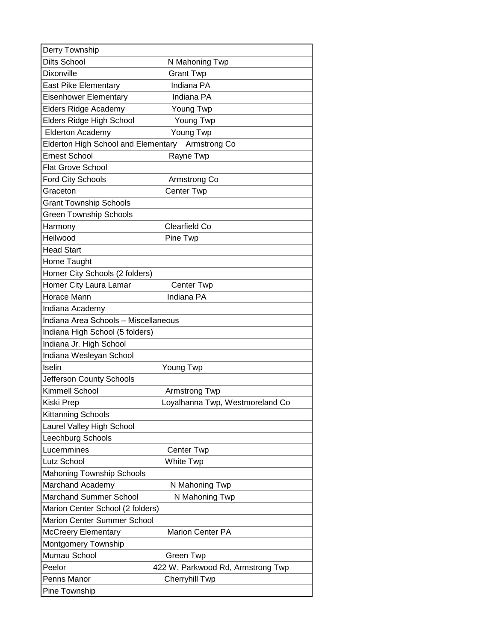| Derry Township                             |                                   |
|--------------------------------------------|-----------------------------------|
| <b>Dilts School</b>                        | N Mahoning Twp                    |
| Dixonville                                 | <b>Grant Twp</b>                  |
| <b>East Pike Elementary</b>                | Indiana PA                        |
| Eisenhower Elementary                      | Indiana PA                        |
| Elders Ridge Academy                       | Young Twp                         |
| Elders Ridge High School                   | Young Twp                         |
| <b>Elderton Academy</b>                    | Young Twp                         |
| <b>Elderton High School and Elementary</b> | Armstrong Co                      |
| <b>Ernest School</b>                       | Rayne Twp                         |
| <b>Flat Grove School</b>                   |                                   |
| <b>Ford City Schools</b>                   | Armstrong Co                      |
| Graceton                                   | Center Twp                        |
| <b>Grant Township Schools</b>              |                                   |
| <b>Green Township Schools</b>              |                                   |
| Harmony                                    | Clearfield Co                     |
| Heilwood                                   | Pine Twp                          |
| <b>Head Start</b>                          |                                   |
| Home Taught                                |                                   |
| Homer City Schools (2 folders)             |                                   |
| Homer City Laura Lamar                     | Center Twp                        |
| Horace Mann                                | Indiana PA                        |
| Indiana Academy                            |                                   |
| Indiana Area Schools - Miscellaneous       |                                   |
| Indiana High School (5 folders)            |                                   |
| Indiana Jr. High School                    |                                   |
| Indiana Wesleyan School                    |                                   |
| Iselin                                     | Young Twp                         |
| Jefferson County Schools                   |                                   |
| Kimmell School                             | Armstrong Twp                     |
| Kiski Prep                                 | Loyalhanna Twp, Westmoreland Co   |
| Kittanning Schools                         |                                   |
| Laurel Valley High School                  |                                   |
| Leechburg Schools                          |                                   |
| Lucernmines                                | Center Twp                        |
| Lutz School                                | White Twp                         |
| <b>Mahoning Township Schools</b>           |                                   |
| Marchand Academy                           | N Mahoning Twp                    |
| <b>Marchand Summer School</b>              | N Mahoning Twp                    |
| Marion Center School (2 folders)           |                                   |
| <b>Marion Center Summer School</b>         |                                   |
| <b>McCreery Elementary</b>                 | <b>Marion Center PA</b>           |
| Montgomery Township                        |                                   |
| Mumau School                               | Green Twp                         |
| Peelor                                     | 422 W, Parkwood Rd, Armstrong Twp |
| Penns Manor                                | <b>Cherryhill Twp</b>             |
| Pine Township                              |                                   |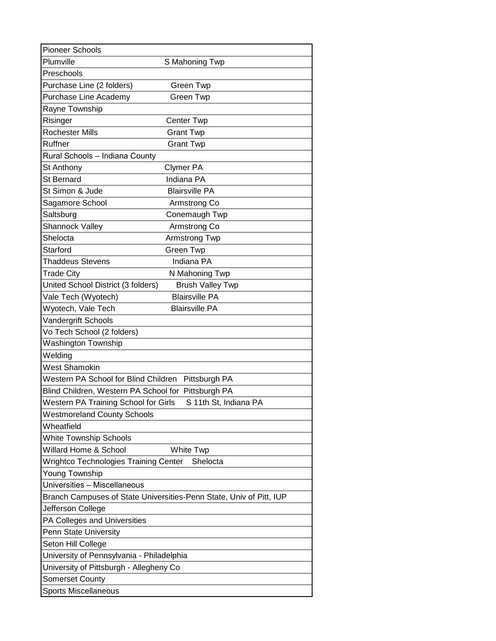| <b>Pioneer Schools</b>                                              |
|---------------------------------------------------------------------|
| Plumville<br>S Mahoning Twp                                         |
| Preschools                                                          |
| Purchase Line (2 folders)<br>Green Twp                              |
| Purchase Line Academy<br>Green Twp                                  |
| Rayne Township                                                      |
| Risinger<br>Center Twp                                              |
| <b>Rochester Mills</b><br><b>Grant Twp</b>                          |
| Ruffner<br><b>Grant Twp</b>                                         |
| Rural Schools - Indiana County                                      |
| St Anthony<br><b>Clymer PA</b>                                      |
| Indiana PA<br>St Bernard                                            |
| <b>Blairsville PA</b><br>St Simon & Jude                            |
| Sagamore School<br>Armstrong Co                                     |
| Saltsburg<br>Conemaugh Twp                                          |
| Shannock Valley<br>Armstrong Co                                     |
| Shelocta<br>Armstrong Twp                                           |
| Starford<br><b>Green Twp</b>                                        |
| Indiana PA<br>Thaddeus Stevens                                      |
| Trade City<br>N Mahoning Twp                                        |
| United School District (3 folders)<br><b>Brush Valley Twp</b>       |
| Vale Tech (Wyotech)<br><b>Blairsville PA</b>                        |
| Wyotech, Vale Tech<br><b>Blairsville PA</b>                         |
| Vandergrift Schools                                                 |
| Vo Tech School (2 folders)                                          |
| <b>Washington Township</b>                                          |
| Welding                                                             |
| <b>West Shamokin</b>                                                |
| Western PA School for Blind Children Pittsburgh PA                  |
| Blind Children, Western PA School for Pittsburgh PA                 |
| Western PA Training School for Girls<br>S 11th St, Indiana PA       |
| <b>Westmoreland County Schools</b>                                  |
| Wheatfield                                                          |
| <b>White Township Schools</b>                                       |
| Willard Home & School<br><b>White Twp</b>                           |
| Wrightco Technologies Training Center<br>Shelocta                   |
| Young Township                                                      |
| Universities - Miscellaneous                                        |
| Branch Campuses of State Universities-Penn State, Univ of Pitt, IUP |
| Jefferson College                                                   |
| PA Colleges and Universities                                        |
| Penn State University                                               |
| Seton Hill College                                                  |
| University of Pennsylvania - Philadelphia                           |
| University of Pittsburgh - Allegheny Co                             |
| <b>Somerset County</b>                                              |
| Sports Miscellaneous                                                |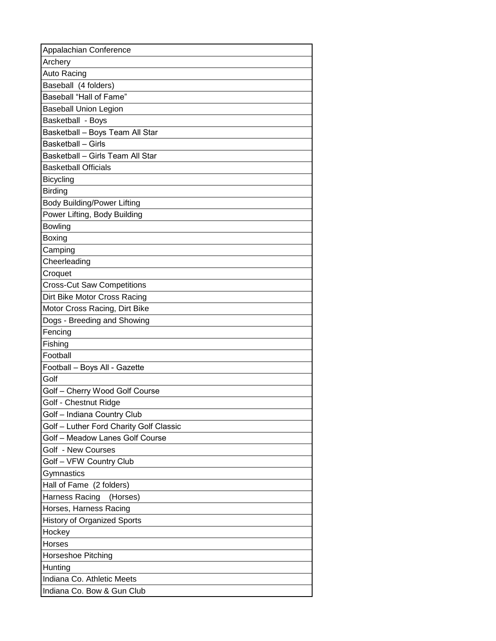| Appalachian Conference                  |
|-----------------------------------------|
| Archery                                 |
| Auto Racing                             |
| Baseball (4 folders)                    |
| Baseball "Hall of Fame"                 |
| <b>Baseball Union Legion</b>            |
| Basketball - Boys                       |
| Basketball - Boys Team All Star         |
| <b>Basketball - Girls</b>               |
| Basketball - Girls Team All Star        |
| <b>Basketball Officials</b>             |
| <b>Bicycling</b>                        |
| <b>Birding</b>                          |
| <b>Body Building/Power Lifting</b>      |
| Power Lifting, Body Building            |
| <b>Bowling</b>                          |
| Boxing                                  |
| Camping                                 |
| Cheerleading                            |
| Croquet                                 |
| <b>Cross-Cut Saw Competitions</b>       |
| Dirt Bike Motor Cross Racing            |
| Motor Cross Racing, Dirt Bike           |
| Dogs - Breeding and Showing             |
| Fencing                                 |
| Fishing                                 |
| Football                                |
| Football - Boys All - Gazette           |
| Golf                                    |
| Golf - Cherry Wood Golf Course          |
| Golf - Chestnut Ridge                   |
| Golf - Indiana Country Club             |
| Golf - Luther Ford Charity Golf Classic |
| Golf - Meadow Lanes Golf Course         |
| Golf - New Courses                      |
| Golf - VFW Country Club                 |
| Gymnastics                              |
| Hall of Fame (2 folders)                |
| Harness Racing<br>(Horses)              |
| Horses, Harness Racing                  |
| <b>History of Organized Sports</b>      |
| Hockey                                  |
| Horses                                  |
| Horseshoe Pitching                      |
| Hunting                                 |
| Indiana Co. Athletic Meets              |
| Indiana Co. Bow & Gun Club              |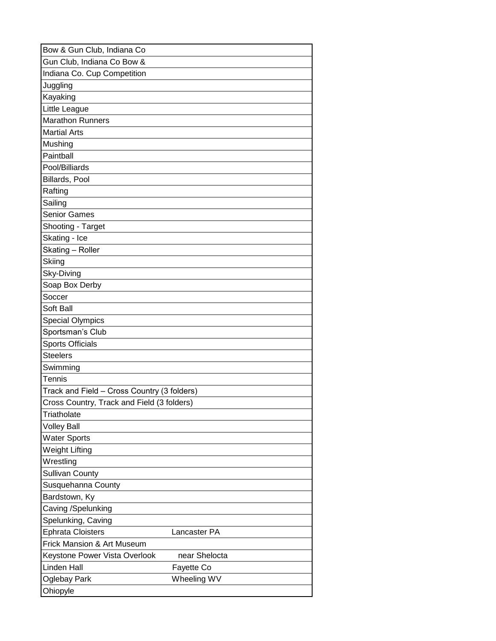| Bow & Gun Club, Indiana Co                     |
|------------------------------------------------|
| Gun Club, Indiana Co Bow &                     |
| Indiana Co. Cup Competition                    |
| Juggling                                       |
| Kayaking                                       |
| Little League                                  |
| <b>Marathon Runners</b>                        |
| <b>Martial Arts</b>                            |
| Mushing                                        |
| Paintball                                      |
| Pool/Billiards                                 |
| Billards, Pool                                 |
| Rafting                                        |
| Sailing                                        |
| <b>Senior Games</b>                            |
| Shooting - Target                              |
| Skating - Ice                                  |
| Skating - Roller                               |
| Skiing                                         |
| Sky-Diving                                     |
| Soap Box Derby                                 |
| Soccer                                         |
| Soft Ball                                      |
| <b>Special Olympics</b>                        |
| Sportsman's Club                               |
| <b>Sports Officials</b>                        |
| <b>Steelers</b>                                |
| Swimming                                       |
| Tennis                                         |
| Track and Field - Cross Country (3 folders)    |
| Cross Country, Track and Field (3 folders)     |
| Triatholate                                    |
| <b>Volley Ball</b>                             |
| <b>Water Sports</b>                            |
| Weight Lifting                                 |
| Wrestling                                      |
| <b>Sullivan County</b>                         |
| Susquehanna County                             |
| Bardstown, Ky                                  |
| Caving /Spelunking                             |
| Spelunking, Caving                             |
| <b>Ephrata Cloisters</b><br>Lancaster PA       |
| <b>Frick Mansion &amp; Art Museum</b>          |
| near Shelocta<br>Keystone Power Vista Overlook |
| <b>Linden Hall</b><br>Fayette Co               |
| Wheeling WV<br>Oglebay Park                    |
| Ohiopyle                                       |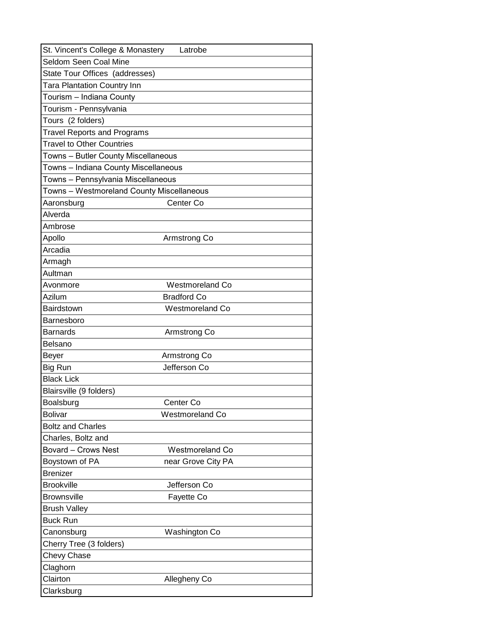| St. Vincent's College & Monastery<br>Latrobe  |
|-----------------------------------------------|
| Seldom Seen Coal Mine                         |
| State Tour Offices (addresses)                |
| <b>Tara Plantation Country Inn</b>            |
| Tourism – Indiana County                      |
| Tourism - Pennsylvania                        |
| Tours (2 folders)                             |
| <b>Travel Reports and Programs</b>            |
| <b>Travel to Other Countries</b>              |
| Towns - Butler County Miscellaneous           |
| Towns - Indiana County Miscellaneous          |
| Towns - Pennsylvania Miscellaneous            |
| Towns - Westmoreland County Miscellaneous     |
| Center Co<br>Aaronsburg                       |
| Alverda                                       |
| Ambrose                                       |
| Apollo<br>Armstrong Co                        |
| Arcadia                                       |
| Armagh                                        |
| Aultman                                       |
| <b>Westmoreland Co</b><br>Avonmore            |
| Azilum<br><b>Bradford Co</b>                  |
| Bairdstown<br>Westmoreland Co                 |
| Barnesboro                                    |
| <b>Barnards</b><br>Armstrong Co               |
| Belsano                                       |
| Beyer<br>Armstrong Co                         |
| Jefferson Co<br>Big Run                       |
| <b>Black Lick</b>                             |
| Blairsville (9 folders)                       |
| Boalsburg<br>Center Co                        |
| <b>Bolivar</b><br><b>Westmoreland Co</b>      |
| <b>Boltz and Charles</b>                      |
| Charles, Boltz and                            |
| <b>Bovard - Crows Nest</b><br>Westmoreland Co |
| Boystown of PA<br>near Grove City PA          |
| <b>Brenizer</b>                               |
| <b>Brookville</b><br>Jefferson Co             |
| <b>Brownsville</b><br>Fayette Co              |
| <b>Brush Valley</b>                           |
| <b>Buck Run</b>                               |
| Canonsburg<br>Washington Co                   |
| Cherry Tree (3 folders)                       |
| Chevy Chase                                   |
| Claghorn                                      |
| Clairton<br>Allegheny Co                      |
| Clarksburg                                    |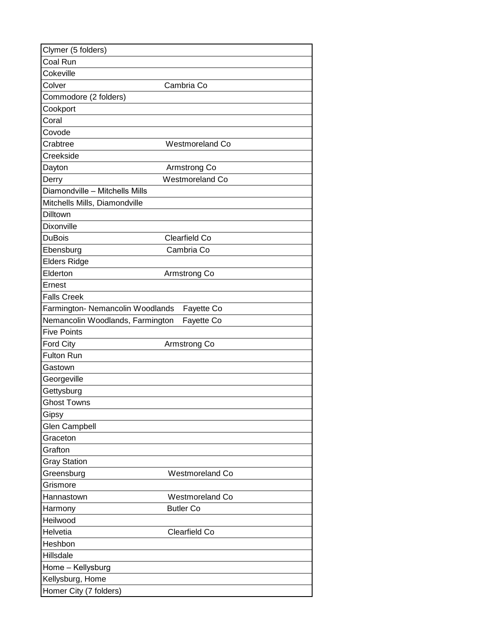| Clymer (5 folders)                             |
|------------------------------------------------|
| Coal Run                                       |
| Cokeville                                      |
| Colver<br>Cambria Co                           |
| Commodore (2 folders)                          |
| Cookport                                       |
| Coral                                          |
| Covode                                         |
| Crabtree<br><b>Westmoreland Co</b>             |
| Creekside                                      |
| Dayton<br>Armstrong Co                         |
| <b>Westmoreland Co</b><br>Derry                |
| Diamondville - Mitchells Mills                 |
| Mitchells Mills, Diamondville                  |
| Dilltown                                       |
| Dixonville                                     |
| Clearfield Co<br><b>DuBois</b>                 |
| Ebensburg<br>Cambria Co                        |
| <b>Elders Ridge</b>                            |
| Elderton<br>Armstrong Co                       |
| Ernest                                         |
| <b>Falls Creek</b>                             |
| Farmington- Nemancolin Woodlands<br>Fayette Co |
| Nemancolin Woodlands, Farmington<br>Fayette Co |
| <b>Five Points</b>                             |
| <b>Ford City</b><br>Armstrong Co               |
| <b>Fulton Run</b>                              |
| Gastown                                        |
| Georgeville                                    |
| Gettysburg                                     |
| <b>Ghost Towns</b>                             |
| Gipsy                                          |
| <b>Glen Campbell</b><br>Graceton               |
| Grafton                                        |
| <b>Gray Station</b>                            |
| Greensburg<br><b>Westmoreland Co</b>           |
| Grismore                                       |
| <b>Westmoreland Co</b><br>Hannastown           |
| <b>Butler Co</b><br>Harmony                    |
| Heilwood                                       |
| Helvetia<br>Clearfield Co                      |
| Heshbon                                        |
| Hillsdale                                      |
| Home - Kellysburg                              |
| Kellysburg, Home                               |
| Homer City (7 folders)                         |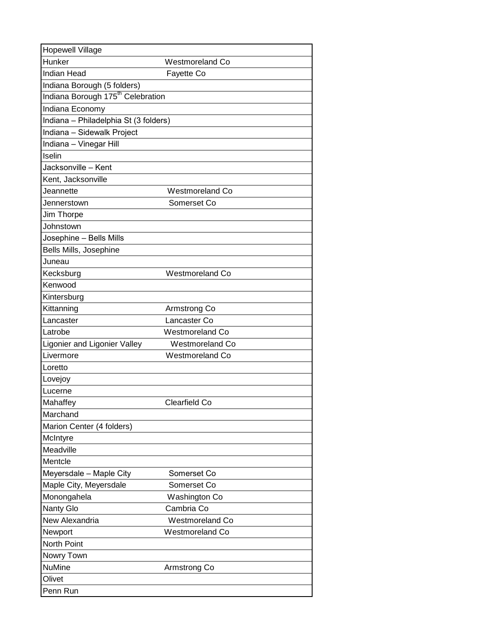| <b>Hopewell Village</b>                       |                        |
|-----------------------------------------------|------------------------|
| Hunker                                        | <b>Westmoreland Co</b> |
| <b>Indian Head</b>                            | Fayette Co             |
| Indiana Borough (5 folders)                   |                        |
| Indiana Borough 175 <sup>th</sup> Celebration |                        |
| Indiana Economy                               |                        |
| Indiana - Philadelphia St (3 folders)         |                        |
| Indiana - Sidewalk Project                    |                        |
| Indiana - Vinegar Hill                        |                        |
| Iselin                                        |                        |
| Jacksonville – Kent                           |                        |
| Kent, Jacksonville                            |                        |
| Jeannette                                     | <b>Westmoreland Co</b> |
| Jennerstown                                   | Somerset Co            |
| Jim Thorpe                                    |                        |
| Johnstown                                     |                        |
| Josephine - Bells Mills                       |                        |
| Bells Mills, Josephine                        |                        |
| Juneau                                        |                        |
| Kecksburg                                     | <b>Westmoreland Co</b> |
| Kenwood                                       |                        |
| Kintersburg                                   |                        |
| Kittanning                                    | Armstrong Co           |
| Lancaster                                     | Lancaster Co           |
| Latrobe                                       | <b>Westmoreland Co</b> |
| Ligonier and Ligonier Valley                  | <b>Westmoreland Co</b> |
| Livermore                                     | <b>Westmoreland Co</b> |
| Loretto                                       |                        |
| Lovejoy                                       |                        |
| Lucerne                                       |                        |
| Mahaffey                                      | Clearfield Co          |
| Marchand                                      |                        |
| Marion Center (4 folders)                     |                        |
| McIntyre                                      |                        |
| Meadville                                     |                        |
| Mentcle                                       |                        |
| Meyersdale - Maple City                       | Somerset Co            |
| Maple City, Meyersdale                        | Somerset Co            |
| Monongahela                                   | Washington Co          |
| Nanty Glo                                     | Cambria Co             |
| New Alexandria                                | <b>Westmoreland Co</b> |
| Newport                                       | <b>Westmoreland Co</b> |
| <b>North Point</b>                            |                        |
| Nowry Town                                    |                        |
| <b>NuMine</b>                                 | Armstrong Co           |
| Olivet                                        |                        |
| Penn Run                                      |                        |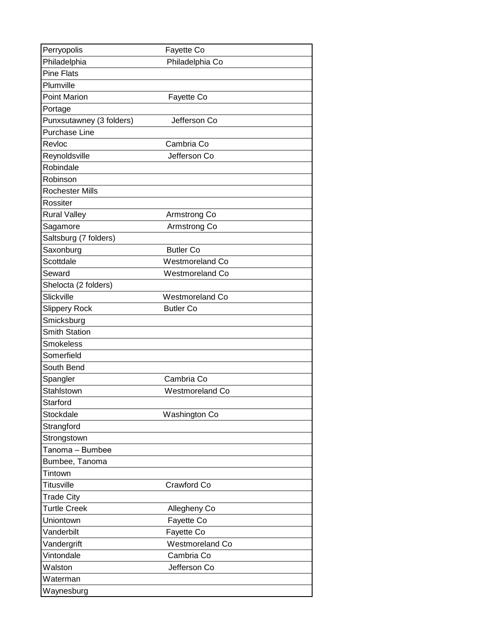| Perryopolis              | Fayette Co             |  |
|--------------------------|------------------------|--|
| Philadelphia             | Philadelphia Co        |  |
| <b>Pine Flats</b>        |                        |  |
| Plumville                |                        |  |
| <b>Point Marion</b>      | Fayette Co             |  |
| Portage                  |                        |  |
| Punxsutawney (3 folders) | Jefferson Co           |  |
| <b>Purchase Line</b>     |                        |  |
| Revloc                   | Cambria Co             |  |
| Reynoldsville            | Jefferson Co           |  |
| Robindale                |                        |  |
| Robinson                 |                        |  |
| <b>Rochester Mills</b>   |                        |  |
| Rossiter                 |                        |  |
| <b>Rural Valley</b>      | Armstrong Co           |  |
| Sagamore                 | Armstrong Co           |  |
| Saltsburg (7 folders)    |                        |  |
| Saxonburg                | <b>Butler Co</b>       |  |
| Scottdale                | <b>Westmoreland Co</b> |  |
| Seward                   | <b>Westmoreland Co</b> |  |
| Shelocta (2 folders)     |                        |  |
| Slickville               | <b>Westmoreland Co</b> |  |
| <b>Slippery Rock</b>     | <b>Butler Co</b>       |  |
| Smicksburg               |                        |  |
| <b>Smith Station</b>     |                        |  |
| <b>Smokeless</b>         |                        |  |
| Somerfield               |                        |  |
| South Bend               |                        |  |
| Spangler                 | Cambria Co             |  |
| <b>Stahlstown</b>        | <b>Westmoreland Co</b> |  |
| Starford                 |                        |  |
| Stockdale                | Washington Co          |  |
| Strangford               |                        |  |
| Strongstown              |                        |  |
| Tanoma - Bumbee          |                        |  |
| Bumbee, Tanoma           |                        |  |
| Tintown                  |                        |  |
| <b>Titusville</b>        | Crawford Co            |  |
| <b>Trade City</b>        |                        |  |
| <b>Turtle Creek</b>      | Allegheny Co           |  |
| Uniontown                | Fayette Co             |  |
| Vanderbilt               | Fayette Co             |  |
| Vandergrift              | <b>Westmoreland Co</b> |  |
| Vintondale               | Cambria Co             |  |
| Walston                  | Jefferson Co           |  |
| Waterman                 |                        |  |
| Waynesburg               |                        |  |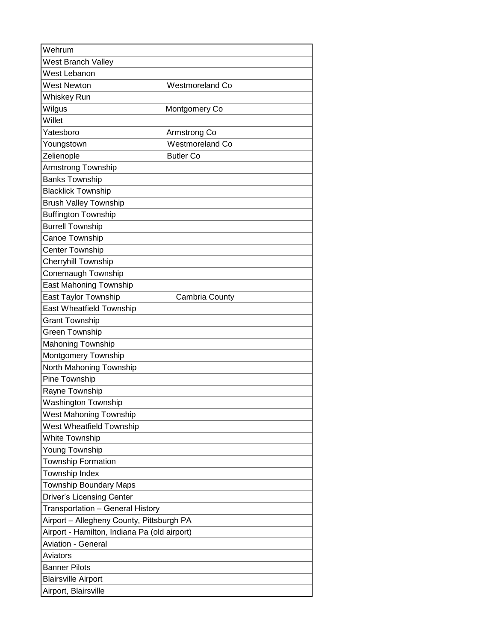| Wehrum                                       |                        |
|----------------------------------------------|------------------------|
| West Branch Valley                           |                        |
| West Lebanon                                 |                        |
| <b>West Newton</b>                           | <b>Westmoreland Co</b> |
| Whiskey Run                                  |                        |
| Wilgus                                       | Montgomery Co          |
| Willet                                       |                        |
| Yatesboro                                    | Armstrong Co           |
| Youngstown                                   | <b>Westmoreland Co</b> |
| Zelienople                                   | <b>Butler Co</b>       |
| Armstrong Township                           |                        |
| <b>Banks Township</b>                        |                        |
| <b>Blacklick Township</b>                    |                        |
| <b>Brush Valley Township</b>                 |                        |
| <b>Buffington Township</b>                   |                        |
| <b>Burrell Township</b>                      |                        |
| Canoe Township                               |                        |
| <b>Center Township</b>                       |                        |
| <b>Cherryhill Township</b>                   |                        |
| Conemaugh Township                           |                        |
| <b>East Mahoning Township</b>                |                        |
| East Taylor Township                         | Cambria County         |
| East Wheatfield Township                     |                        |
| <b>Grant Township</b>                        |                        |
| Green Township                               |                        |
| Mahoning Township                            |                        |
| Montgomery Township                          |                        |
| North Mahoning Township                      |                        |
| Pine Township                                |                        |
| Rayne Township                               |                        |
| <b>Washington Township</b>                   |                        |
| West Mahoning Township                       |                        |
| West Wheatfield Township                     |                        |
| <b>White Township</b>                        |                        |
| Young Township                               |                        |
| <b>Township Formation</b>                    |                        |
| Township Index                               |                        |
| <b>Township Boundary Maps</b>                |                        |
| <b>Driver's Licensing Center</b>             |                        |
| Transportation - General History             |                        |
| Airport - Allegheny County, Pittsburgh PA    |                        |
| Airport - Hamilton, Indiana Pa (old airport) |                        |
| <b>Aviation - General</b>                    |                        |
| Aviators                                     |                        |
| <b>Banner Pilots</b>                         |                        |
| <b>Blairsville Airport</b>                   |                        |
| Airport, Blairsville                         |                        |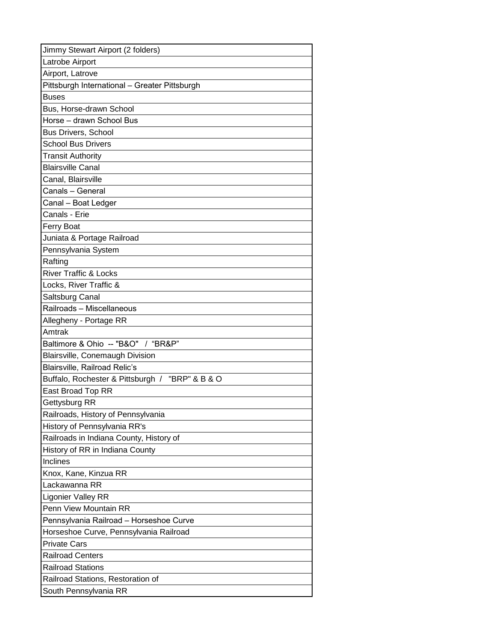| Jimmy Stewart Airport (2 folders)                  |
|----------------------------------------------------|
| Latrobe Airport                                    |
| Airport, Latrove                                   |
| Pittsburgh International - Greater Pittsburgh      |
| Buses                                              |
| Bus, Horse-drawn School                            |
| Horse - drawn School Bus                           |
| <b>Bus Drivers, School</b>                         |
| <b>School Bus Drivers</b>                          |
| Transit Authority                                  |
| <b>Blairsville Canal</b>                           |
| Canal, Blairsville                                 |
| Canals – General                                   |
| Canal - Boat Ledger                                |
| Canals - Erie                                      |
| <b>Ferry Boat</b>                                  |
| Juniata & Portage Railroad                         |
| Pennsylvania System                                |
| Rafting                                            |
| <b>River Traffic &amp; Locks</b>                   |
| Locks, River Traffic &                             |
| Saltsburg Canal                                    |
| Railroads - Miscellaneous                          |
| Allegheny - Portage RR                             |
| Amtrak                                             |
| Baltimore & Ohio -- "B&O" / "BR&P"                 |
| <b>Blairsville, Conemaugh Division</b>             |
| <b>Blairsville, Railroad Relic's</b>               |
| Buffalo, Rochester & Pittsburgh /<br>"BRP" & B & O |
| East Broad Top RR                                  |
| Gettysburg RR                                      |
| Railroads, History of Pennsylvania                 |
| History of Pennsylvania RR's                       |
| Railroads in Indiana County, History of            |
| History of RR in Indiana County                    |
| Inclines                                           |
| Knox, Kane, Kinzua RR                              |
| Lackawanna RR                                      |
| Ligonier Valley RR                                 |
| Penn View Mountain RR                              |
| Pennsylvania Railroad - Horseshoe Curve            |
| Horseshoe Curve, Pennsylvania Railroad             |
| <b>Private Cars</b>                                |
| <b>Railroad Centers</b>                            |
| <b>Railroad Stations</b>                           |
| Railroad Stations, Restoration of                  |
| South Pennsylvania RR                              |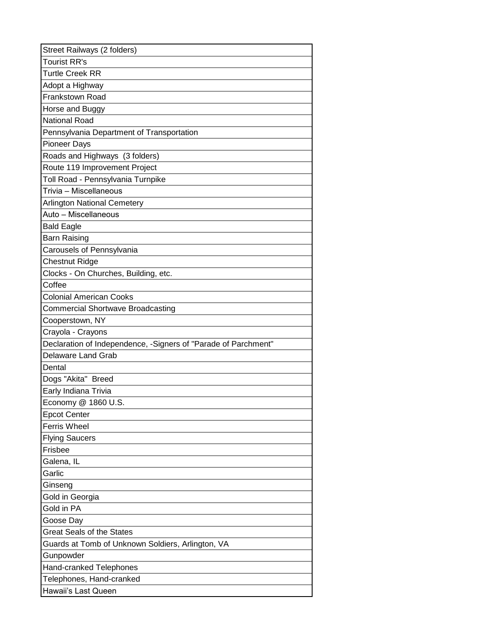| Street Railways (2 folders)                                    |
|----------------------------------------------------------------|
| <b>Tourist RR's</b>                                            |
| <b>Turtle Creek RR</b>                                         |
| Adopt a Highway                                                |
| Frankstown Road                                                |
| Horse and Buggy                                                |
| <b>National Road</b>                                           |
| Pennsylvania Department of Transportation                      |
| <b>Pioneer Days</b>                                            |
| Roads and Highways (3 folders)                                 |
| Route 119 Improvement Project                                  |
| Toll Road - Pennsylvania Turnpike                              |
| Trivia - Miscellaneous                                         |
| <b>Arlington National Cemetery</b>                             |
| Auto - Miscellaneous                                           |
| <b>Bald Eagle</b>                                              |
| <b>Barn Raising</b>                                            |
| Carousels of Pennsylvania                                      |
| <b>Chestnut Ridge</b>                                          |
| Clocks - On Churches, Building, etc.                           |
| Coffee                                                         |
| <b>Colonial American Cooks</b>                                 |
| <b>Commercial Shortwave Broadcasting</b>                       |
| Cooperstown, NY                                                |
| Crayola - Crayons                                              |
| Declaration of Independence, -Signers of "Parade of Parchment" |
| Delaware Land Grab                                             |
| Dental                                                         |
| Dogs "Akita" Breed                                             |
| Early Indiana Trivia                                           |
| Economy @ 1860 U.S.                                            |
| <b>Epcot Center</b>                                            |
| <b>Ferris Wheel</b>                                            |
| <b>Flying Saucers</b>                                          |
| Frisbee                                                        |
| Galena, IL                                                     |
| Garlic                                                         |
| Ginseng                                                        |
| Gold in Georgia                                                |
| Gold in PA                                                     |
| Goose Day                                                      |
| <b>Great Seals of the States</b>                               |
| Guards at Tomb of Unknown Soldiers, Arlington, VA              |
| Gunpowder                                                      |
| Hand-cranked Telephones                                        |
| Telephones, Hand-cranked                                       |
| Hawaii's Last Queen                                            |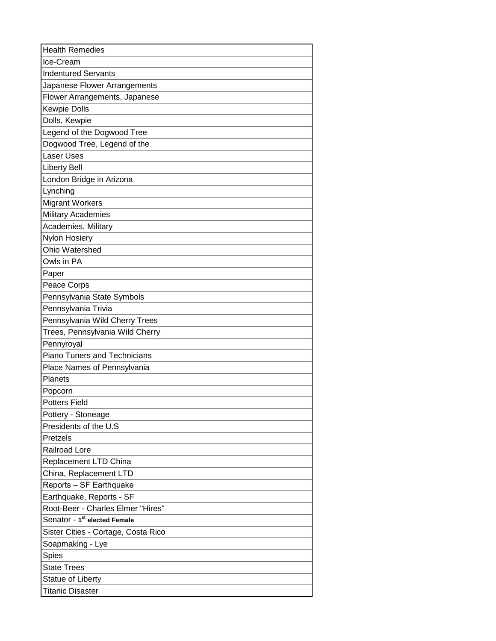| <b>Health Remedies</b>                   |
|------------------------------------------|
| Ice-Cream                                |
| <b>Indentured Servants</b>               |
| Japanese Flower Arrangements             |
| Flower Arrangements, Japanese            |
| <b>Kewpie Dolls</b>                      |
| Dolls, Kewpie                            |
| Legend of the Dogwood Tree               |
| Dogwood Tree, Legend of the              |
| <b>Laser Uses</b>                        |
| <b>Liberty Bell</b>                      |
| London Bridge in Arizona                 |
| Lynching                                 |
| <b>Migrant Workers</b>                   |
| <b>Military Academies</b>                |
| Academies, Military                      |
| Nylon Hosiery                            |
| Ohio Watershed                           |
| Owls in PA                               |
| Paper                                    |
| Peace Corps                              |
| Pennsylvania State Symbols               |
| Pennsylvania Trivia                      |
| Pennsylvania Wild Cherry Trees           |
| Trees, Pennsylvania Wild Cherry          |
| Pennyroyal                               |
| <b>Piano Tuners and Technicians</b>      |
| Place Names of Pennsylvania              |
| Planets                                  |
| Popcorn                                  |
| <b>Potters Field</b>                     |
| Pottery - Stoneage                       |
| Presidents of the U.S                    |
| Pretzels                                 |
| <b>Railroad Lore</b>                     |
| Replacement LTD China                    |
| China, Replacement LTD                   |
| Reports - SF Earthquake                  |
| Earthquake, Reports - SF                 |
| Root-Beer - Charles Elmer "Hires"        |
| Senator - 1 <sup>st</sup> elected Female |
| Sister Cities - Cortage, Costa Rico      |
| Soapmaking - Lye                         |
| Spies                                    |
| <b>State Trees</b>                       |
| Statue of Liberty                        |
| <b>Titanic Disaster</b>                  |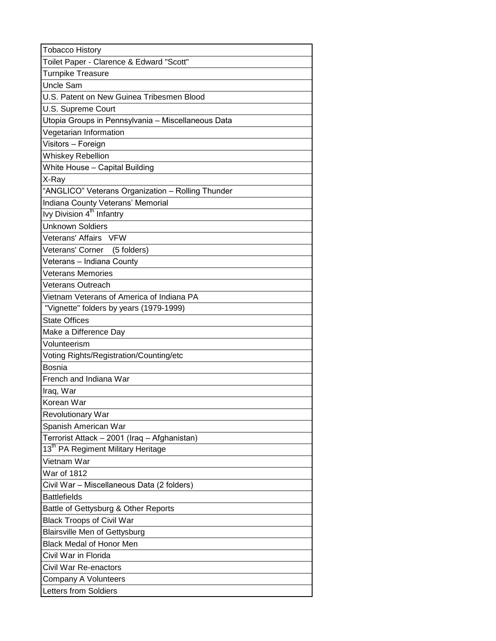| <b>Tobacco History</b>                             |
|----------------------------------------------------|
| Toilet Paper - Clarence & Edward "Scott"           |
| <b>Turnpike Treasure</b>                           |
| <b>Uncle Sam</b>                                   |
| U.S. Patent on New Guinea Tribesmen Blood          |
| U.S. Supreme Court                                 |
| Utopia Groups in Pennsylvania - Miscellaneous Data |
| Vegetarian Information                             |
| Visitors - Foreign                                 |
| <b>Whiskey Rebellion</b>                           |
| White House - Capital Building                     |
| X-Ray                                              |
| "ANGLICO" Veterans Organization - Rolling Thunder  |
| Indiana County Veterans' Memorial                  |
| Ivy Division 4 <sup>th</sup> Infantry              |
| <b>Unknown Soldiers</b>                            |
| Veterans' Affairs VFW                              |
| Veterans' Corner (5 folders)                       |
| Veterans - Indiana County                          |
| <b>Veterans Memories</b>                           |
| <b>Veterans Outreach</b>                           |
| Vietnam Veterans of America of Indiana PA          |
| "Vignette" folders by years (1979-1999)            |
| <b>State Offices</b>                               |
| Make a Difference Day                              |
| Volunteerism                                       |
| Voting Rights/Registration/Counting/etc            |
| <b>Bosnia</b>                                      |
| French and Indiana War                             |
| Iraq, War                                          |
| Korean War                                         |
| <b>Revolutionary War</b>                           |
| Spanish American War                               |
| Terrorist Attack - 2001 (Iraq - Afghanistan)       |
| 13 <sup>th</sup> PA Regiment Military Heritage     |
| Vietnam War                                        |
| <b>War of 1812</b>                                 |
| Civil War - Miscellaneous Data (2 folders)         |
| <b>Battlefields</b>                                |
| Battle of Gettysburg & Other Reports               |
| <b>Black Troops of Civil War</b>                   |
| <b>Blairsville Men of Gettysburg</b>               |
| <b>Black Medal of Honor Men</b>                    |
| Civil War in Florida                               |
| Civil War Re-enactors                              |
| Company A Volunteers                               |
| Letters from Soldiers                              |